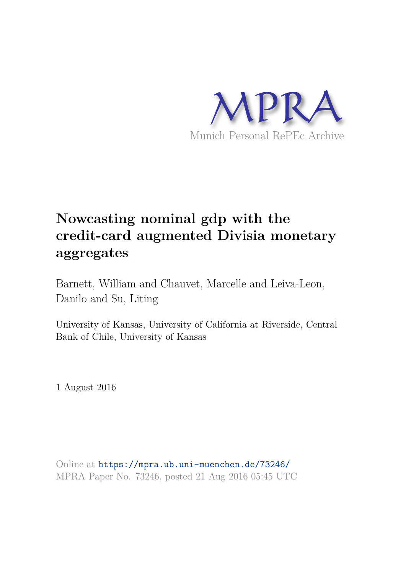

# **Nowcasting nominal gdp with the credit-card augmented Divisia monetary aggregates**

Barnett, William and Chauvet, Marcelle and Leiva-Leon, Danilo and Su, Liting

University of Kansas, University of California at Riverside, Central Bank of Chile, University of Kansas

1 August 2016

Online at https://mpra.ub.uni-muenchen.de/73246/ MPRA Paper No. 73246, posted 21 Aug 2016 05:45 UTC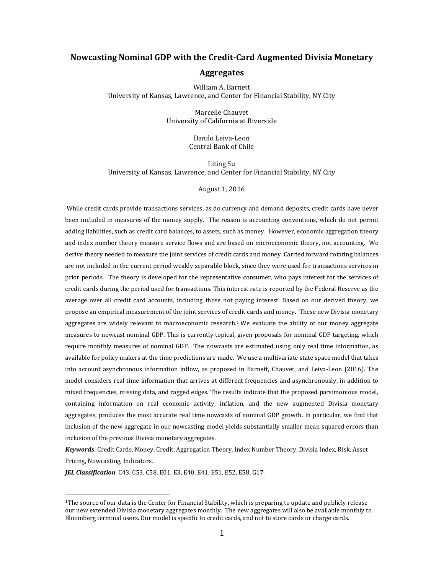# **Nowcasting Nominal GDP with the Credit-Card Augmented Divisia Monetary Aggregates**

William A. Barnett University of Kansas, Lawrence, and Center for Financial Stability, NY City

> Marcelle Chauvet University of California at Riverside

> > Danilo Leiva-Leon Central Bank of Chile

Liting Su University of Kansas, Lawrence, and Center for Financial Stability, NY City

#### August 1, 2016

While credit cards provide transactions services, as do currency and demand deposits, credit cards have never been included in measures of the money supply. The reason is accounting conventions, which do not permit adding liabilities, such as credit card balances, to assets, such as money. However, economic aggregation theory and index number theory measure service flows and are based on microeconomic theory, not accounting. We derive theory needed to measure the joint services of credit cards and money. Carried forward rotating balances are not included in the current period weakly separable block, since they were used for transactions services in prior periods. The theory is developed for the representative consumer, who pays interest for the services of credit cards during the period used for transactions. This interest rate is reported by the Federal Reserve as the average over all credit card accounts, including those not paying interest. Based on our derived theory, we propose an empirical measurement of the joint services of cr[ed](#page-1-0)it cards and money. These new Divisia monetary aggregates are widely relevant to macroeconomic research.<sup>1</sup> We evaluate the ability of our money aggregate measures to nowcast nominal GDP. This is currently topical, given proposals for nominal GDP targeting, which require monthly measures of nominal GDP. The nowcasts are estimated using only real time information, as available for policy makers at the time predictions are made. We use a multivariate state space model that takes into account asynchronous information inflow, as proposed in Barnett, Chauvet, and Leiva-Leon (2016). The model considers real time information that arrives at different frequencies and asynchronously, in addition to mixed frequencies, missing data, and ragged edges. The results indicate that the proposed parsimonious model, containing information on real economic activity, inflation, and the new augmented Divisia monetary aggregates, produces the most accurate real time nowcasts of nominal GDP growth. In particular, we find that inclusion of the new aggregate in our nowcasting model yields substantially smaller mean squared errors than inclusion of the previous Divisia monetary aggregates.

*Keywords*: Credit Cards, Money, Credit, Aggregation Theory, Index Number Theory, Divisia Index, Risk, Asset Pricing, Nowcasting, Indicators.

*JEL Classification*: C43, C53, C58, E01, E3, E40, E41, E51, E52, E58, G17.

 $\overline{a}$ 

<span id="page-1-0"></span><sup>&</sup>lt;sup>1</sup>The source of our data is the Center for Financial Stability, which is preparing to update and publicly release our new extended Divisia monetary aggregates monthly. The new aggregates will also be available monthly to Bloomberg terminal users. Our model is specific to credit cards, and not to store cards or charge cards.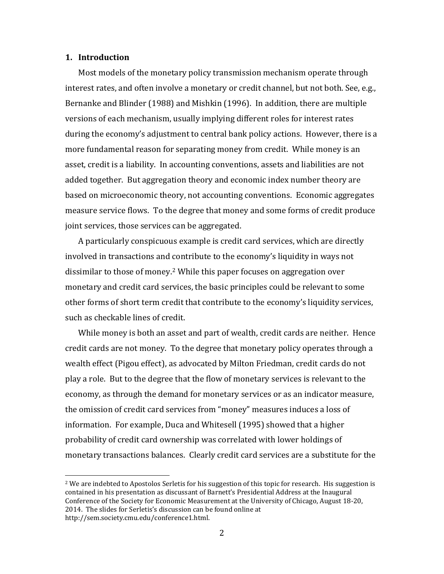### **1. Introduction**

-

Most models of the monetary policy transmission mechanism operate through interest rates, and often involve a monetary or credit channel, but not both. See, e.g., Bernanke and Blinder (1988) and Mishkin (1996). In addition, there are multiple versions of each mechanism, usually implying different roles for interest rates during the economy's adjustment to central bank policy actions. However, there is a more fundamental reason for separating money from credit. While money is an asset, credit is a liability. In accounting conventions, assets and liabilities are not added together. But aggregation theory and economic index number theory are based on microeconomic theory, not accounting conventions. Economic aggregates measure service flows. To the degree that money and some forms of credit produce joint services, those services can be aggregated.

A particularly conspicuous example is credit card services, which are directly involved in transactions and [co](#page-2-0)ntribute to the economy's liquidity in ways not dissimilar to those of money.<sup>2</sup> While this paper focuses on aggregation over monetary and credit card services, the basic principles could be relevant to some other forms of short term credit that contribute to the economy's liquidity services, such as checkable lines of credit.

While money is both an asset and part of wealth, credit cards are neither. Hence credit cards are not money. To the degree that monetary policy operates through a wealth effect (Pigou effect), as advocated by Milton Friedman, credit cards do not play a role. But to the degree that the flow of monetary services is relevant to the economy, as through the demand for monetary services or as an indicator measure, the omission of credit card services from "money" measures induces a loss of information. For example, Duca and Whitesell (1995) showed that a higher probability of credit card ownership was correlated with lower holdings of monetary transactions balances. Clearly credit card services are a substitute for the

<span id="page-2-0"></span><sup>&</sup>lt;sup>2</sup> We are indebted to Apostolos Serletis for his suggestion of this topic for research. His suggestion is contained in his presentation as discussant of Barnett's Presidential Address at the Inaugural Conference of the Society for Economic Measurement at the University of Chicago, August 18-20, 2014. The slides for Serletis's discussion can be found online at http://sem.society.cmu.edu/conference1.html.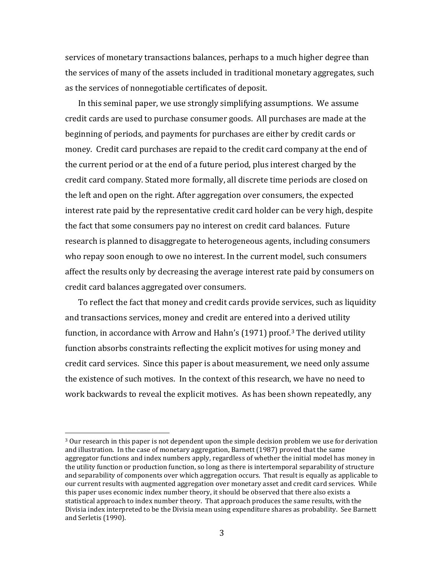services of monetary transactions balances, perhaps to a much higher degree than the services of many of the assets included in traditional monetary aggregates, such as the services of nonnegotiable certificates of deposit.

In this seminal paper, we use strongly simplifying assumptions. We assume credit cards are used to purchase consumer goods. All purchases are made at the beginning of periods, and payments for purchases are either by credit cards or money. Credit card purchases are repaid to the credit card company at the end of the current period or at the end of a future period, plus interest charged by the credit card company. Stated more formally, all discrete time periods are closed on the left and open on the right. After aggregation over consumers, the expected interest rate paid by the representative credit card holder can be very high, despite the fact that some consumers pay no interest on credit card balances. Future research is planned to disaggregate to heterogeneous agents, including consumers who repay soon enough to owe no interest. In the current model, such consumers affect the results only by decreasing the average interest rate paid by consumers on credit card balances aggregated over consumers.

To reflect the fact that money and credit cards provide services, such as liquidity and transactions services, money and credit are entered into [a](#page-3-0) derived utility function, in accordance with Arrow and Hahn's  $(1971)$  proof.<sup>3</sup> The derived utility function absorbs constraints reflecting the explicit motives for using money and credit card services. Since this paper is about measurement, we need only assume the existence of such motives. In the context of this research, we have no need to work backwards to reveal the explicit motives. As has been shown repeatedly, any

<u>.</u>

<span id="page-3-0"></span> $3$  Our research in this paper is not dependent upon the simple decision problem we use for derivation and illustration. In the case of monetary aggregation, Barnett (1987) proved that the same aggregator functions and index numbers apply, regardless of whether the initial model has money in the utility function or production function, so long as there is intertemporal separability of structure and separability of components over which aggregation occurs. That result is equally as applicable to our current results with augmented aggregation over monetary asset and credit card services. While this paper uses economic index number theory, it should be observed that there also exists a statistical approach to index number theory. That approach produces the same results, with the Divisia index interpreted to be the Divisia mean using expenditure shares as probability. See Barnett and Serletis (1990).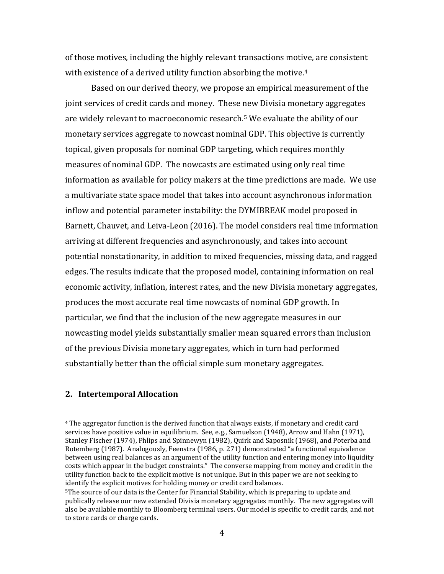of those motives, including the highly relevant transactions moti[ve](#page-4-0), are consistent with existence of a derived utility function absorbing the motive.<sup>4</sup>

Based on our derived theory, we propose an empirical measurement of the joint services of credit cards and money. These [n](#page-4-1)ew Divisia monetary aggregates are widely relevant to macroeconomic research.<sup>5</sup> We evaluate the ability of our monetary services aggregate to nowcast nominal GDP. This objective is currently topical, given proposals for nominal GDP targeting, which requires monthly measures of nominal GDP. The nowcasts are estimated using only real time information as available for policy makers at the time predictions are made. We use a multivariate state space model that takes into account asynchronous information inflow and potential parameter instability: the DYMIBREAK model proposed in Barnett, Chauvet, and Leiva-Leon (2016). The model considers real time information arriving at different frequencies and asynchronously, and takes into account potential nonstationarity, in addition to mixed frequencies, missing data, and ragged edges. The results indicate that the proposed model, containing information on real economic activity, inflation, interest rates, and the new Divisia monetary aggregates, produces the most accurate real time nowcasts of nominal GDP growth. In particular, we find that the inclusion of the new aggregate measures in our nowcasting model yields substantially smaller mean squared errors than inclusion of the previous Divisia monetary aggregates, which in turn had performed substantially better than the official simple sum monetary aggregates.

# **2. Intertemporal Allocation**

<u>.</u>

<span id="page-4-0"></span><sup>4</sup> The aggregator function is the derived function that always exists, if monetary and credit card services have positive value in equilibrium. See, e.g., Samuelson (1948), Arrow and Hahn (1971), Stanley Fischer (1974), Phlips and Spinnewyn (1982), Quirk and Saposnik (1968), and Poterba and Rotemberg (1987). Analogously, Feenstra (1986, p. 271) demonstrated "a functional equivalence between using real balances as an argument of the utility function and entering money into liquidity costs which appear in the budget constraints." The converse mapping from money and credit in the utility function back to the explicit motive is not unique. But in this paper we are not seeking to identify the explicit motives for holding money or credit card balances.

<span id="page-4-1"></span><sup>5</sup>The source of our data is the Center for Financial Stability, which is preparing to update and publically release our new extended Divisia monetary aggregates monthly. The new aggregates will also be available monthly to Bloomberg terminal users. Our model is specific to credit cards, and not to store cards or charge cards.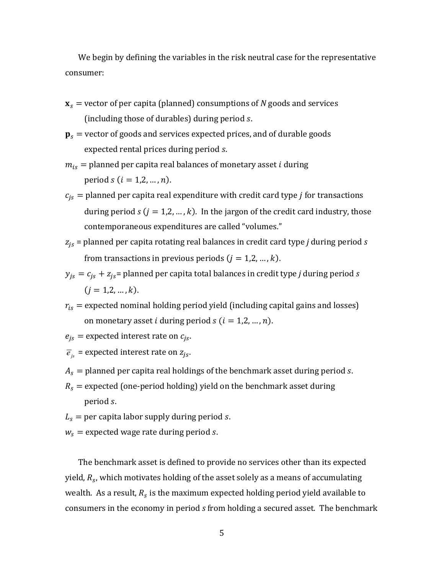We begin by defining the variables in the risk neutral case for the representative consumer:

- ${\bf x}_s$  = vector of per capita (planned) consumptions of *N* goods and services (including those of durables) during period s.
- $\mathbf{p}_s$  = vector of goods and services expected prices, and of durable goods expected rental prices during period s.
- $m_{is}$  = planned per capita real balances of monetary asset *i* during period  $s$  ( $i = 1, 2, ..., n$ ).
- $c_{is}$  = planned per capita real expenditure with credit card type *j* for transactions during period  $s$  ( $j = 1,2,...,k$ ). In the jargon of the credit card industry, those contemporaneous expenditures are called "volumes."
- $z_{js}$  = planned per capita rotating real balances in credit card type *j* during period *s* from transactions in previous periods  $(j = 1, 2, ..., k)$ .
- $y_{is} = c_{is} + z_{is}$  planned per capita total balances in credit type *j* during period *s*  $(i = 1, 2, ..., k).$
- $r_{is}$  = expected nominal holding period yield (including capital gains and losses) on monetary asset *i* during period  $s$  ( $i = 1, 2, ..., n$ ).
- $e_{is}$  = expected interest rate on  $c_{is}$ .
- $\overline{e}_{is}$  = expected interest rate on  $z_{is}$ .
- $A_s$  = planned per capita real holdings of the benchmark asset during period s.
- $R_s$  = expected (one-period holding) yield on the benchmark asset during period *s*.
- $L<sub>s</sub>$  = per capita labor supply during period s.
- $w_s$  = expected wage rate during period s.

The benchmark asset is defined to provide no services other than its expected yield,  $R_{_S}$ , which motivates holding of the asset solely as a means of accumulating wealth. As a result,  $R_s$  is the maximum expected holding period yield available to consumers in the economy in period *s* from holding a secured asset. The benchmark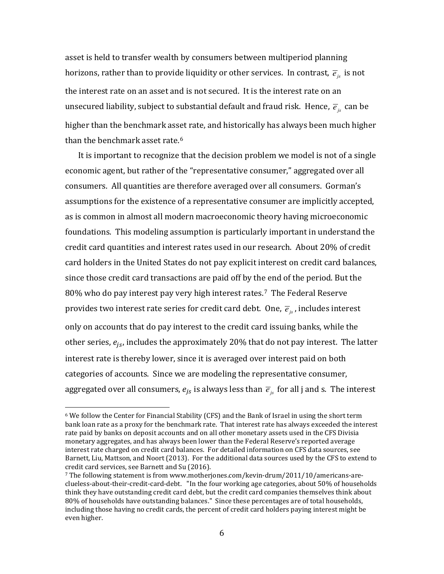asset is held to transfer wealth by consumers between multiperiod planning horizons, rather than to provide liquidity or other services. In contrast,  $\vec{e}_k$  is not the interest rate on an asset and is not secured. It is the interest rate on an unsecured liability, subject to substantial default and fraud risk. Hence,  $\overline{e}_{is}$  can be higher than the benchmark ass[e](#page-6-0)t rate, and historically has always been much higher than the benchmark asset rate.<sup>6</sup>

It is important to recognize that the decision problem we model is not of a single economic agent, but rather of the "representative consumer," aggregated over all consumers. All quantities are therefore averaged over all consumers. Gorman's assumptions for the existence of a representative consumer are implicitly accepted, as is common in almost all modern macroeconomic theory having microeconomic foundations. This modeling assumption is particularly important in understand the credit card quantities and interest rates used in our research. About 20% of credit card holders in the United States do not pay explicit interest on credit card balances, since those credit card transactions are paid off by th[e](#page-6-1) end of the period. But the 80% who do pay interest pay very high interest rates.<sup>7</sup> The Federal Reserve provides two interest rate series for credit card debt. One,  $\vec{e}_k$ , includes interest only on accounts that do pay interest to the credit card issuing banks, while the other series,  $e_{is}$ , includes the approximately 20% that do not pay interest. The latter interest rate is thereby lower, since it is averaged over interest paid on both categories of accounts. Since we are modeling the representative consumer, aggregated over all consumers,  $e_{is}$  is always less than  $\overline{e}_{is}$  for all j and s. The interest

-

<span id="page-6-0"></span><sup>6</sup> We follow the Center for Financial Stability (CFS) and the Bank of Israel in using the short term bank loan rate as a proxy for the benchmark rate. That interest rate has always exceeded the interest rate paid by banks on deposit accounts and on all other monetary assets used in the CFS Divisia monetary aggregates, and has always been lower than the Federal Reserve's reported average interest rate charged on credit card balances. For detailed information on CFS data sources, see Barnett, Liu, Mattson, and Noort (2013). For the additional data sources used by the CFS to extend to credit card services, see Barnett and Su (2016).

<span id="page-6-1"></span><sup>7</sup> The following statement is from www.motherjones.com/kevin-drum/2011/10/americans-areclueless-about-their-credit-card-debt. "In the four working age categories, about 50% of households think they have outstanding credit card debt, but the credit card companies themselves think about 80% of households have outstanding balances." Since these percentages are of total households, including those having no credit cards, the percent of credit card holders paying interest might be even higher.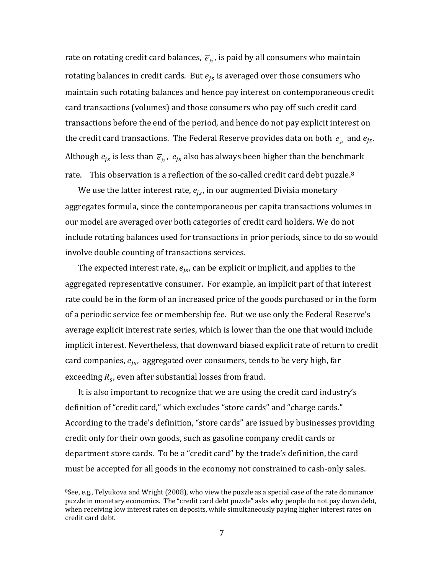rate on rotating credit card balances,  $\vec{e}_i$ , is paid by all consumers who maintain rotating balances in credit cards. But  $e_{is}$  is averaged over those consumers who maintain such rotating balances and hence pay interest on contemporaneous credit card transactions (volumes) and those consumers who pay off such credit card transactions before the end of the period, and hence do not pay explicit interest on the credit card transactions. The Federal Reserve provides data on both  $\overline{e}_{i}$  and  $e_{i}$ . Although  $e_{js}$  is less than  $\overline{e}_{is}$ ,  $e_{js}$  also has always been higher than the benchmark rate. This observation is a reflection of the so-called credit card debt puzzle.<sup>[8](#page-7-0)</sup>

We use the latter interest rate,  $e_{is}$ , in our augmented Divisia monetary aggregates formula, since the contemporaneous per capita transactions volumes in our model are averaged over both categories of credit card holders. We do not include rotating balances used for transactions in prior periods, since to do so would involve double counting of transactions services.

The expected interest rate,  $e_{is}$ , can be explicit or implicit, and applies to the aggregated representative consumer. For example, an implicit part of that interest rate could be in the form of an increased price of the goods purchased or in the form of a periodic service fee or membership fee. But we use only the Federal Reserve's average explicit interest rate series, which is lower than the one that would include implicit interest. Nevertheless, that downward biased explicit rate of return to credit card companies,  $e_{is}$ , aggregated over consumers, tends to be very high, far exceeding  $R_s$ , even after substantial losses from fraud.

It is also important to recognize that we are using the credit card industry's definition of "credit card," which excludes "store cards" and "charge cards." According to the trade's definition, "store cards" are issued by businesses providing credit only for their own goods, such as gasoline company credit cards or department store cards. To be a "credit card" by the trade's definition, the card must be accepted for all goods in the economy not constrained to cash-only sales.

<u>.</u>

<span id="page-7-0"></span><sup>8</sup>See, e.g., Telyukova and Wright (2008), who view the puzzle as a special case of the rate dominance puzzle in monetary economics. The "credit card debt puzzle" asks why people do not pay down debt, when receiving low interest rates on deposits, while simultaneously paying higher interest rates on credit card debt.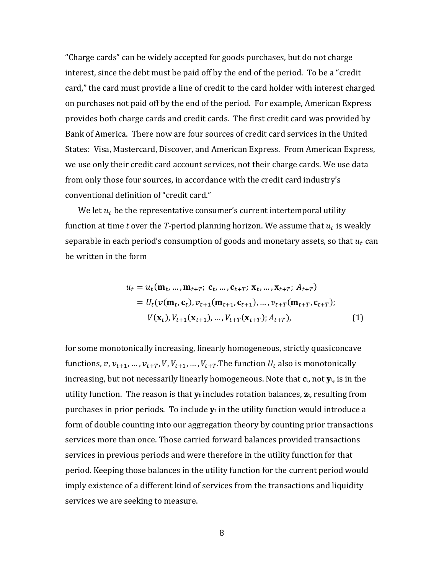"Charge cards" can be widely accepted for goods purchases, but do not charge interest, since the debt must be paid off by the end of the period. To be a "credit card," the card must provide a line of credit to the card holder with interest charged on purchases not paid off by the end of the period. For example, American Express provides both charge cards and credit cards. The first credit card was provided by Bank of America. There now are four sources of credit card services in the United States: Visa, Mastercard, Discover, and American Express. From American Express, we use only their credit card account services, not their charge cards. We use data from only those four sources, in accordance with the credit card industry's conventional definition of "credit card."

We let  $u_t$  be the representative consumer's current intertemporal utility function at time  $t$  over the  $T$ -period planning horizon. We assume that  $u_t$  is weakly separable in each period's consumption of goods and monetary assets, so that  $u_t$  can be written in the form

$$
u_{t} = u_{t}(\mathbf{m}_{t}, ..., \mathbf{m}_{t+T}; \mathbf{c}_{t}, ..., \mathbf{c}_{t+T}; \mathbf{x}_{t}, ..., \mathbf{x}_{t+T}; A_{t+T})
$$
  
=  $U_{t}(v(\mathbf{m}_{t}, \mathbf{c}_{t}), v_{t+1}(\mathbf{m}_{t+1}, \mathbf{c}_{t+1}), ..., v_{t+T}(\mathbf{m}_{t+T}, \mathbf{c}_{t+T});$   

$$
V(\mathbf{x}_{t}), V_{t+1}(\mathbf{x}_{t+1}), ..., V_{t+T}(\mathbf{x}_{t+T}); A_{t+T}),
$$
 (1)

for some monotonically increasing, linearly homogeneous, strictly quasiconcave functions,  $v, v_{t+1}, ..., v_{t+T}, V, V_{t+1}, ..., V_{t+T}$ . The function  $U_t$  also is monotonically increasing, but not necessarily linearly homogeneous. Note that **c**t, not **y**t, is in the utility function. The reason is that **y**<sup>t</sup> includes rotation balances, **z**t, resulting from purchases in prior periods. To include **y**<sup>t</sup> in the utility function would introduce a form of double counting into our aggregation theory by counting prior transactions services more than once. Those carried forward balances provided transactions services in previous periods and were therefore in the utility function for that period. Keeping those balances in the utility function for the current period would imply existence of a different kind of services from the transactions and liquidity services we are seeking to measure.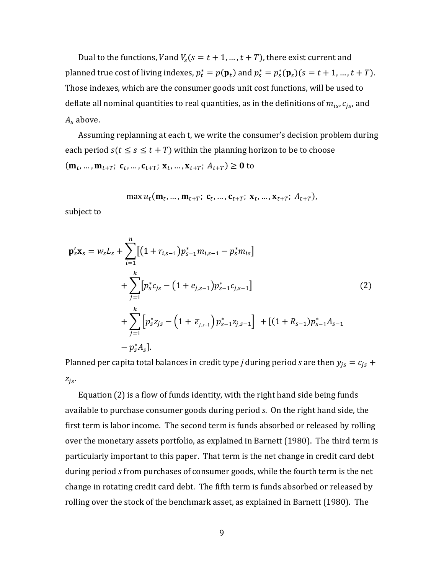Dual to the functions, V and  $V_s(s = t + 1, ..., t + T)$ , there exist current and planned true cost of living indexes,  $p_t^* = p(\mathbf{p}_t)$  and  $p_s^* = p_s^*(\mathbf{p}_s)(s = t + 1, ..., t + T)$ . Those indexes, which are the consumer goods unit cost functions, will be used to deflate all nominal quantities to real quantities, as in the definitions of  $m_{is}$ ,  $c_{is}$ , and  $A_s$  above.

Assuming replanning at each t, we write the consumer's decision problem during each period  $s(t \leq s \leq t + T)$  within the planning horizon to be to choose  $(\mathbf{m}_t, ..., \mathbf{m}_{t+T}; \mathbf{c}_t, ..., \mathbf{c}_{t+T}; \mathbf{x}_t, ..., \mathbf{x}_{t+T}; A_{t+T}) \geq \mathbf{0}$  to

$$
\max u_t(\mathbf{m}_t, \dots, \mathbf{m}_{t+T}; \mathbf{c}_t, \dots, \mathbf{c}_{t+T}; \mathbf{x}_t, \dots, \mathbf{x}_{t+T}; A_{t+T}),
$$

subject to

$$
\mathbf{p}'_{s}\mathbf{x}_{s} = w_{s}L_{s} + \sum_{i=1}^{n} [(1 + r_{i,s-1})p^{*}_{s-1}m_{i,s-1} - p^{*}_{s}m_{is}] + \sum_{j=1}^{k} [p^{*}_{s}c_{js} - (1 + e_{j,s-1})p^{*}_{s-1}c_{j,s-1}] + \sum_{j=1}^{k} [p^{*}_{s}z_{js} - (1 + \overline{e}_{j,s-1})p^{*}_{s-1}z_{j,s-1}] + [(1 + R_{s-1})p^{*}_{s-1}A_{s-1} - p^{*}_{s}A_{s}].
$$
\n(2)

Planned per capita total balances in credit type *j* during period *s* are then  $y_{js} = c_{js} +$  $Z_{IS}$ .

Equation (2) is a flow of funds identity, with the right hand side being funds available to purchase consumer goods during period *s*. On the right hand side, the first term is labor income. The second term is funds absorbed or released by rolling over the monetary assets portfolio, as explained in Barnett (1980). The third term is particularly important to this paper. That term is the net change in credit card debt during period *s* from purchases of consumer goods, while the fourth term is the net change in rotating credit card debt. The fifth term is funds absorbed or released by rolling over the stock of the benchmark asset, as explained in Barnett (1980). The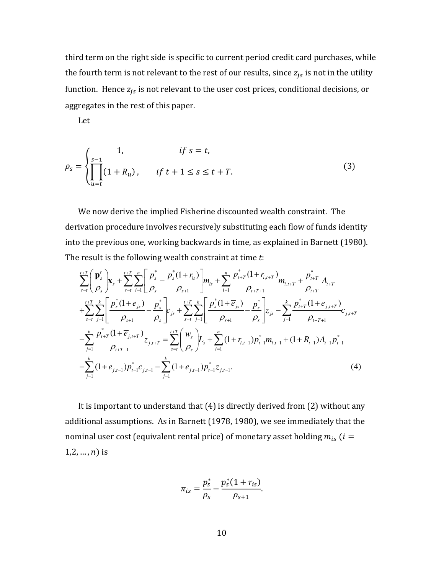third term on the right side is specific to current period credit card purchases, while the fourth term is not relevant to the rest of our results, since  $z_{is}$  is not in the utility function. Hence  $z_{js}$  is not relevant to the user cost prices, conditional decisions, or aggregates in the rest of this paper.

Let

$$
\rho_s = \begin{cases}\n1, & \text{if } s = t, \\
\prod_{u=t}^{s-1} (1 + R_u), & \text{if } t + 1 \le s \le t + T.\n\end{cases}
$$
\n(3)

We now derive the implied Fisherine discounted wealth constraint. The derivation procedure involves recursively substituting each flow of funds identity into the previous one, working backwards in time, as explained in Barnett (1980). The result is the following wealth constraint at time *t*:

$$
\sum_{s=t}^{t+T} \left( \frac{\mathbf{p}_s'}{\rho_s} \right) \mathbf{x}_s + \sum_{s=t}^{t+T} \sum_{i=1}^n \left[ \frac{p_s^*}{\rho_s} - \frac{p_s^*(1+r_{is})}{\rho_{s+1}} \right] m_{is} + \sum_{i=1}^n \frac{p_{i+T}^*(1+r_{i,t+T})}{\rho_{t+T+1}} m_{i,t+T} + \frac{p_{t+T}^*}{\rho_{t+T}} A_{t+T} \n+ \sum_{s=t}^{t+T} \sum_{j=1}^k \left[ \frac{p_s^*(1+e_{js})}{\rho_{s+1}} - \frac{p_s^*}{\rho_s} \right] c_{js} + \sum_{s=t}^{t+T} \sum_{j=1}^k \left[ \frac{p_s^*(1+\overline{e}_{js})}{\rho_{s+1}} - \frac{p_s^*}{\rho_s} \right] z_{js} - \sum_{j=1}^k \frac{p_{t+T}^*(1+e_{j,t+T})}{\rho_{t+T+1}} c_{j,t+T} \n- \sum_{j=1}^k \frac{p_{t+T}^*(1+\overline{e}_{j,t+T})}{\rho_{t+T+1}} z_{j,t+T} = \sum_{s=t}^{t+T} \left( \frac{w_s}{\rho_s} \right) L_s + \sum_{i=1}^n (1+r_{i,t-1}) p_{t-1}^* m_{i,t-1} + (1+R_{t-1}) A_{t-1} p_{t-1}^* \n- \sum_{j=1}^k (1+e_{j,t-1}) p_{t-1}^* c_{j,t-1} - \sum_{j=1}^k (1+\overline{e}_{j,t-1}) p_{t-1}^* z_{j,t-1}.
$$
\n(4)

It is important to understand that (4) is directly derived from (2) without any additional assumptions. As in Barnett (1978, 1980), we see immediately that the nominal user cost (equivalent rental price) of monetary asset holding  $m_{is}$  ( $i =$  $1, 2, ..., n$ ) is

$$
\pi_{is} = \frac{p_s^*}{\rho_s} - \frac{p_s^*(1+r_{is})}{\rho_{s+1}}.
$$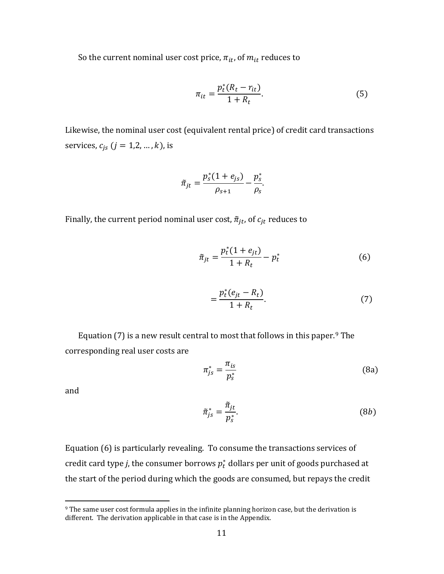So the current nominal user cost price,  $\pi_{it}$ , of  $m_{it}$  reduces to

$$
\pi_{it} = \frac{p_t^*(R_t - r_{it})}{1 + R_t}.
$$
\n(5)

Likewise, the nominal user cost (equivalent rental price) of credit card transactions services,  $c_{is}$  ( $j = 1, 2, ..., k$ ), is

$$
\tilde{\pi}_{jt} = \frac{p_s^*(1+e_{js})}{\rho_{s+1}} - \frac{p_s^*}{\rho_s}.
$$

Finally, the current period nominal user cost,  $\tilde{\pi}_{jt}$ , of  $c_{jt}$  reduces to

$$
\tilde{\pi}_{jt} = \frac{p_t^*(1 + e_{jt})}{1 + R_t} - p_t^*
$$
\n(6)

$$
=\frac{p_t^*(e_{jt}-R_t)}{1+R_t}.\tag{7}
$$

Equation  $(7)$  is a new result central to most that follows in this paper.<sup>[9](#page-11-0)</sup> The corresponding real user costs are

$$
\pi_{js}^* = \frac{\pi_{is}}{p_s^*} \tag{8a}
$$

and

<u>.</u>

$$
\tilde{\pi}_{js}^* = \frac{\tilde{\pi}_{jt}}{p_s^*}.\tag{8b}
$$

Equation (6) is particularly revealing. To consume the transactions services of credit card type *j*, the consumer borrows  $p_t^*$  dollars per unit of goods purchased at the start of the period during which the goods are consumed, but repays the credit

<span id="page-11-0"></span><sup>&</sup>lt;sup>9</sup> The same user cost formula applies in the infinite planning horizon case, but the derivation is different. The derivation applicable in that case is in the Appendix.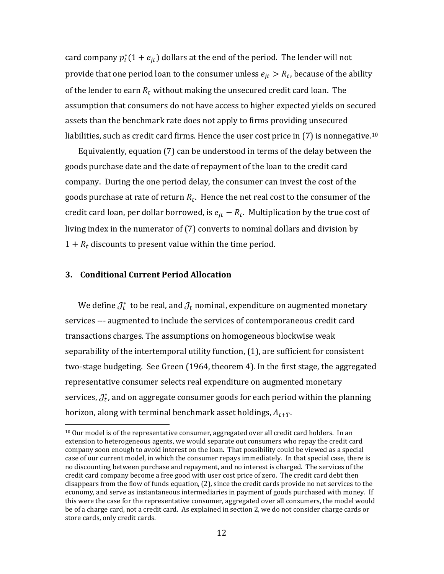card company  $p_t^*(1 + e_{jt})$  dollars at the end of the period. The lender will not provide that one period loan to the consumer unless  $e_{jt} > R_t$ , because of the ability of the lender to earn  $R_t$  without making the unsecured credit card loan. The assumption that consumers do not have access to higher expected yields on secured assets than the benchmark rate does not apply to firms providing unsecured liabilities, such as credit card firms. Hence the user cost price in  $(7)$  is nonnegative.<sup>[10](#page-12-0)</sup>

Equivalently, equation (7) can be understood in terms of the delay between the goods purchase date and the date of repayment of the loan to the credit card company. During the one period delay, the consumer can invest the cost of the goods purchase at rate of return  $R_t$ . Hence the net real cost to the consumer of the credit card loan, per dollar borrowed, is  $e_{jt} - R_t$ . Multiplication by the true cost of living index in the numerator of (7) converts to nominal dollars and division by  $1 + R_t$  discounts to present value within the time period.

# **3. Conditional Current Period Allocation**

<u>.</u>

We define  $\mathcal{J}^*_t\;$  to be real, and  $\mathcal{J}_t$  nominal, expenditure on augmented monetary services --- augmented to include the services of contemporaneous credit card transactions charges. The assumptions on homogeneous blockwise weak separability of the intertemporal utility function, (1), are sufficient for consistent two-stage budgeting. See Green (1964, theorem 4). In the first stage, the aggregated representative consumer selects real expenditure on augmented monetary services,  $\mathcal{J}^*_t$ , and on aggregate consumer goods for each period within the planning horizon, along with terminal benchmark asset holdings,  $A_{t+T}$ .

<span id="page-12-0"></span><sup>10</sup> Our model is of the representative consumer, aggregated over all credit card holders. In an extension to heterogeneous agents, we would separate out consumers who repay the credit card company soon enough to avoid interest on the loan. That possibility could be viewed as a special case of our current model, in which the consumer repays immediately. In that special case, there is no discounting between purchase and repayment, and no interest is charged. The services of the credit card company become a free good with user cost price of zero. The credit card debt then disappears from the flow of funds equation, (2), since the credit cards provide no net services to the economy, and serve as instantaneous intermediaries in payment of goods purchased with money. If this were the case for the representative consumer, aggregated over all consumers, the model would be of a charge card, not a credit card. As explained in section 2, we do not consider charge cards or store cards, only credit cards.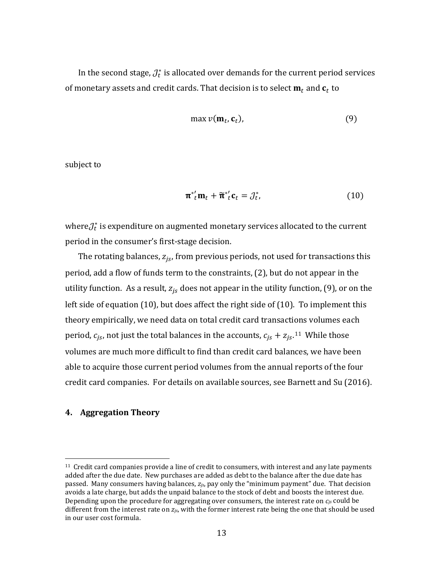In the second stage,  $\mathcal{J}^*_t$  is allocated over demands for the current period services of monetary assets and credit cards. That decision is to select  $\mathbf{m}_t$  and  $\mathbf{c}_t$  to

$$
\max v(\mathbf{m}_t, \mathbf{c}_t),\tag{9}
$$

subject to

$$
\boldsymbol{\pi}^*{}^t_t \mathbf{m}_t + \widetilde{\boldsymbol{\pi}}^*{}^t_t \mathbf{c}_t = \mathcal{J}_t^*,\tag{10}
$$

where $\mathcal{J}^*_t$  is expenditure on augmented monetary services allocated to the current period in the consumer's first-stage decision.

The rotating balances,  $z_{is}$ , from previous periods, not used for transactions this period, add a flow of funds term to the constraints, (2), but do not appear in the utility function. As a result,  $z_{js}$  does not appear in the utility function, (9), or on the left side of equation (10), but does affect the right side of (10). To implement this theory empirically, we need data on total credit card transacti[on](#page-13-0)s volumes each period,  $c_{js}$ , not just the total balances in the accounts,  $c_{js} + z_{js}.$ <sup>11</sup> While those volumes are much more difficult to find than credit card balances, we have been able to acquire those current period volumes from the annual reports of the four credit card companies. For details on available sources, see Barnett and Su (2016).

# **4. Aggregation Theory**

<u>.</u>

<span id="page-13-0"></span><sup>&</sup>lt;sup>11</sup> Credit card companies provide a line of credit to consumers, with interest and any late payments added after the due date. New purchases are added as debt to the balance after the due date has passed. Many consumers having balances, *zjs*, pay only the "minimum payment" due. That decision avoids a late charge, but adds the unpaid balance to the stock of debt and boosts the interest due. Depending upon the procedure for aggregating over consumers, the interest rate on *cjs* could be different from the interest rate on *zjs*, with the former interest rate being the one that should be used in our user cost formula.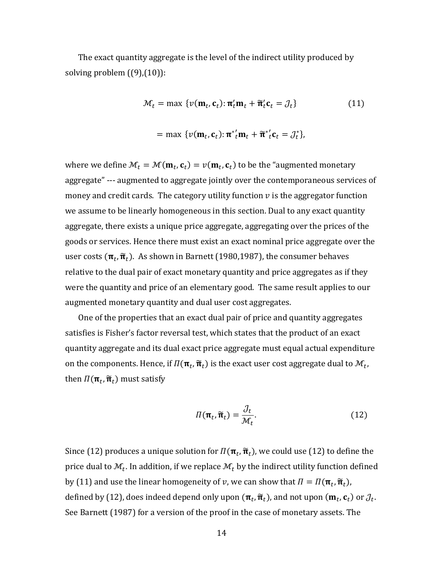The exact quantity aggregate is the level of the indirect utility produced by solving problem  $((9),(10))$ :

$$
\mathcal{M}_t = \max \{ v(\mathbf{m}_t, \mathbf{c}_t) : \mathbf{\pi}_t' \mathbf{m}_t + \widetilde{\mathbf{\pi}}_t' \mathbf{c}_t = \mathcal{J}_t \}
$$
(11)  
= max \{ v(\mathbf{m}\_t, \mathbf{c}\_t) : \mathbf{\pi}\_t' \mathbf{m}\_t + \widetilde{\mathbf{\pi}}\_t' \mathbf{c}\_t = \mathcal{J}\_t^\* \},

where we define  $\mathcal{M}_t = \mathcal{M}(\mathbf{m}_t, \mathbf{c}_t) = v(\mathbf{m}_t, \mathbf{c}_t)$  to be the "augmented monetary aggregate" --- augmented to aggregate jointly over the contemporaneous services of money and credit cards. The category utility function  $v$  is the aggregator function we assume to be linearly homogeneous in this section. Dual to any exact quantity aggregate, there exists a unique price aggregate, aggregating over the prices of the goods or services. Hence there must exist an exact nominal price aggregate over the user costs  $(\boldsymbol{\pi}_t, \boldsymbol{\widetilde{\pi}}_t)$ . As shown in Barnett (1980,1987), the consumer behaves relative to the dual pair of exact monetary quantity and price aggregates as if they were the quantity and price of an elementary good. The same result applies to our augmented monetary quantity and dual user cost aggregates.

One of the properties that an exact dual pair of price and quantity aggregates satisfies is Fisher's factor reversal test, which states that the product of an exact quantity aggregate and its dual exact price aggregate must equal actual expenditure on the components. Hence, if  $\Pi(\bm{\pi}_t, \widetilde{\bm{\pi}}_t)$  is the exact user cost aggregate dual to  $\mathcal{M}_t$ , then  $\Pi(\boldsymbol{\pi}_t, \boldsymbol{\widetilde{\pi}}_t)$  must satisfy

$$
\Pi(\mathbf{\pi}_t, \widetilde{\mathbf{\pi}}_t) = \frac{\partial_t}{\mathcal{M}_t}.
$$
\n(12)

Since (12) produces a unique solution for  $\Pi(\bm{\pi}_t, \bm{\widetilde{\pi}}_t)$ , we could use (12) to define the price dual to  $\mathcal{M}_t.$  In addition, if we replace  $\mathcal{M}_t$  by the indirect utility function defined by (11) and use the linear homogeneity of  $v$ , we can show that  $\Pi = \Pi(\bm{\pi}_t, \widetilde{\bm{\pi}}_t)$ , defined by (12), does indeed depend only upon  $(\bm{\pi}_t, \bm{\widetilde{\pi}}_t)$ , and not upon  $(\bm{m}_t, \bm{c}_t)$  or  $\mathcal{J}_t$ . See Barnett (1987) for a version of the proof in the case of monetary assets. The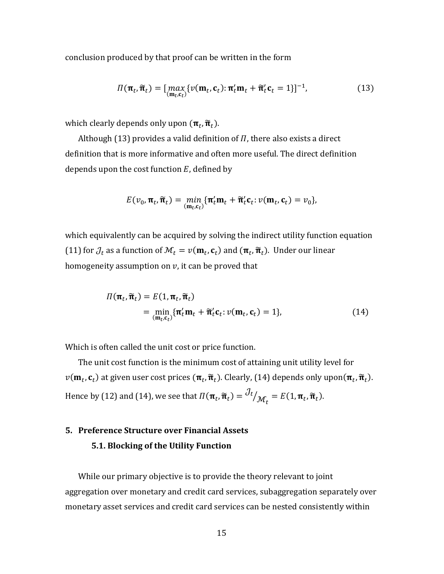conclusion produced by that proof can be written in the form

$$
\Pi(\mathbf{\pi}_t, \widetilde{\mathbf{\pi}}_t) = [\max_{(\mathbf{m}_t, \mathbf{c}_t)} \{v(\mathbf{m}_t, \mathbf{c}_t) : \mathbf{\pi}_t' \mathbf{m}_t + \widetilde{\mathbf{\pi}}_t' \mathbf{c}_t = 1\}]^{-1},\tag{13}
$$

which clearly depends only upon  $(\boldsymbol{\pi}_t, \widetilde{\boldsymbol{\pi}}_t).$ 

Although (13) provides a valid definition of  $\Pi$ , there also exists a direct definition that is more informative and often more useful. The direct definition depends upon the cost function  $E$ , defined by

$$
E(v_0, \boldsymbol{\pi}_t, \widetilde{\boldsymbol{\pi}}_t) = \min_{(\mathbf{m}_t, \mathbf{c}_t)} \{ \mathbf{\pi}_t' \mathbf{m}_t + \widetilde{\mathbf{\pi}}_t' \mathbf{c}_t : v(\mathbf{m}_t, \mathbf{c}_t) = v_0 \},
$$

which equivalently can be acquired by solving the indirect utility function equation (11) for  $\mathcal{J}_t$  as a function of  $\mathcal{M}_t = v(\mathbf{m}_t, \mathbf{c}_t)$  and  $(\mathbf{\pi}_t, \widetilde{\mathbf{\pi}}_t)$ . Under our linear homogeneity assumption on  $v$ , it can be proved that

$$
\Pi(\mathbf{\pi}_t, \widetilde{\mathbf{\pi}}_t) = E(1, \mathbf{\pi}_t, \widetilde{\mathbf{\pi}}_t)
$$
  
= 
$$
\min_{(\mathbf{m}_t, \mathbf{c}_t)} \{ \mathbf{\pi}_t' \mathbf{m}_t + \widetilde{\mathbf{\pi}}_t' \mathbf{c}_t : \nu(\mathbf{m}_t, \mathbf{c}_t) = 1 \},
$$
 (14)

Which is often called the unit cost or price function.

The unit cost function is the minimum cost of attaining unit utility level for  $v(\mathbf{m}_t, \mathbf{c}_t)$  at given user cost prices  $(\mathbf{\pi}_t, \widetilde{\mathbf{\pi}}_t)$ . Clearly, (14) depends only upon $(\mathbf{\pi}_t, \widetilde{\mathbf{\pi}}_t)$ . Hence by (12) and (14), we see that  $\Pi(\boldsymbol{\pi}_t, \boldsymbol{\widetilde{\pi}}_t) = \partial_t$  $\mathcal{M}_t = E(1, \pi_t, \widetilde{\pi}_t).$ 

# **5. Preference Structure over Financial Assets 5.1. Blocking of the Utility Function**

While our primary objective is to provide the theory relevant to joint aggregation over monetary and credit card services, subaggregation separately over monetary asset services and credit card services can be nested consistently within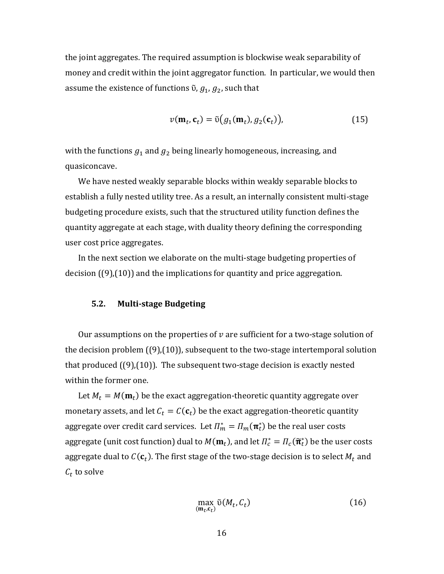the joint aggregates. The required assumption is blockwise weak separability of money and credit within the joint aggregator function. In particular, we would then assume the existence of functions  $\tilde{v}$ ,  $g_1$ ,  $g_2$ , such that

$$
v(\mathbf{m}_t, \mathbf{c}_t) = \tilde{v}(g_1(\mathbf{m}_t), g_2(\mathbf{c}_t)),
$$
\n(15)

with the functions  $g_1$  and  $g_2$  being linearly homogeneous, increasing, and quasiconcave.

We have nested weakly separable blocks within weakly separable blocks to establish a fully nested utility tree. As a result, an internally consistent multi-stage budgeting procedure exists, such that the structured utility function defines the quantity aggregate at each stage, with duality theory defining the corresponding user cost price aggregates.

In the next section we elaborate on the multi-stage budgeting properties of decision ((9),(10)) and the implications for quantity and price aggregation.

# **5.2. Multi-stage Budgeting**

Our assumptions on the properties of  $\nu$  are sufficient for a two-stage solution of the decision problem ((9),(10)), subsequent to the two-stage intertemporal solution that produced ((9),(10)). The subsequent two-stage decision is exactly nested within the former one.

Let  $M_t = M(\mathbf{m}_t)$  be the exact aggregation-theoretic quantity aggregate over monetary assets, and let  $C_t = C(c_t)$  be the exact aggregation-theoretic quantity aggregate over credit card services. Let  $\Pi^*_m=\Pi_m(\bm{\pi}^*_t)$  be the real user costs aggregate (unit cost function) dual to  $M(\mathbf{m}_t)$ , and let  $\Pi_c^* = \Pi_c(\widetilde{\mathbf{n}}_t^*)$  be the user costs aggregate dual to  $\mathcal{C}(\mathbf{c}_t)$ . The first stage of the two-stage decision is to select  $M_t$  and  $C_t$  to solve

$$
\max_{\left(\mathbf{m}_t,\mathbf{c}_t\right)} \tilde{\mathbf{U}}(M_t, C_t) \tag{16}
$$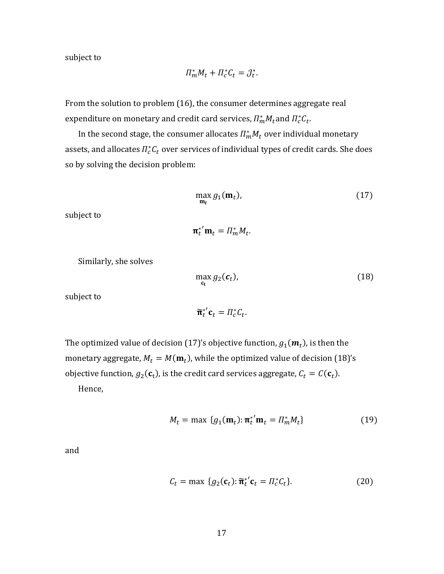subject to

$$
\Pi_m^* M_t + \Pi_c^* C_t = \mathcal{J}_t^*.
$$

From the solution to problem (16), the consumer determines aggregate real expenditure on monetary and credit card services,  $\Pi_m^*M_t$ and  $\Pi_c^*{\cal C}_t.$ 

In the second stage, the consumer allocates  $\Pi_m^*M_t$  over individual monetary assets, and allocates  $\Pi^*_cC_t$  over services of individual types of credit cards. She does so by solving the decision problem:

$$
\max_{\mathbf{m}_t} g_1(\mathbf{m}_t),\tag{17}
$$

subject to

 $\boldsymbol{\pi}_t^{*'} \mathbf{m}_t = \boldsymbol{\varPi}_m^* \boldsymbol{M}_t.$ 

Similarly, she solves

$$
\max_{\mathbf{c}_t} g_2(\mathbf{c}_t),\tag{18}
$$

subject to

$$
\widetilde{\boldsymbol{\pi}}_t^{*'}\mathbf{c}_t = \Pi_c^*C_t.
$$

The optimized value of decision (17)'s objective function,  $g_1(\bm{m}_t)$ , is then the monetary aggregate,  $M_t = M(\mathbf{m}_t)$ , while the optimized value of decision (18)'s objective function,  $g_2(\mathbf{c}_t)$ , is the credit card services aggregate,  $C_t = C(\mathbf{c}_t)$ .

Hence,

$$
M_t = \max \left\{ g_1(\mathbf{m}_t) : \mathbf{\pi}_t^{*'} \mathbf{m}_t = \Pi_m^* M_t \right\} \tag{19}
$$

and

$$
C_t = \max \{ g_2(\mathbf{c}_t) : \widetilde{\mathbf{\pi}}_t^{*'} \mathbf{c}_t = \Pi_c^* C_t \}. \tag{20}
$$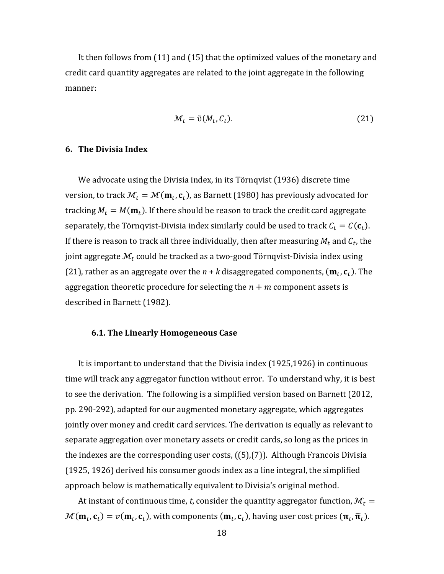It then follows from (11) and (15) that the optimized values of the monetary and credit card quantity aggregates are related to the joint aggregate in the following manner:

$$
\mathcal{M}_t = \tilde{\upsilon}(M_t, C_t). \tag{21}
$$

# **6. The Divisia Index**

We advocate using the Divisia index, in its Törnqvist (1936) discrete time version, to track  $\mathcal{M}_t = \mathcal{M}(\mathbf{m}_t, \mathbf{c}_t)$ , as Barnett (1980) has previously advocated for tracking  $M_t = M(\mathbf{m}_t)$ . If there should be reason to track the credit card aggregate separately, the Törnqvist-Divisia index similarly could be used to track  $\mathcal{C}_t = \mathcal{C}(\mathbf{c}_t)$ . If there is reason to track all three individually, then after measuring  $M_t$  and  $\mathcal{C}_t$ , the joint aggregate  $\mathcal{M}_t$  could be tracked as a two-good Törnqvist-Divisia index using (21), rather as an aggregate over the  $n + k$  disaggregated components,  $(\mathbf{m}_t, \mathbf{c}_t)$ . The aggregation theoretic procedure for selecting the  $n + m$  component assets is described in Barnett (1982).

#### **6.1. The Linearly Homogeneous Case**

It is important to understand that the Divisia index (1925,1926) in continuous time will track any aggregator function without error. To understand why, it is best to see the derivation. The following is a simplified version based on Barnett (2012, pp. 290-292), adapted for our augmented monetary aggregate, which aggregates jointly over money and credit card services. The derivation is equally as relevant to separate aggregation over monetary assets or credit cards, so long as the prices in the indexes are the corresponding user costs, ((5),(7)). Although Francois Divisia (1925, 1926) derived his consumer goods index as a line integral, the simplified approach below is mathematically equivalent to Divisia's original method.

At instant of continuous time, *t*, consider the quantity aggregator function,  $M_t =$  $M(\mathbf{m}_t, \mathbf{c}_t) = v(\mathbf{m}_t, \mathbf{c}_t)$ , with components  $(\mathbf{m}_t, \mathbf{c}_t)$ , having user cost prices  $(\mathbf{\pi}_t, \widetilde{\mathbf{\pi}}_t)$ .

18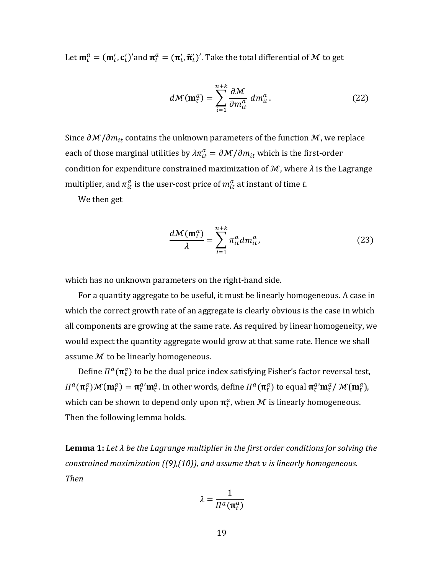Let  $\mathbf{m}_t^a = (\mathbf{m}_t', \mathbf{c}_t')'$ and  $\mathbf{\pi}_t^a = (\mathbf{\pi}_t', \widetilde{\mathbf{\pi}}_t')'$ . Take the total differential of  $\mathcal M$  to get

$$
d\mathcal{M}(\mathbf{m}_t^a) = \sum_{i=1}^{n+k} \frac{\partial \mathcal{M}}{\partial m_{it}^a} dm_{it}^a.
$$
 (22)

Since  $\partial M/\partial m_{it}$  contains the unknown parameters of the function M, we replace each of those marginal utilities by  $\lambda\pi_{it}^a = \partial \mathcal{M}/\partial m_{it}$  which is the first-order condition for expenditure constrained maximization of  $M$ , where  $\lambda$  is the Lagrange multiplier, and  $\pi_{it}^a$  is the user-cost price of  $m_{it}^a$  at instant of time  $t$ .

We then get

$$
\frac{d\mathcal{M}(\mathbf{m}_t^a)}{\lambda} = \sum_{i=1}^{n+k} \pi_{it}^a dm_{it}^a,
$$
\n(23)

which has no unknown parameters on the right-hand side.

For a quantity aggregate to be useful, it must be linearly homogeneous. A case in which the correct growth rate of an aggregate is clearly obvious is the case in which all components are growing at the same rate. As required by linear homogeneity, we would expect the quantity aggregate would grow at that same rate. Hence we shall assume  $M$  to be linearly homogeneous.

Define  $\Pi^a(\bm{\pi}^a_t)$  to be the dual price index satisfying Fisher's factor reversal test,  $\Pi^a(\pi_t^a)\mathcal{M}(m_t^a) = \pi_t^{a'}m_t^a$ . In other words, define  $\Pi^a(\pi_t^a)$  to equal  $\pi_t^{a'}m_t^a/\mathcal{M}(m_t^a)$ , which can be shown to depend only upon  $\boldsymbol{\pi}^a_t$ , when  $\mathcal M$  is linearly homogeneous. Then the following lemma holds.

**Lemma 1:** *Let be the Lagrange multiplier in the first order conditions for solving the constrained maximization ((9),(10)), and assume that is linearly homogeneous. Then*

$$
\lambda = \frac{1}{\Pi^a(\pi_t^a)}
$$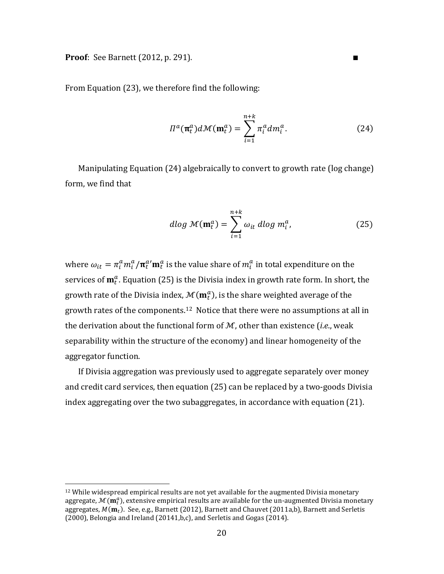**Proof**: See Barnett (2012, p. 291)*.* ∎

<u>.</u>

From Equation (23), we therefore find the following:

$$
\Pi^{a}(\mathbf{\pi}_{t}^{a})d\mathcal{M}(\mathbf{m}_{t}^{a}) = \sum_{i=1}^{n+k} \pi_{i}^{a} dm_{i}^{a}.
$$
 (24)

Manipulating Equation (24) algebraically to convert to growth rate (log change) form, we find that

$$
d \log \mathcal{M}(\mathbf{m}_t^a) = \sum_{i=1}^{n+k} \omega_{it} \, d \log \, m_i^a, \tag{25}
$$

where  $\omega_{it} = \pi_i^a m_i^a / \pi_i^a'$  is the value share of  $m_i^a$  in total expenditure on the services of  $\mathbf{m}_t^a$ . Equation (25) is the Divisia index in growth rate form. In short, the growth rate of the Divisia index,  $\mathcal{M}(\mathbf{m}_t^a)$ , is the share weighted average of the growth rates of the components.<sup>12</sup> Notice that there were no assumptions at all in the derivation about the functional form of  $M$ , other than existence (*i.e.*, weak separability within the structure of the economy) and linear homogeneity of the aggregator function.

If Divisia aggregation was previously used to aggregate separately over money and credit card services, then equation (25) can be replaced by a two-goods Divisia index aggregating over the two subaggregates, in accordance with equation (21).

<span id="page-20-0"></span> $12$  While widespread empirical results are not yet available for the augmented Divisia monetary aggregate,  $\mathcal{M}(\mathbf{m}_t^a)$ , extensive empirical results are available for the un-augmented Divisia monetary aggregates,  $M(\mathbf{m}_t)$ . See, e.g., Barnett (2012), Barnett and Chauvet (2011a,b), Barnett and Serletis (2000), Belongia and Ireland (20141,b,c), and Serletis and Gogas (2014).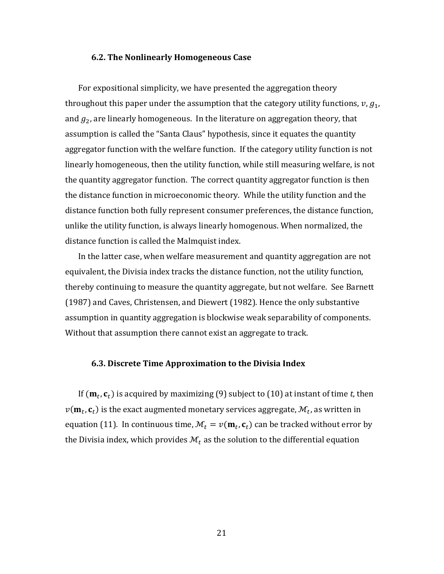#### **6.2. The Nonlinearly Homogeneous Case**

For expositional simplicity, we have presented the aggregation theory throughout this paper under the assumption that the category utility functions,  $v, g_1$ , and  $g_2$ , are linearly homogeneous. In the literature on aggregation theory, that assumption is called the "Santa Claus" hypothesis, since it equates the quantity aggregator function with the welfare function. If the category utility function is not linearly homogeneous, then the utility function, while still measuring welfare, is not the quantity aggregator function. The correct quantity aggregator function is then the distance function in microeconomic theory. While the utility function and the distance function both fully represent consumer preferences, the distance function, unlike the utility function, is always linearly homogenous. When normalized, the distance function is called the Malmquist index.

In the latter case, when welfare measurement and quantity aggregation are not equivalent, the Divisia index tracks the distance function, not the utility function, thereby continuing to measure the quantity aggregate, but not welfare. See Barnett (1987) and Caves, Christensen, and Diewert (1982). Hence the only substantive assumption in quantity aggregation is blockwise weak separability of components. Without that assumption there cannot exist an aggregate to track.

#### **6.3. Discrete Time Approximation to the Divisia Index**

If  $(\mathbf{m}_t, \mathbf{c}_t)$  is acquired by maximizing (9) subject to (10) at instant of time  $t$ , then  $v(\mathbf{m}_t, \mathbf{c}_t)$  is the exact augmented monetary services aggregate,  $\mathcal{M}_t$ , as written in equation (11). In continuous time,  $M_t = v(\mathbf{m}_t, \mathbf{c}_t)$  can be tracked without error by the Divisia index, which provides  $M_t$  as the solution to the differential equation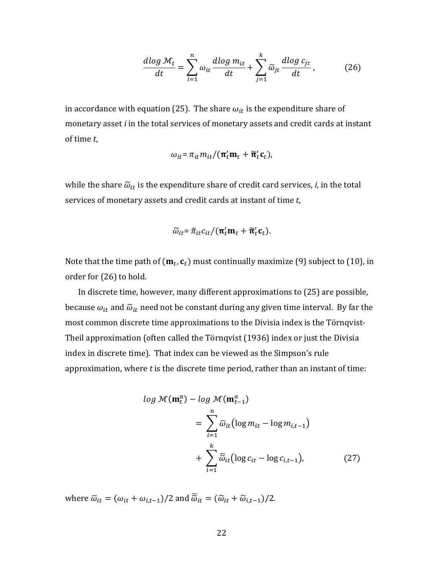$$
\frac{d \log \mathcal{M}_t}{dt} = \sum_{i=1}^n \omega_{it} \frac{d \log m_{it}}{dt} + \sum_{j=1}^k \widetilde{\omega}_{jt} \frac{d \log c_{jt}}{dt},
$$
(26)

in accordance with equation (25). The share  $\omega_{it}$  is the expenditure share of monetary asset *i* in the total services of monetary assets and credit cards at instant of time *t*,

$$
\omega_{it} = \pi_{it} m_{it} / (\pi_t' m_t + \widetilde{\pi}_t' c_t),
$$

while the share  $\tilde{\omega}_{it}$  is the expenditure share of credit card services, *i*, in the total services of monetary assets and credit cards at instant of time *t*,

$$
\widetilde{\omega}_{it} = \widetilde{\pi}_{it} c_{it} / (\pi_t' \mathbf{m}_t + \widetilde{\pi}_t' \mathbf{c}_t).
$$

Note that the time path of  $(\mathbf{m}_t, \mathbf{c}_t)$  must continually maximize (9) subject to (10), in order for (26) to hold.

In discrete time, however, many different approximations to (25) are possible, because  $\omega_{it}$  and  $\widetilde{\omega}_{it}$  need not be constant during any given time interval. By far the most common discrete time approximations to the Divisia index is the Törnqvist-Theil approximation (often called the Törnqvist (1936) index or just the Divisia index in discrete time). That index can be viewed as the Simpson's rule approximation, where *t* is the discrete time period, rather than an instant of time:

$$
log\ \mathcal{M}(\mathbf{m}_t^a) - log\ \mathcal{M}(\mathbf{m}_{t-1}^a)
$$
  
= 
$$
\sum_{i=1}^n \overline{\omega}_{it} \left( log\ m_{it} - log\ m_{i,t-1} \right)
$$
  
+ 
$$
\sum_{i=1}^k \overline{\widetilde{\omega}}_{it} \left( log\ c_{it} - log\ c_{i,t-1} \right), \tag{27}
$$

where  $\overline{\omega}_{it} = (\omega_{it} + \omega_{i,t-1})/2$  and  $\overline{\tilde{\omega}}_{it} = (\tilde{\omega}_{it} + \tilde{\omega}_{i,t-1})/2$ .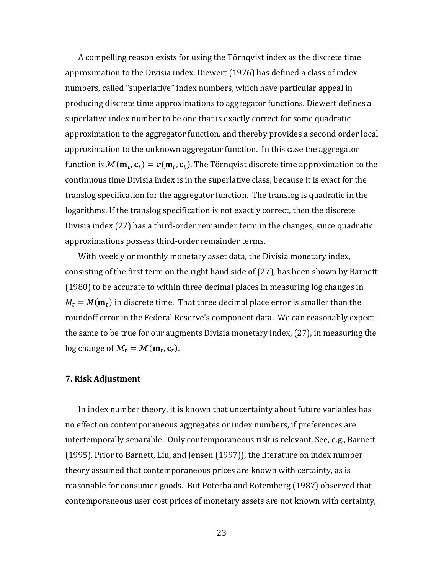A compelling reason exists for using the Törnqvist index as the discrete time approximation to the Divisia index. Diewert (1976) has defined a class of index numbers, called "superlative" index numbers, which have particular appeal in producing discrete time approximations to aggregator functions. Diewert defines a superlative index number to be one that is exactly correct for some quadratic approximation to the aggregator function, and thereby provides a second order local approximation to the unknown aggregator function. In this case the aggregator function is  $\mathcal{M}(\mathbf{m}_t, \mathbf{c}_t) = v(\mathbf{m}_t, \mathbf{c}_t)$ . The Törnqvist discrete time approximation to the continuous time Divisia index is in the superlative class, because it is exact for the translog specification for the aggregator function. The translog is quadratic in the logarithms. If the translog specification is not exactly correct, then the discrete Divisia index (27) has a third-order remainder term in the changes, since quadratic approximations possess third-order remainder terms.

With weekly or monthly monetary asset data, the Divisia monetary index, consisting of the first term on the right hand side of (27), has been shown by Barnett (1980) to be accurate to within three decimal places in measuring log changes in  $M_t = M(\mathbf{m}_t)$  in discrete time. That three decimal place error is smaller than the roundoff error in the Federal Reserve's component data. We can reasonably expect the same to be true for our augments Divisia monetary index, (27), in measuring the log change of  $M_t = M(\mathbf{m}_t, \mathbf{c}_t)$ .

# **7. Risk Adjustment**

In index number theory, it is known that uncertainty about future variables has no effect on contemporaneous aggregates or index numbers, if preferences are intertemporally separable. Only contemporaneous risk is relevant. See, e.g., Barnett (1995). Prior to Barnett, Liu, and Jensen (1997)), the literature on index number theory assumed that contemporaneous prices are known with certainty, as is reasonable for consumer goods. But Poterba and Rotemberg (1987) observed that contemporaneous user cost prices of monetary assets are not known with certainty,

23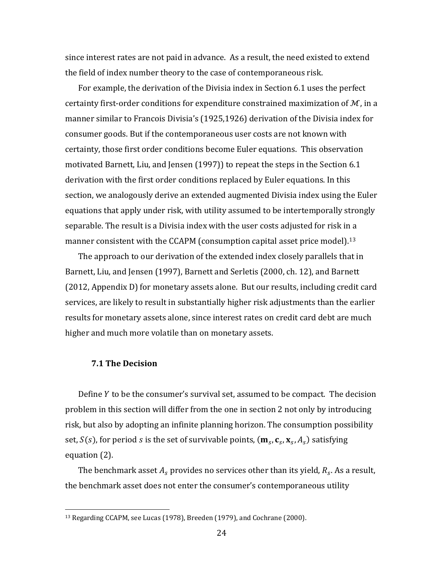since interest rates are not paid in advance. As a result, the need existed to extend the field of index number theory to the case of contemporaneous risk.

For example, the derivation of the Divisia index in Section 6.1 uses the perfect certainty first-order conditions for expenditure constrained maximization of  $M$ , in a manner similar to Francois Divisia's (1925,1926) derivation of the Divisia index for consumer goods. But if the contemporaneous user costs are not known with certainty, those first order conditions become Euler equations. This observation motivated Barnett, Liu, and Jensen (1997)) to repeat the steps in the Section 6.1 derivation with the first order conditions replaced by Euler equations. In this section, we analogously derive an extended augmented Divisia index using the Euler equations that apply under risk, with utility assumed to be intertemporally strongly separable. The result is a Divisia index with the user costs adjusted for risk i[n a](#page-24-0) manner consistent with the CCAPM (consumption capital asset price model). 13

The approach to our derivation of the extended index closely parallels that in Barnett, Liu, and Jensen (1997), Barnett and Serletis (2000, ch. 12), and Barnett (2012, Appendix D) for monetary assets alone. But our results, including credit card services, are likely to result in substantially higher risk adjustments than the earlier results for monetary assets alone, since interest rates on credit card debt are much higher and much more volatile than on monetary assets.

# **7.1 The Decision**

-

Define Y to be the consumer's survival set, assumed to be compact. The decision problem in this section will differ from the one in section 2 not only by introducing risk, but also by adopting an infinite planning horizon. The consumption possibility set,  $S(s)$ , for period  $s$  is the set of survivable points,  $(\mathbf{m}_s, \mathbf{c}_s, \mathbf{x}_s, A_s)$  satisfying equation (2).

The benchmark asset  $A_s$  provides no services other than its yield,  $R_s$ . As a result, the benchmark asset does not enter the consumer's contemporaneous utility

<span id="page-24-0"></span><sup>13</sup> Regarding CCAPM, see Lucas (1978), Breeden (1979), and Cochrane (2000).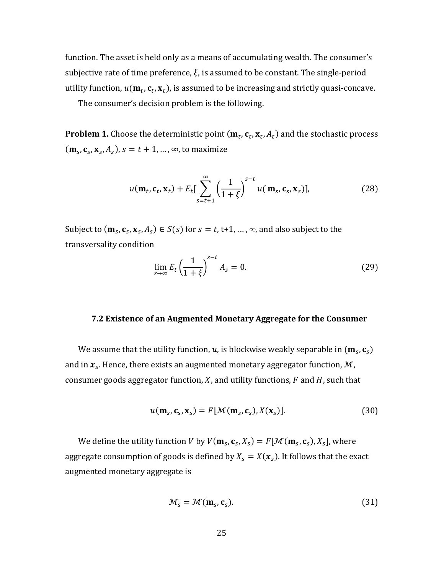function. The asset is held only as a means of accumulating wealth. The consumer's subjective rate of time preference,  $\xi$ , is assumed to be constant. The single-period utility function,  $u(\mathbf{m}_t, \mathbf{c}_t, \mathbf{x}_t)$ , is assumed to be increasing and strictly quasi-concave.

The consumer's decision problem is the following.

**Problem 1.** Choose the deterministic point  $(\mathbf{m}_t, \mathbf{c}_t, \mathbf{x}_t, A_t)$  and the stochastic process  $(\mathbf{m}_s, \mathbf{c}_s, \mathbf{x}_s, A_s)$ ,  $s = t + 1, ..., \infty$ , to maximize

$$
u(\mathbf{m}_t, \mathbf{c}_t, \mathbf{x}_t) + E_t \left[ \sum_{s=t+1}^{\infty} \left( \frac{1}{1+\xi} \right)^{s-t} u(\mathbf{m}_s, \mathbf{c}_s, \mathbf{x}_s) \right],
$$
 (28)

Subject to  $(\mathbf{m}_s, \mathbf{c}_s, \mathbf{x}_s, A_s) \in S(s)$  for  $s = t, t+1, ..., \infty$ , and also subject to the transversality condition

$$
\lim_{s \to \infty} E_t \left( \frac{1}{1 + \xi} \right)^{s - t} A_s = 0. \tag{29}
$$

#### **7.2 Existence of an Augmented Monetary Aggregate for the Consumer**

We assume that the utility function,  $u$ , is blockwise weakly separable in  $(\mathbf{m}_s,\mathbf{c}_s)$ and in  $x_s$ . Hence, there exists an augmented monetary aggregator function,  $\mathcal M$ , consumer goods aggregator function,  $X$ , and utility functions,  $F$  and  $H$ , such that

$$
u(\mathbf{m}_s, \mathbf{c}_s, \mathbf{x}_s) = F[\mathcal{M}(\mathbf{m}_s, \mathbf{c}_s), X(\mathbf{x}_s)].
$$
\n(30)

We define the utility function V by  $V(\mathbf{m}_s, \mathbf{c}_s, X_s) = F[\mathcal{M}(\mathbf{m}_s, \mathbf{c}_s), X_s]$ , where aggregate consumption of goods is defined by  $X_s = X(\boldsymbol{x}_s)$ . It follows that the exact augmented monetary aggregate is

$$
\mathcal{M}_s = \mathcal{M}(\mathbf{m}_s, \mathbf{c}_s). \tag{31}
$$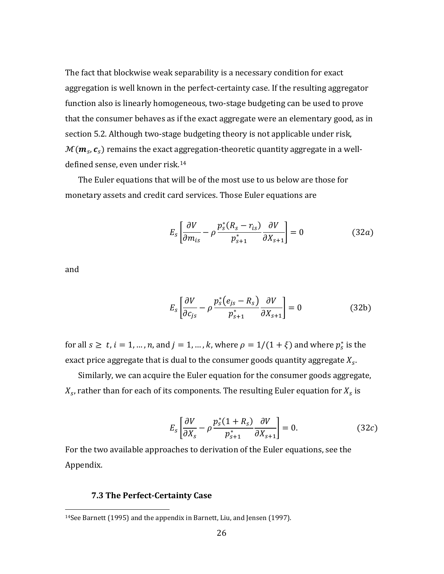The fact that blockwise weak separability is a necessary condition for exact aggregation is well known in the perfect-certainty case. If the resulting aggregator function also is linearly homogeneous, two-stage budgeting can be used to prove that the consumer behaves as if the exact aggregate were an elementary good, as in section 5.2. Although two-stage budgeting theory is not applicable under risk,  $\mathcal{M}(\bm{m}_{s},\bm{c}_{s})$  remains the exact a[gg](#page-26-0)regation-theoretic quantity aggregate in a welldefined sense, even under risk.<sup>14</sup>

The Euler equations that will be of the most use to us below are those for monetary assets and credit card services. Those Euler equations are

$$
E_s \left[ \frac{\partial V}{\partial m_{is}} - \rho \frac{p_s^*(R_s - r_{is})}{p_{s+1}^*} \frac{\partial V}{\partial X_{s+1}} \right] = 0 \tag{32a}
$$

and

-

$$
E_s \left[ \frac{\partial V}{\partial c_{js}} - \rho \frac{p_s^*(e_{js} - R_s)}{p_{s+1}^*} \frac{\partial V}{\partial X_{s+1}} \right] = 0 \tag{32b}
$$

for all  $s \ge t$ ,  $i = 1, ..., n$ , and  $j = 1, ..., k$ , where  $\rho = 1/(1 + \xi)$  and where  $p_s^*$  is the exact price aggregate that is dual to the consumer goods quantity aggregate  $X_{s}$ .

Similarly, we can acquire the Euler equation for the consumer goods aggregate,  $X_{\mathcal{S}}$ , rather than for each of its components. The resulting Euler equation for  $X_{\mathcal{S}}$  is

$$
E_s \left[ \frac{\partial V}{\partial X_s} - \rho \frac{p_s^*(1 + R_s)}{p_{s+1}^*} \frac{\partial V}{\partial X_{s+1}} \right] = 0. \tag{32c}
$$

For the two available approaches to derivation of the Euler equations, see the Appendix.

# **7.3 The Perfect-Certainty Case**

<span id="page-26-0"></span><sup>14</sup>See Barnett (1995) and the appendix in Barnett, Liu, and Jensen (1997).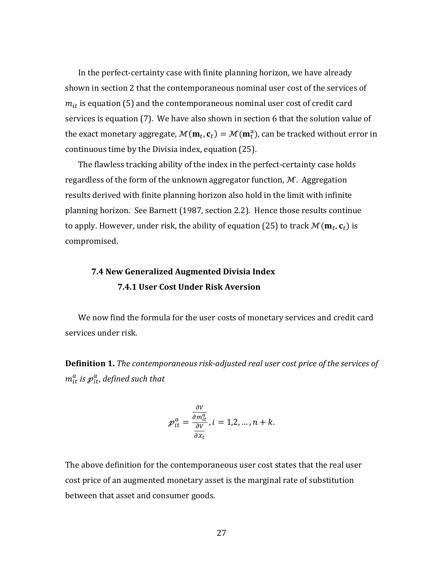In the perfect-certainty case with finite planning horizon, we have already shown in section 2 that the contemporaneous nominal user cost of the services of  $m_{it}$  is equation (5) and the contemporaneous nominal user cost of credit card services is equation (7). We have also shown in section 6 that the solution value of the exact monetary aggregate,  $\mathcal{M}(\mathbf{m}_t, \mathbf{c}_t) = \mathcal{M}(\mathbf{m}_t^{\text{a}})$ , can be tracked without error in continuous time by the Divisia index, equation (25).

The flawless tracking ability of the index in the perfect-certainty case holds regardless of the form of the unknown aggregator function,  $\mathcal M$ . Aggregation results derived with finite planning horizon also hold in the limit with infinite planning horizon. See Barnett (1987, section 2.2). Hence those results continue to apply. However, under risk, the ability of equation (25) to track  $\mathcal{M}(\mathbf{m}_t,\mathbf{c}_t)$  is compromised.

# **7.4 New Generalized Augmented Divisia Index 7.4.1 User Cost Under Risk Aversion**

We now find the formula for the user costs of monetary services and credit card services under risk.

**Definition 1.** *The contemporaneous risk-adjusted real user cost price of the services of*   $m_{it}^a$  is  ${\color{black} p}_{it}^a$ , defined such that

$$
\mathcal{P}_{it}^a = \frac{\frac{\partial V}{\partial m_{it}^a}}{\frac{\partial V}{\partial x_t}}, i = 1, 2, ..., n + k.
$$

The above definition for the contemporaneous user cost states that the real user cost price of an augmented monetary asset is the marginal rate of substitution between that asset and consumer goods.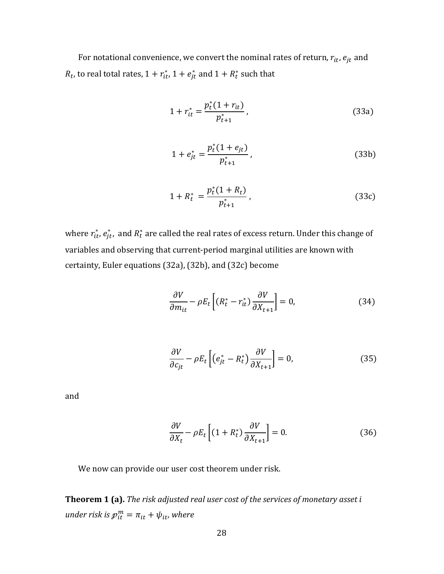For notational convenience, we convert the nominal rates of return,  $r_{it}$ ,  $e_{jt}$  and  $R_t$ , to real total rates,  $1 + r_{it}^*$ ,  $1 + e_{jt}^*$  and  $1 + R_t^*$  such that

$$
1 + r_{it}^* = \frac{p_t^*(1 + r_{it})}{p_{t+1}^*},
$$
\n(33a)

$$
1 + e_{jt}^* = \frac{p_t^*(1 + e_{jt})}{p_{t+1}^*},
$$
\n(33b)

$$
1 + R_t^* = \frac{p_t^*(1 + R_t)}{p_{t+1}^*},
$$
\n(33c)

where  $r_{it}^*, e_{jt}^*$ , and  $R_t^*$  are called the real rates of excess return. Under this change of variables and observing that current-period marginal utilities are known with certainty, Euler equations (32a), (32b), and (32c) become

$$
\frac{\partial V}{\partial m_{it}} - \rho E_t \left[ (R_t^* - r_{it}^*) \frac{\partial V}{\partial X_{t+1}} \right] = 0, \tag{34}
$$

$$
\frac{\partial V}{\partial c_{jt}} - \rho E_t \left[ \left( e_{jt}^* - R_t^* \right) \frac{\partial V}{\partial X_{t+1}} \right] = 0, \tag{35}
$$

and

$$
\frac{\partial V}{\partial X_t} - \rho E_t \left[ (1 + R_t^*) \frac{\partial V}{\partial X_{t+1}} \right] = 0. \tag{36}
$$

We now can provide our user cost theorem under risk.

**Theorem 1 (a).** *The risk adjusted real user cost of the services of monetary asset under risk is*  $p_{it}^m = \pi_{it} + \psi_{it}$ *, where*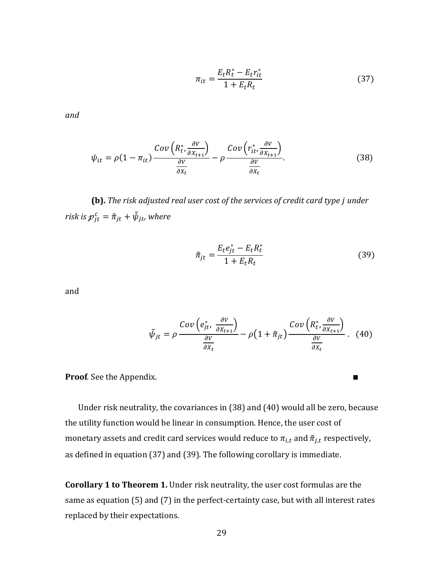$$
\pi_{it} = \frac{E_t R_t^* - E_t r_{it}^*}{1 + E_t R_t}
$$
\n(37)

*and*

$$
\psi_{it} = \rho (1 - \pi_{it}) \frac{Cov\left(R_t^*, \frac{\partial V}{\partial X_{t+1}}\right)}{\frac{\partial V}{\partial X_t}} - \rho \frac{Cov\left(r_{it}^*, \frac{\partial V}{\partial X_{t+1}}\right)}{\frac{\partial V}{\partial X_t}}.
$$
(38)

**(b).** *The risk adjusted real user cost of the services of credit card type under risk is*  $p_{jt}^c = \tilde{\pi}_{jt} + \tilde{\psi}_{jt}$ *, where* 

$$
\tilde{\pi}_{jt} = \frac{E_t e_{jt}^* - E_t R_t^*}{1 + E_t R_t} \tag{39}
$$

and

$$
\tilde{\psi}_{jt} = \rho \frac{Cov\left(e_{jt}^*, \frac{\partial V}{\partial X_{t+1}}\right)}{\frac{\partial V}{\partial X_t}} - \rho \left(1 + \tilde{\pi}_{jt}\right) \frac{Cov\left(R_t^*, \frac{\partial V}{\partial X_{t+1}}\right)}{\frac{\partial V}{\partial X_t}}.
$$
(40)

**Proof***.* See the Appendix. ∎

Under risk neutrality, the covariances in (38) and (40) would all be zero, because the utility function would be linear in consumption. Hence, the user cost of monetary assets and credit card services would reduce to  $\pi_{i,t}$  and  $\tilde{\pi}_{j,t}$  respectively, as defined in equation (37) and (39). The following corollary is immediate.

**Corollary 1 to Theorem 1.** Under risk neutrality, the user cost formulas are the same as equation (5) and (7) in the perfect-certainty case, but with all interest rates replaced by their expectations.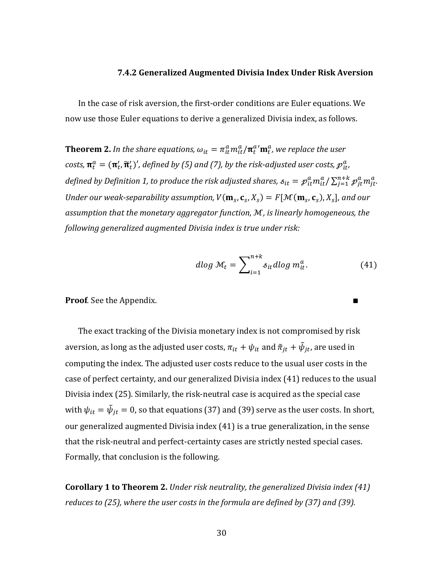#### **7.4.2 Generalized Augmented Divisia Index Under Risk Aversion**

In the case of risk aversion, the first-order conditions are Euler equations. We now use those Euler equations to derive a generalized Divisia index, as follows.

**Theorem 2.** In the share equations,  $\omega_{it} = \pi_{it}^a m_{it}^a / \pi_t^a' m_t^a$ , we replace the user costs,  $\mathbf{\pi}_t^a = (\mathbf{\pi}_t', \mathbf{\widetilde{\pi}}_t')'$ , defined by (5) and (7), by the risk-adjusted user costs,  $p_{it}^a$ defined by Definition 1, to produce the risk adjusted shares,  $s_{it} = \mathcal{P}_{it}^a m_{it}^a / \sum_{j=1}^{n+k} \mathcal{P}_{jt}^a m_{jt}^a$ . Under our weak-separability assumption,  $V(\mathbf{m}_s, \mathbf{c}_s, X_s) = F[\mathcal{M}(\mathbf{m}_s, \mathbf{c}_s), X_s]$ , and our *assumption that the monetary aggregator function,* ℳ*, is linearly homogeneous, the following generalized augmented Divisia index is true under risk:*

$$
d\log \mathcal{M}_t = \sum_{i=1}^{n+k} s_{it} d\log m_{it}^a.
$$
 (41)

**Proof**. See the Appendix.

The exact tracking of the Divisia monetary index is not compromised by risk aversion, as long as the adjusted user costs,  $\pi_{it} + \psi_{it}$  and  $\tilde{\pi}_{jt} + \tilde{\psi}_{jt}$ , are used in computing the index. The adjusted user costs reduce to the usual user costs in the case of perfect certainty, and our generalized Divisia index (41) reduces to the usual Divisia index (25). Similarly, the risk-neutral case is acquired as the special case with  $\psi_{it} = \dot{\psi}_{jt} = 0$ , so that equations (37) and (39) serve as the user costs. In short, our generalized augmented Divisia index (41) is a true generalization, in the sense that the risk-neutral and perfect-certainty cases are strictly nested special cases. Formally, that conclusion is the following.

**Corollary 1 to Theorem 2.** *Under risk neutrality, the generalized Divisia index (41) reduces to (25), where the user costs in the formula are defined by (37) and (39).*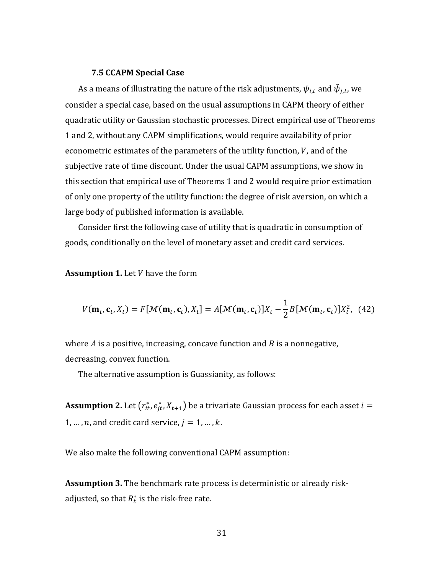#### **7.5 CCAPM Special Case**

As a means of illustrating the nature of the risk adjustments,  $\psi_{i,t}$  and  $\bar{\psi}_{j,t}$ , we consider a special case, based on the usual assumptions in CAPM theory of either quadratic utility or Gaussian stochastic processes. Direct empirical use of Theorems 1 and 2, without any CAPM simplifications, would require availability of prior econometric estimates of the parameters of the utility function,  $V$ , and of the subjective rate of time discount. Under the usual CAPM assumptions, we show in this section that empirical use of Theorems 1 and 2 would require prior estimation of only one property of the utility function: the degree of risk aversion, on which a large body of published information is available.

Consider first the following case of utility that is quadratic in consumption of goods, conditionally on the level of monetary asset and credit card services.

**Assumption 1.** Let *V* have the form

$$
V(\mathbf{m}_t, \mathbf{c}_t, X_t) = F[\mathcal{M}(\mathbf{m}_t, \mathbf{c}_t), X_t] = A[\mathcal{M}(\mathbf{m}_t, \mathbf{c}_t)]X_t - \frac{1}{2}B[\mathcal{M}(\mathbf{m}_t, \mathbf{c}_t)]X_t^2, (42)
$$

where  $\vec{A}$  is a positive, increasing, concave function and  $\vec{B}$  is a nonnegative, decreasing, convex function.

The alternative assumption is Guassianity, as follows:

 ${\bf Assumption~2.}$  Let  $\left( {r_{it}^*,\mathit{e_{jt}^*,X_{t+1}}} \right)$  be a trivariate Gaussian process for each asset  $i=$ 1, ..., n, and credit card service,  $j = 1, ..., k$ .

We also make the following conventional CAPM assumption:

**Assumption 3.** The benchmark rate process is deterministic or already riskadjusted, so that  $R_t^*$  is the risk-free rate.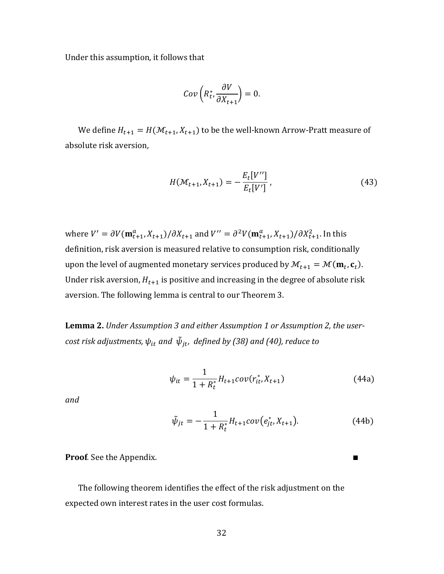Under this assumption, it follows that

$$
Cov\left(R_t^*, \frac{\partial V}{\partial X_{t+1}}\right) = 0.
$$

We define  $H_{t+1} = H(\mathcal{M}_{t+1}, X_{t+1})$  to be the well-known Arrow-Pratt measure of absolute risk aversion,

$$
H(\mathcal{M}_{t+1}, X_{t+1}) = -\frac{E_t[V'']}{E_t[V']},
$$
\n(43)

where  $V' = \partial V(\mathbf{m}_{t+1}^a, X_{t+1})/\partial X_{t+1}$  and  $V'' = \partial^2 V(\mathbf{m}_{t+1}^a, X_{t+1})/\partial X_{t+1}^2$ . In this definition, risk aversion is measured relative to consumption risk, conditionally upon the level of augmented monetary services produced by  $\mathcal{M}_{t+1} = \mathcal{M}(\mathbf{m}_t, \mathbf{c}_t)$ . Under risk aversion,  $H_{t+1}$  is positive and increasing in the degree of absolute risk aversion. The following lemma is central to our Theorem 3.

**Lemma 2.** *Under Assumption 3 and either Assumption 1 or Assumption 2, the user-* $\mathit{cost}$  risk adjustments,  $\psi_{it}$  and  $\,\tilde{\psi}_{jt}$ , defined by (38) and (40), reduce to

$$
\psi_{it} = \frac{1}{1 + R_t^*} H_{t+1} cov(r_{it}^*, X_{t+1})
$$
\n(44a)

*and*

$$
\tilde{\psi}_{jt} = -\frac{1}{1 + R_t^*} H_{t+1} cov(e_{jt}^*, X_{t+1}). \tag{44b}
$$

**Proof***.* See the Appendix. ∎

The following theorem identifies the effect of the risk adjustment on the expected own interest rates in the user cost formulas.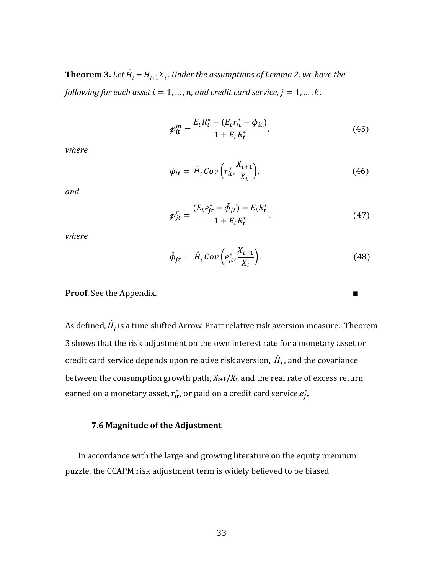**Theorem 3.** Let  $\hat{H}_t = H_{t+1}X_t$ . Under the assumptions of Lemma 2, we have the *following for each asset*  $i = 1, ..., n$ , and credit card service,  $j = 1, ..., k$ .

$$
\mathcal{P}_{it}^{m} = \frac{E_t R_t^* - (E_t r_{it}^* - \phi_{it})}{1 + E_t R_t^*},
$$
\n(45)

*where*

$$
\phi_{it} = \hat{H}_t \text{Cov}\left(r_{it}^* \frac{X_{t+1}}{X_t}\right),\tag{46}
$$

*and*

$$
\mathcal{P}_{jt}^c = \frac{(E_t e_{jt}^* - \tilde{\phi}_{jt}) - E_t R_t^*}{1 + E_t R_t^*},\tag{47}
$$

*where*

$$
\tilde{\phi}_{jt} = \hat{H}_t \, Cov\left(e_{jt}^* \frac{X_{t+1}}{X_t}\right). \tag{48}
$$

**Proof**. See the Appendix.

As defined,  $\hat{H}^{}_{t}$  is a time shifted Arrow-Pratt relative risk aversion measure. Theorem 3 shows that the risk adjustment on the own interest rate for a monetary asset or credit card service depends upon relative risk aversion,  $\hat{H}_t$  , and the covariance between the consumption growth path,  $X_{t+1}/X_t$ , and the real rate of excess return earned on a monetary asset,  $r_{it}^*$ , or paid on a credit card service, $e_{jt}^*$ .

# **7.6 Magnitude of the Adjustment**

In accordance with the large and growing literature on the equity premium puzzle, the CCAPM risk adjustment term is widely believed to be biased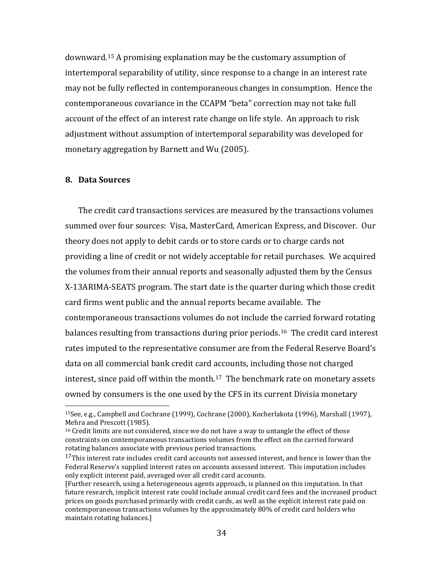downward.[15](#page-34-0) A promising explanation may be the customary assumption of intertemporal separability of utility, since response to a change in an interest rate may not be fully reflected in contemporaneous changes in consumption. Hence the contemporaneous covariance in the CCAPM "beta" correction may not take full account of the effect of an interest rate change on life style. An approach to risk adjustment without assumption of intertemporal separability was developed for monetary aggregation by Barnett and Wu (2005).

# **8. Data Sources**

<u>.</u>

The credit card transactions services are measured by the transactions volumes summed over four sources: Visa, MasterCard, American Express, and Discover. Our theory does not apply to debit cards or to store cards or to charge cards not providing a line of credit or not widely acceptable for retail purchases. We acquired the volumes from their annual reports and seasonally adjusted them by the Census X-13ARIMA-SEATS program. The start date is the quarter during which those credit card firms went public and the annual reports became available. The contemporaneous transactions volumes do not include th[e c](#page-34-1)arried forward rotating balances resulting from transactions during prior periods.16 The credit card interest rates imputed to the representative consumer are from the Federal Reserve Board's data on all commercial bank credit card [acc](#page-34-2)ounts, including those not charged interest, since paid off within the month. <sup>17</sup> The benchmark rate on monetary assets owned by consumers is the one used by the CFS in its current Divisia monetary

<span id="page-34-0"></span><sup>15</sup>See, e.g., Campbell and Cochrane (1999), Cochrane (2000), Kocherlakota (1996), Marshall (1997), Mehra and Prescott (1985).

<span id="page-34-1"></span><sup>&</sup>lt;sup>16</sup> Credit limits are not considered, since we do not have a way to untangle the effect of those constraints on contemporaneous transactions volumes from the effect on the carried forward rotating balances associate with previous period transactions.

<span id="page-34-2"></span><sup>&</sup>lt;sup>17</sup>This interest rate includes credit card accounts not assessed interest, and hence is lower than the Federal Reserve's supplied interest rates on accounts assessed interest. This imputation includes only explicit interest paid, averaged over all credit card accounts.

<sup>[</sup>Further research, using a heterogeneous agents approach, is planned on this imputation. In that future research, implicit interest rate could include annual credit card fees and the increased product prices on goods purchased primarily with credit cards, as well as the explicit interest rate paid on contemporaneous transactions volumes by the approximately 80% of credit card holders who maintain rotating balances.]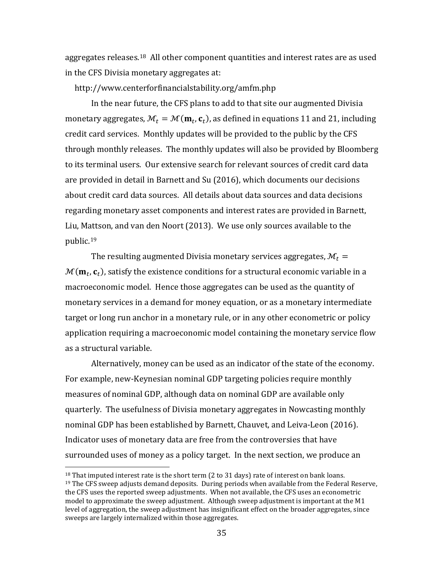aggregates releases.[18](#page-35-0) All other component quantities and interest rates are as used in the CFS Divisia monetary aggregates at:

http://www.centerforfinancialstability.org/amfm.php

In the near future, the CFS plans to add to that site our augmented Divisia monetary aggregates,  $\mathcal{M}_t = \mathcal{M}(\mathbf{m}_t, \mathbf{c}_t)$ , as defined in equations 11 and 21, including credit card services. Monthly updates will be provided to the public by the CFS through monthly releases. The monthly updates will also be provided by Bloomberg to its terminal users. Our extensive search for relevant sources of credit card data are provided in detail in Barnett and Su (2016), which documents our decisions about credit card data sources. All details about data sources and data decisions regarding monetary asset components and interest rates are provided in Barnett, Liu, M[att](#page-35-1)son, and van den Noort (2013). We use only sources available to the public.<sup>19</sup>

The resulting augmented Divisia monetary services aggregates,  $M_t =$  $\mathcal{M}(\mathbf{m}_t, \mathbf{c}_t)$ , satisfy the existence conditions for a structural economic variable in a macroeconomic model. Hence those aggregates can be used as the quantity of monetary services in a demand for money equation, or as a monetary intermediate target or long run anchor in a monetary rule, or in any other econometric or policy application requiring a macroeconomic model containing the monetary service flow as a structural variable.

Alternatively, money can be used as an indicator of the state of the economy. For example, new-Keynesian nominal GDP targeting policies require monthly measures of nominal GDP, although data on nominal GDP are available only quarterly. The usefulness of Divisia monetary aggregates in Nowcasting monthly nominal GDP has been established by Barnett, Chauvet, and Leiva-Leon (2016). Indicator uses of monetary data are free from the controversies that have surrounded uses of money as a policy target. In the next section, we produce an

<u>.</u>

<span id="page-35-1"></span><span id="page-35-0"></span> $18$  That imputed interest rate is the short term (2 to 31 days) rate of interest on bank loans.  $19$  The CFS sweep adjusts demand deposits. During periods when available from the Federal Reserve, the CFS uses the reported sweep adjustments. When not available, the CFS uses an econometric model to approximate the sweep adjustment. Although sweep adjustment is important at the M1 level of aggregation, the sweep adjustment has insignificant effect on the broader aggregates, since sweeps are largely internalized within those aggregates.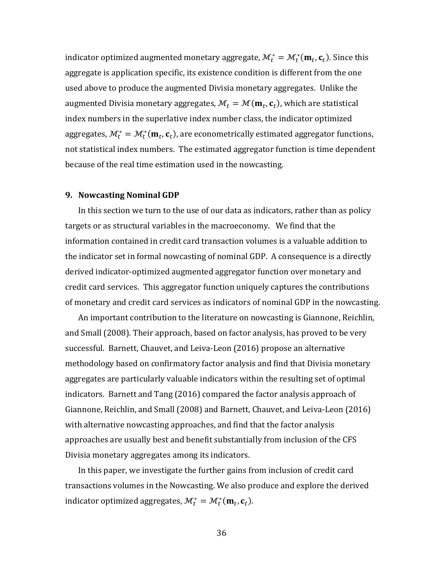indicator optimized augmented monetary aggregate,  $\mathcal{M}_t^* = \mathcal{M}_t^*(\mathbf{m}_t, \mathbf{c}_t)$ . Since this aggregate is application specific, its existence condition is different from the one used above to produce the augmented Divisia monetary aggregates. Unlike the augmented Divisia monetary aggregates,  $\mathcal{M}_t = \mathcal{M}(\mathbf{m}_t, \mathbf{c}_t)$ , which are statistical index numbers in the superlative index number class, the indicator optimized aggregates,  $\mathcal{M}_t^* = \mathcal{M}_t^*(\mathbf{m}_t, \mathbf{c}_t)$ , are econometrically estimated aggregator functions, not statistical index numbers. The estimated aggregator function is time dependent because of the real time estimation used in the nowcasting.

#### **9. Nowcasting Nominal GDP**

In this section we turn to the use of our data as indicators, rather than as policy targets or as structural variables in the macroeconomy. We find that the information contained in credit card transaction volumes is a valuable addition to the indicator set in formal nowcasting of nominal GDP. A consequence is a directly derived indicator-optimized augmented aggregator function over monetary and credit card services. This aggregator function uniquely captures the contributions of monetary and credit card services as indicators of nominal GDP in the nowcasting.

An important contribution to the literature on nowcasting is Giannone, Reichlin, and Small (2008). Their approach, based on factor analysis, has proved to be very successful. Barnett, Chauvet, and Leiva-Leon (2016) propose an alternative methodology based on confirmatory factor analysis and find that Divisia monetary aggregates are particularly valuable indicators within the resulting set of optimal indicators. Barnett and Tang (2016) compared the factor analysis approach of Giannone, Reichlin, and Small (2008) and Barnett, Chauvet, and Leiva-Leon (2016) with alternative nowcasting approaches, and find that the factor analysis approaches are usually best and benefit substantially from inclusion of the CFS Divisia monetary aggregates among its indicators.

In this paper, we investigate the further gains from inclusion of credit card transactions volumes in the Nowcasting. We also produce and explore the derived indicator optimized aggregates,  $\mathcal{M}_t^* = \mathcal{M}_t^*(\mathbf{m}_t, \mathbf{c}_t)$ .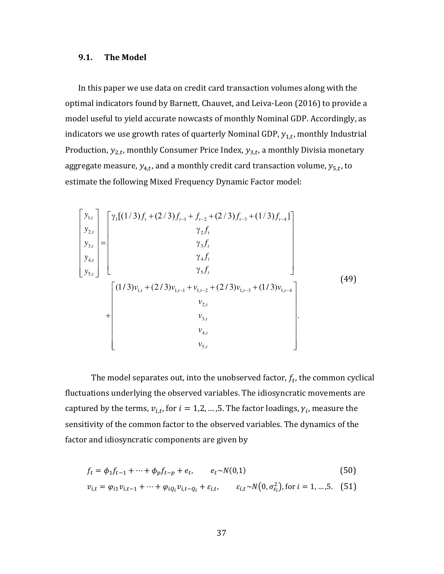#### **9.1. The Model**

In this paper we use data on credit card transaction volumes along with the optimal indicators found by Barnett, Chauvet, and Leiva-Leon (2016) to provide a model useful to yield accurate nowcasts of monthly Nominal GDP. Accordingly, as indicators we use growth rates of quarterly Nominal GDP,  $y_{1,t}$ , monthly Industrial Production,  $y_{2,t}$ , monthly Consumer Price Index,  $y_{3,t}$ , a monthly Divisia monetary aggregate measure,  $y_{4,t}$ , and a monthly credit card transaction volume,  $y_{5,t}$ , to estimate the following Mixed Frequency Dynamic Factor model:

$$
\begin{bmatrix}\ny_{1,t} \\
y_{2,t} \\
y_{3,t} \\
y_{4,t} \\
y_{5,t}\n\end{bmatrix} = \begin{bmatrix}\n\gamma_1[(1/3)f_t + (2/3)f_{t-1} + f_{t-2} + (2/3)f_{t-3} + (1/3)f_{t-4}]\n\gamma_2 f_t \\
\gamma_3 f_t \\
\gamma_4 f_t \\
\gamma_5 f_t \\
\gamma_6 f_t \\
\gamma_7 f_t \\
\gamma_8 f_t \\
\gamma_9 f_t\n\end{bmatrix}
$$
\n(49)  
\n
$$
+ \begin{bmatrix}\n(1/3)v_{1,t} + (2/3)v_{1,t-1} + v_{1,t-2} + (2/3)v_{1,t-3} + (1/3)v_{1,t-4} \\
v_{2,t} \\
\gamma_7 f_t \\
\gamma_8 f_t \\
\gamma_{9,t} \\
\gamma_{10,t} \\
\gamma_{11,t} \\
\gamma_{12,t} \\
\gamma_{23,t} \\
\gamma_{34,t} \\
\gamma_{4,t} \\
\gamma_{5,t}\n\end{bmatrix}
$$

The model separates out, into the unobserved factor,  $f_t$ , the common cyclical fluctuations underlying the observed variables. The idiosyncratic movements are captured by the terms,  $v_{i,t}$ , for  $i = 1, 2, ..., 5$ . The factor loadings,  $\gamma_i$ , measure the sensitivity of the common factor to the observed variables. The dynamics of the factor and idiosyncratic components are given by

$$
f_t = \phi_1 f_{t-1} + \dots + \phi_p f_{t-p} + e_t, \qquad e_t \sim N(0,1)
$$
 (50)

$$
v_{i,t} = \varphi_{i1} v_{i,t-1} + \dots + \varphi_{iQ_i} v_{i,t-Q_i} + \varepsilon_{i,t}, \qquad \varepsilon_{i,t} \sim N(0, \sigma_{\varepsilon_i}^2) \text{, for } i = 1, \dots, 5. \tag{51}
$$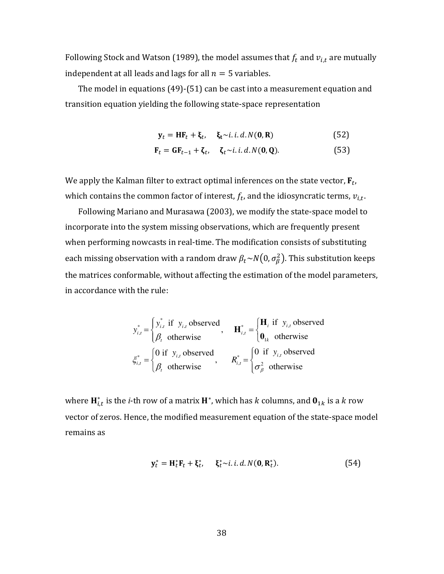Following Stock and Watson (1989), the model assumes that  $f_t$  and  $v_{i,t}$  are mutually independent at all leads and lags for all  $n = 5$  variables.

The model in equations (49)-(51) can be cast into a measurement equation and transition equation yielding the following state-space representation

$$
\mathbf{y}_t = \mathbf{H}\mathbf{F}_t + \boldsymbol{\xi}_t, \quad \boldsymbol{\xi}_t \sim i.i.d. N(\mathbf{0}, \mathbf{R}) \tag{52}
$$

$$
\mathbf{F}_t = \mathbf{G}\mathbf{F}_{t-1} + \boldsymbol{\zeta}_t, \quad \boldsymbol{\zeta}_t \sim i. \, i. \, d. \, N(\mathbf{0}, \mathbf{Q}). \tag{53}
$$

We apply the Kalman filter to extract optimal inferences on the state vector,  $\mathbf{F}_{t}$ , which contains the common factor of interest,  $f_t$ , and the idiosyncratic terms,  $v_{i,t}$ .

Following Mariano and Murasawa (2003), we modify the state-space model to incorporate into the system missing observations, which are frequently present when performing nowcasts in real-time. The modification consists of substituting each missing observation with a random draw  $\beta_t{\sim}N(0,\sigma_{\!\beta}^2).$  This substitution keeps the matrices conformable, without affecting the estimation of the model parameters, in accordance with the rule:

$$
y_{i,t}^* = \begin{cases} y_{i,t}^* & \text{if } y_{i,t} \text{ observed} \\ \beta_t & \text{otherwise} \end{cases}, \quad \mathbf{H}_{i,t}^* = \begin{cases} \mathbf{H}_i & \text{if } y_{i,t} \text{ observed} \\ \mathbf{0}_{1k} & \text{otherwise} \end{cases}
$$

$$
\xi_{i,t}^* = \begin{cases} 0 & \text{if } y_{i,t} \text{ observed} \\ \beta_t & \text{otherwise} \end{cases}, \quad R_{i,t}^* = \begin{cases} 0 & \text{if } y_{i,t} \text{ observed} \\ \sigma_{\beta}^2 & \text{otherwise} \end{cases}
$$

where  $\mathbf{H}_{i,t}^*$  is the *i*-th row of a matrix  $\mathbf{H}^*$ , which has  $k$  columns, and  $\mathbf{0}_{1k}$  is a  $k$  row vector of zeros. Hence, the modified measurement equation of the state-space model remains as

$$
\mathbf{y}_t^* = \mathbf{H}_t^* \mathbf{F}_t + \boldsymbol{\xi}_t^*, \quad \boldsymbol{\xi}_t^* \sim i. \, i. \, d. \, N(\mathbf{0}, \mathbf{R}_t^*). \tag{54}
$$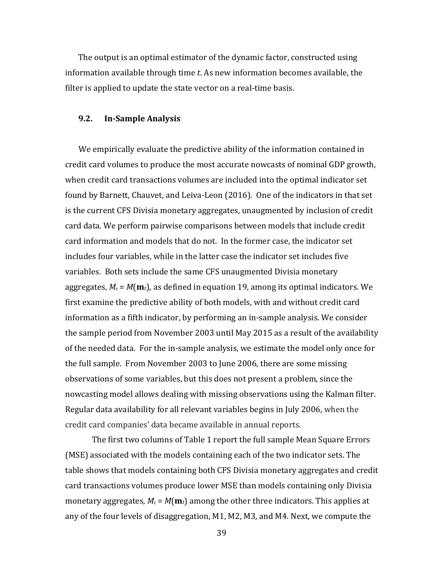The output is an optimal estimator of the dynamic factor, constructed using information available through time *t*. As new information becomes available, the filter is applied to update the state vector on a real-time basis.

#### **9.2. In-Sample Analysis**

 We empirically evaluate the predictive ability of the information contained in credit card volumes to produce the most accurate nowcasts of nominal GDP growth, when credit card transactions volumes are included into the optimal indicator set found by Barnett, Chauvet, and Leiva-Leon (2016). One of the indicators in that set is the current CFS Divisia monetary aggregates, unaugmented by inclusion of credit card data. We perform pairwise comparisons between models that include credit card information and models that do not. In the former case, the indicator set includes four variables, while in the latter case the indicator set includes five variables. Both sets include the same CFS unaugmented Divisia monetary aggregates,  $M_t = M(\mathbf{m}_t)$ , as defined in equation 19, among its optimal indicators. We first examine the predictive ability of both models, with and without credit card information as a fifth indicator, by performing an in-sample analysis. We consider the sample period from November 2003 until May 2015 as a result of the availability of the needed data. For the in-sample analysis, we estimate the model only once for the full sample. From November 2003 to June 2006, there are some missing observations of some variables, but this does not present a problem, since the nowcasting model allows dealing with missing observations using the Kalman filter. Regular data availability for all relevant variables begins in July 2006, when the credit card companies' data became available in annual reports.

 The first two columns of Table 1 report the full sample Mean Square Errors (MSE) associated with the models containing each of the two indicator sets. The table shows that models containing both CFS Divisia monetary aggregates and credit card transactions volumes produce lower MSE than models containing only Divisia monetary aggregates,  $M_t = M(\mathbf{m}_t)$  among the other three indicators. This applies at any of the four levels of disaggregation, M1, M2, M3, and M4. Next, we compute the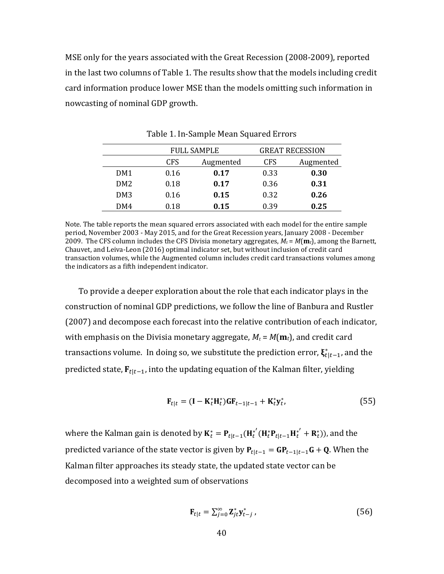MSE only for the years associated with the Great Recession (2008-2009), reported in the last two columns of Table 1. The results show that the models including credit card information produce lower MSE than the models omitting such information in nowcasting of nominal GDP growth.

|                 | <b>FULL SAMPLE</b> |           | <b>GREAT RECESSION</b> |           |  |
|-----------------|--------------------|-----------|------------------------|-----------|--|
|                 | <b>CFS</b>         | Augmented | <b>CFS</b>             | Augmented |  |
| DM <sub>1</sub> | 0.16               | 0.17      | 0.33                   | 0.30      |  |
| DM <sub>2</sub> | 0.18               | 0.17      | 0.36                   | 0.31      |  |
| DM <sub>3</sub> | 0.16               | 0.15      | 0.32                   | 0.26      |  |
| DM4             | 0.18               | 0.15      | 0.39                   | 0.25      |  |

Table 1. In-Sample Mean Squared Errors

Note. The table reports the mean squared errors associated with each model for the entire sample period, November 2003 - May 2015, and for the Great Recession years, January 2008 - December 2009. The CFS column includes the CFS Divisia monetary aggregates,  $M_t = M(\mathbf{m}_t)$ , among the Barnett, Chauvet, and Leiva-Leon (2016) optimal indicator set, but without inclusion of credit card transaction volumes, while the Augmented column includes credit card transactions volumes among the indicators as a fifth independent indicator.

 To provide a deeper exploration about the role that each indicator plays in the construction of nominal GDP predictions, we follow the line of Banbura and Rustler (2007) and decompose each forecast into the relative contribution of each indicator, with emphasis on the Divisia monetary aggregate,  $M_t = M(\mathbf{m}_t)$ , and credit card transactions volume. In doing so, we substitute the prediction error,  $\xi^*_{t|t-1}$ , and the predicted state,  $\mathbf{F}_{t|t-1}$ , into the updating equation of the Kalman filter, yielding

$$
\mathbf{F}_{t|t} = (\mathbf{I} - \mathbf{K}_t^* \mathbf{H}_t^*) \mathbf{G} \mathbf{F}_{t-1|t-1} + \mathbf{K}_t^* \mathbf{y}_t^*,
$$
(55)

where the Kalman gain is denoted by  $K_t^* = P_{t|t-1}(H_t^{*'}(H_t^*P_{t|t-1}H_t^{*'}+R_t^*))$ , and the predicted variance of the state vector is given by  $P_{t|t-1} = GP_{t-1|t-1}G + Q$ . When the Kalman filter approaches its steady state, the updated state vector can be decomposed into a weighted sum of observations

$$
\mathbf{F}_{t|t} = \sum_{j=0}^{\infty} \mathbf{Z}_{jt}^* \mathbf{y}_{t-j}^*,
$$
\n(56)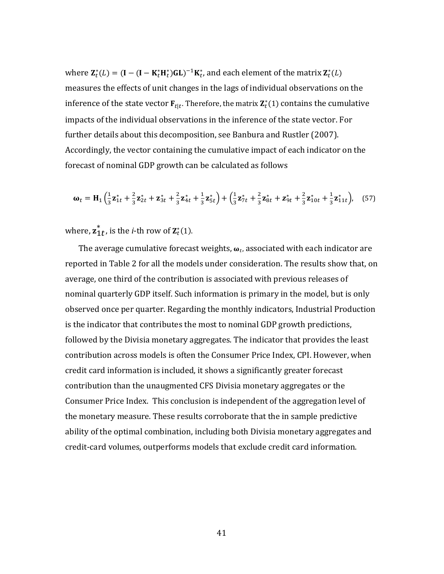where  $\mathbf{Z}_t^*(L) = (\mathbf{I} - (\mathbf{I} - \mathbf{K}_t^*\mathbf{H}_t^*)\mathbf{GL})^{-1}\mathbf{K}_t^*$ , and each element of the matrix  $\mathbf{Z}_t^*(L)$ measures the effects of unit changes in the lags of individual observations on the inference of the state vector  $\mathbf{F}_{t|t}$ . Therefore, the matrix  $\mathbf{Z}_{t}^{*}(1)$  contains the cumulative impacts of the individual observations in the inference of the state vector. For further details about this decomposition, see Banbura and Rustler (2007). Accordingly, the vector containing the cumulative impact of each indicator on the forecast of nominal GDP growth can be calculated as follows

$$
\mathbf{\omega}_{t} = \mathbf{H}_{1} \left( \frac{1}{3} \mathbf{z}_{1t}^{*} + \frac{2}{3} \mathbf{z}_{2t}^{*} + \mathbf{z}_{3t}^{*} + \frac{2}{3} \mathbf{z}_{4t}^{*} + \frac{1}{3} \mathbf{z}_{5t}^{*} \right) + \left( \frac{1}{3} \mathbf{z}_{7t}^{*} + \frac{2}{3} \mathbf{z}_{8t}^{*} + \mathbf{z}_{9t}^{*} + \frac{2}{3} \mathbf{z}_{10t}^{*} + \frac{1}{3} \mathbf{z}_{11t}^{*} \right), \quad (57)
$$

where,  $\mathbf{z}_{1t}^*$ , is the *i*-th row of  $\mathbf{Z}_t^*(1)$ .

The average cumulative forecast weights,  $\boldsymbol{\omega}_t$ , associated with each indicator are reported in Table 2 for all the models under consideration. The results show that, on average, one third of the contribution is associated with previous releases of nominal quarterly GDP itself. Such information is primary in the model, but is only observed once per quarter. Regarding the monthly indicators, Industrial Production is the indicator that contributes the most to nominal GDP growth predictions, followed by the Divisia monetary aggregates. The indicator that provides the least contribution across models is often the Consumer Price Index, CPI. However, when credit card information is included, it shows a significantly greater forecast contribution than the unaugmented CFS Divisia monetary aggregates or the Consumer Price Index. This conclusion is independent of the aggregation level of the monetary measure. These results corroborate that the in sample predictive ability of the optimal combination, including both Divisia monetary aggregates and credit-card volumes, outperforms models that exclude credit card information.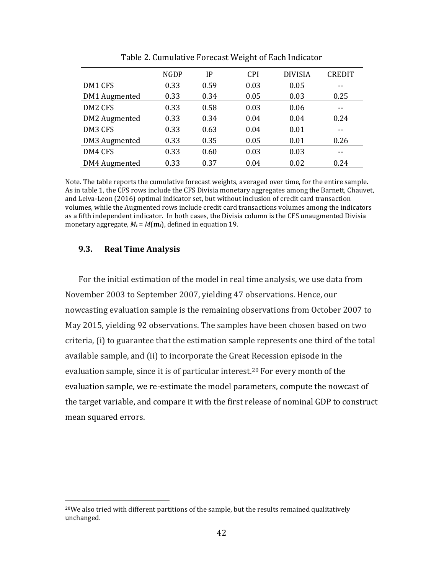|               | <b>NGDP</b> | IP   | <b>CPI</b> | <b>DIVISIA</b> | <b>CREDIT</b> |
|---------------|-------------|------|------------|----------------|---------------|
| DM1 CFS       | 0.33        | 0.59 | 0.03       | 0.05           |               |
| DM1 Augmented | 0.33        | 0.34 | 0.05       | 0.03           | 0.25          |
| DM2 CFS       | 0.33        | 0.58 | 0.03       | 0.06           |               |
| DM2 Augmented | 0.33        | 0.34 | 0.04       | 0.04           | 0.24          |
| DM3 CFS       | 0.33        | 0.63 | 0.04       | 0.01           |               |
| DM3 Augmented | 0.33        | 0.35 | 0.05       | 0.01           | 0.26          |
| DM4 CFS       | 0.33        | 0.60 | 0.03       | 0.03           |               |
| DM4 Augmented | 0.33        | 0.37 | 0.04       | 0.02           | 0.24          |

Table 2. Cumulative Forecast Weight of Each Indicator

Note. The table reports the cumulative forecast weights, averaged over time, for the entire sample. As in table 1, the CFS rows include the CFS Divisia monetary aggregates among the Barnett, Chauvet, and Leiva-Leon (2016) optimal indicator set, but without inclusion of credit card transaction volumes, while the Augmented rows include credit card transactions volumes among the indicators as a fifth independent indicator. In both cases, the Divisia column is the CFS unaugmented Divisia monetary aggregate,  $M_t = M(\mathbf{m}_t)$ , defined in equation 19.

## **9.3. Real Time Analysis**

 $\overline{a}$ 

 For the initial estimation of the model in real time analysis, we use data from November 2003 to September 2007, yielding 47 observations. Hence, our nowcasting evaluation sample is the remaining observations from October 2007 to May 2015, yielding 92 observations. The samples have been chosen based on two criteria, (i) to guarantee that the estimation sample represents one third of the total available sample, and (ii) to incorporate the Great [Re](#page-42-0)cession episode in the evaluation sample, since it is of particular interest. <sup>20</sup> For every month of the evaluation sample, we re-estimate the model parameters, compute the nowcast of the target variable, and compare it with the first release of nominal GDP to construct mean squared errors.

<span id="page-42-0"></span> $20$ We also tried with different partitions of the sample, but the results remained qualitatively unchanged.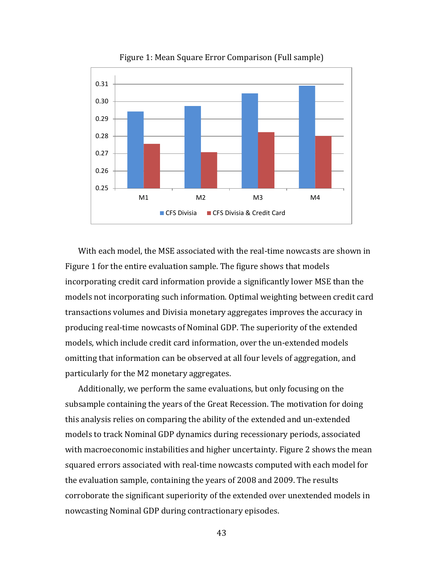

Figure 1: Mean Square Error Comparison (Full sample)

With each model, the MSE associated with the real-time nowcasts are shown in Figure 1 for the entire evaluation sample. The figure shows that models incorporating credit card information provide a significantly lower MSE than the models not incorporating such information. Optimal weighting between credit card transactions volumes and Divisia monetary aggregates improves the accuracy in producing real-time nowcasts of Nominal GDP. The superiority of the extended models, which include credit card information, over the un-extended models omitting that information can be observed at all four levels of aggregation, and particularly for the M2 monetary aggregates.

Additionally, we perform the same evaluations, but only focusing on the subsample containing the years of the Great Recession. The motivation for doing this analysis relies on comparing the ability of the extended and un-extended models to track Nominal GDP dynamics during recessionary periods, associated with macroeconomic instabilities and higher uncertainty. Figure 2 shows the mean squared errors associated with real-time nowcasts computed with each model for the evaluation sample, containing the years of 2008 and 2009. The results corroborate the significant superiority of the extended over unextended models in nowcasting Nominal GDP during contractionary episodes.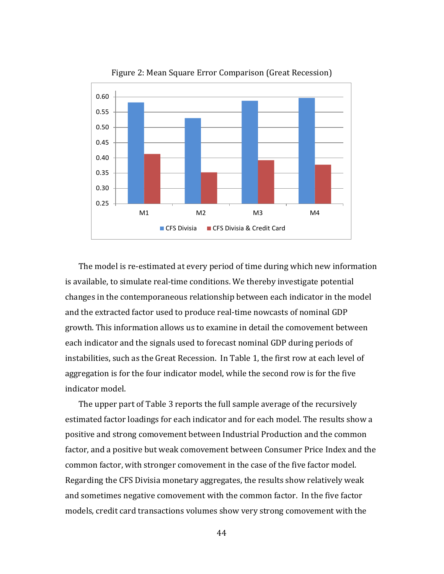

Figure 2: Mean Square Error Comparison (Great Recession)

 The model is re-estimated at every period of time during which new information is available, to simulate real-time conditions. We thereby investigate potential changes in the contemporaneous relationship between each indicator in the model and the extracted factor used to produce real-time nowcasts of nominal GDP growth. This information allows us to examine in detail the comovement between each indicator and the signals used to forecast nominal GDP during periods of instabilities, such as the Great Recession. In Table 1, the first row at each level of aggregation is for the four indicator model, while the second row is for the five indicator model.

 The upper part of Table 3 reports the full sample average of the recursively estimated factor loadings for each indicator and for each model. The results show a positive and strong comovement between Industrial Production and the common factor, and a positive but weak comovement between Consumer Price Index and the common factor, with stronger comovement in the case of the five factor model. Regarding the CFS Divisia monetary aggregates, the results show relatively weak and sometimes negative comovement with the common factor. In the five factor models, credit card transactions volumes show very strong comovement with the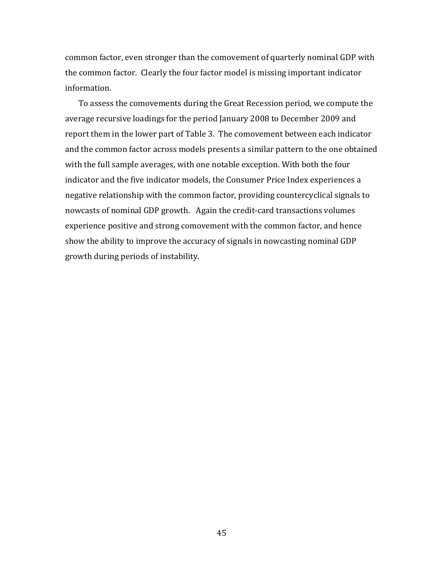common factor, even stronger than the comovement of quarterly nominal GDP with the common factor. Clearly the four factor model is missing important indicator information.

 To assess the comovements during the Great Recession period, we compute the average recursive loadings for the period January 2008 to December 2009 and report them in the lower part of Table 3. The comovement between each indicator and the common factor across models presents a similar pattern to the one obtained with the full sample averages, with one notable exception. With both the four indicator and the five indicator models, the Consumer Price Index experiences a negative relationship with the common factor, providing countercyclical signals to nowcasts of nominal GDP growth. Again the credit-card transactions volumes experience positive and strong comovement with the common factor, and hence show the ability to improve the accuracy of signals in nowcasting nominal GDP growth during periods of instability.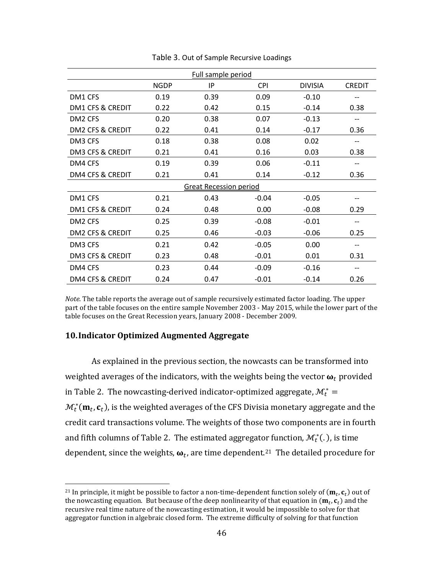| <b>Full sample period</b>     |             |      |            |                |               |  |  |  |
|-------------------------------|-------------|------|------------|----------------|---------------|--|--|--|
|                               | <b>NGDP</b> | IP   | <b>CPI</b> | <b>DIVISIA</b> | <b>CREDIT</b> |  |  |  |
| DM <sub>1</sub> CFS           | 0.19        | 0.39 | 0.09       | $-0.10$        | --            |  |  |  |
| DM1 CFS & CREDIT              | 0.22        | 0.42 | 0.15       | $-0.14$        | 0.38          |  |  |  |
| DM <sub>2</sub> CFS           | 0.20        | 0.38 | 0.07       | $-0.13$        |               |  |  |  |
| DM2 CFS & CREDIT              | 0.22        | 0.41 | 0.14       | $-0.17$        | 0.36          |  |  |  |
| DM3 CFS                       | 0.18        | 0.38 | 0.08       | 0.02           |               |  |  |  |
| <b>DM3 CFS &amp; CREDIT</b>   | 0.21        | 0.41 | 0.16       | 0.03           | 0.38          |  |  |  |
| DM4 CFS                       | 0.19        | 0.39 | 0.06       | $-0.11$        |               |  |  |  |
| <b>DM4 CFS &amp; CREDIT</b>   | 0.21        | 0.41 | 0.14       | $-0.12$        | 0.36          |  |  |  |
| <b>Great Recession period</b> |             |      |            |                |               |  |  |  |
| DM1 CFS                       | 0.21        | 0.43 | $-0.04$    | $-0.05$        |               |  |  |  |
| <b>DM1 CFS &amp; CREDIT</b>   | 0.24        | 0.48 | 0.00       | $-0.08$        | 0.29          |  |  |  |
| DM2 CFS                       | 0.25        | 0.39 | $-0.08$    | $-0.01$        |               |  |  |  |
| <b>DM2 CFS &amp; CREDIT</b>   | 0.25        | 0.46 | $-0.03$    | $-0.06$        | 0.25          |  |  |  |
| DM3 CFS                       | 0.21        | 0.42 | $-0.05$    | 0.00           |               |  |  |  |
| <b>DM3 CFS &amp; CREDIT</b>   | 0.23        | 0.48 | $-0.01$    | 0.01           | 0.31          |  |  |  |
| DM4 CFS                       | 0.23        | 0.44 | $-0.09$    | $-0.16$        |               |  |  |  |
| <b>DM4 CFS &amp; CREDIT</b>   | 0.24        | 0.47 | $-0.01$    | $-0.14$        | 0.26          |  |  |  |

Table 3. Out of Sample Recursive Loadings

*Note*. The table reports the average out of sample recursively estimated factor loading. The upper part of the table focuses on the entire sample November 2003 - May 2015, while the lower part of the table focuses on the Great Recession years, January 2008 - December 2009.

#### **10.Indicator Optimized Augmented Aggregate**

 $\overline{a}$ 

 As explained in the previous section, the nowcasts can be transformed into weighted averages of the indicators, with the weights being the vector  $\boldsymbol{\omega}_t$  provided in Table 2. The nowcasting-derived indicator-optimized aggregate,  $\mathcal{M}_t^*$  =  $\mathcal{M}_t^*(\mathbf{m}_t,\mathbf{c}_t)$ , is the weighted averages of the CFS Divisia monetary aggregate and the credit card transactions volume. The weights of those two components are in fourth and fifth columns of Table 2. The estimated aggregat[or f](#page-46-0)unction,  $\mathcal{M}_t^*(.)$ , is time dependent, since the weights,  $\boldsymbol{\omega}_t$ , are time dependent. $^{21}$  The detailed procedure for

<span id="page-46-0"></span><sup>&</sup>lt;sup>21</sup> In principle, it might be possible to factor a non-time-dependent function solely of  $(\mathbf{m}_t, \mathbf{c}_t)$  out of the nowcasting equation. But because of the deep nonlinearity of that equation in  $(\mathbf{m}_t,\mathbf{c}_t)$  and the recursive real time nature of the nowcasting estimation, it would be impossible to solve for that aggregator function in algebraic closed form. The extreme difficulty of solving for that function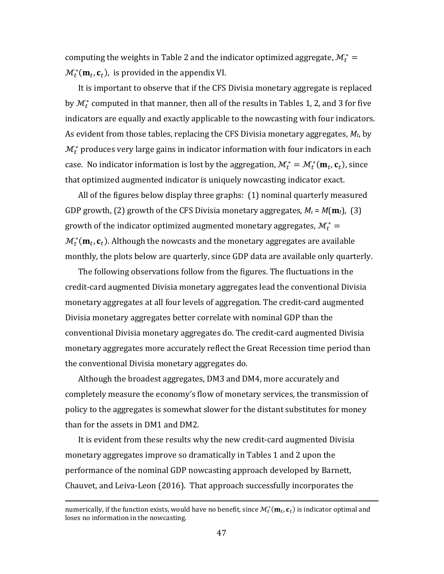computing the weights in Table 2 and the indicator optimized aggregate,  $\mathcal{M}_t^*$  =  $\mathcal{M}_t^*(\mathbf{m}_t, \mathbf{c}_t)$ , is provided in the appendix VI.

It is important to observe that if the CFS Divisia monetary aggregate is replaced by  $\mathcal{M}_t^*$  computed in that manner, then all of the results in Tables 1, 2, and 3 for five indicators are equally and exactly applicable to the nowcasting with four indicators. As evident from those tables, replacing the CFS Divisia monetary aggregates, *Mt*, by  $\mathcal{M}_t^*$  produces very large gains in indicator information with four indicators in each case. No indicator information is lost by the aggregation,  $\mathcal{M}_t^* = \mathcal{M}_t^*(\mathbf{m}_t, \mathbf{c}_t)$ , since that optimized augmented indicator is uniquely nowcasting indicator exact.

All of the figures below display three graphs: (1) nominal quarterly measured GDP growth, (2) growth of the CFS Divisia monetary aggregates,  $M_t = M(\mathbf{m}_t)$ , (3) growth of the indicator optimized augmented monetary aggregates,  $\mathcal{M}_t^* =$  $\mathcal{M}_t^*(\mathbf{m}_t,\mathbf{c}_t).$  Although the nowcasts and the monetary aggregates are available monthly, the plots below are quarterly, since GDP data are available only quarterly.

The following observations follow from the figures. The fluctuations in the credit-card augmented Divisia monetary aggregates lead the conventional Divisia monetary aggregates at all four levels of aggregation. The credit-card augmented Divisia monetary aggregates better correlate with nominal GDP than the conventional Divisia monetary aggregates do. The credit-card augmented Divisia monetary aggregates more accurately reflect the Great Recession time period than the conventional Divisia monetary aggregates do.

Although the broadest aggregates, DM3 and DM4, more accurately and completely measure the economy's flow of monetary services, the transmission of policy to the aggregates is somewhat slower for the distant substitutes for money than for the assets in DM1 and DM2.

It is evident from these results why the new credit-card augmented Divisia monetary aggregates improve so dramatically in Tables 1 and 2 upon the performance of the nominal GDP nowcasting approach developed by Barnett, Chauvet, and Leiva-Leon (2016). That approach successfully incorporates the

<u>.</u>

numerically, if the function exists, would have no benefit, since  $\mathcal{M}_t^*(\mathbf{m}_t, \mathbf{c}_t)$  is indicator optimal and loses no information in the nowcasting.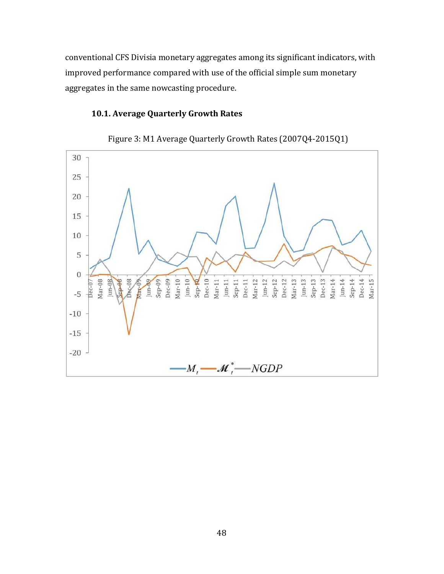conventional CFS Divisia monetary aggregates among its significant indicators, with improved performance compared with use of the official simple sum monetary aggregates in the same nowcasting procedure.

# **10.1. Average Quarterly Growth Rates**



Figure 3: M1 Average Quarterly Growth Rates (2007Q4-2015Q1)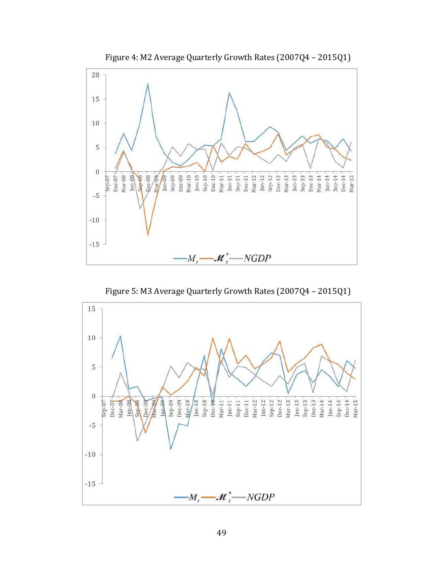

Figure 4: M2 Average Quarterly Growth Rates (2007Q4 – 2015Q1)

Figure 5: M3 Average Quarterly Growth Rates (2007Q4 – 2015Q1)

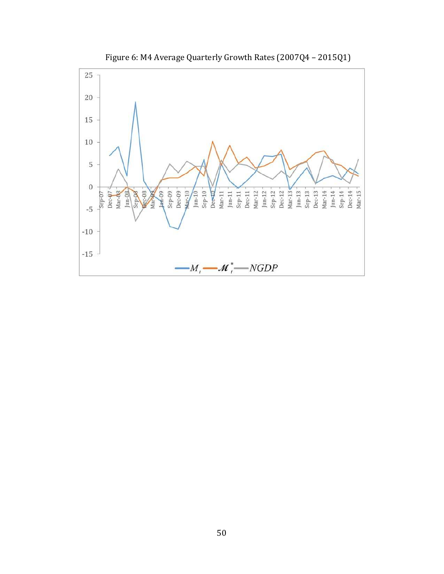

Figure 6: M4 Average Quarterly Growth Rates (2007Q4 – 2015Q1)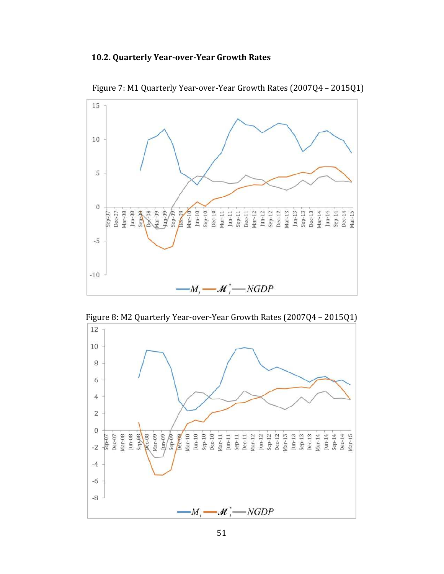# **10.2. Quarterly Year-over-Year Growth Rates**



Figure 7: M1 Quarterly Year-over-Year Growth Rates (2007Q4 – 2015Q1)

Figure 8: M2 Quarterly Year-over-Year Growth Rates (2007Q4 – 2015Q1)

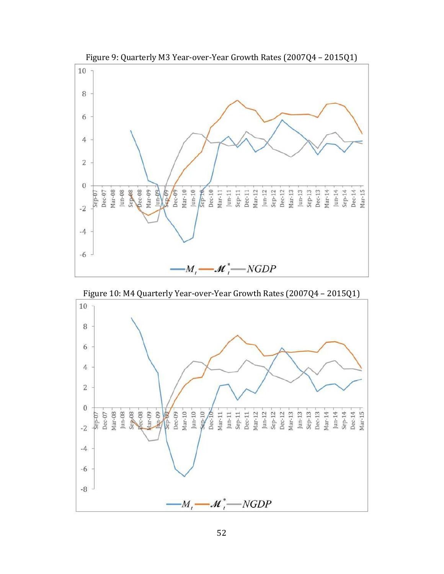

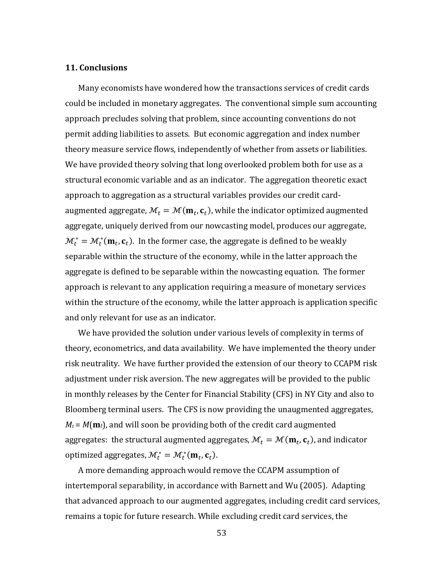## **11. Conclusions**

Many economists have wondered how the transactions services of credit cards could be included in monetary aggregates. The conventional simple sum accounting approach precludes solving that problem, since accounting conventions do not permit adding liabilities to assets. But economic aggregation and index number theory measure service flows, independently of whether from assets or liabilities. We have provided theory solving that long overlooked problem both for use as a structural economic variable and as an indicator. The aggregation theoretic exact approach to aggregation as a structural variables provides our credit cardaugmented aggregate,  $\mathcal{M}_t = \mathcal{M}(\mathbf{m}_t, \mathbf{c}_t)$ , while the indicator optimized augmented aggregate, uniquely derived from our nowcasting model, produces our aggregate,  $\mathcal{M}_t^* = \mathcal{M}_t^*(\mathbf{m}_t, \mathbf{c}_t)$ . In the former case, the aggregate is defined to be weakly separable within the structure of the economy, while in the latter approach the aggregate is defined to be separable within the nowcasting equation. The former approach is relevant to any application requiring a measure of monetary services within the structure of the economy, while the latter approach is application specific and only relevant for use as an indicator.

We have provided the solution under various levels of complexity in terms of theory, econometrics, and data availability. We have implemented the theory under risk neutrality. We have further provided the extension of our theory to CCAPM risk adjustment under risk aversion. The new aggregates will be provided to the public in monthly releases by the Center for Financial Stability (CFS) in NY City and also to Bloomberg terminal users. The CFS is now providing the unaugmented aggregates,  $M_t = M(\mathbf{m}_t)$ , and will soon be providing both of the credit card augmented aggregates: the structural augmented aggregates,  $\mathcal{M}_t = \mathcal{M}(\mathbf{m}_t, \mathbf{c}_t)$ , and indicator optimized aggregates,  $\mathcal{M}_t^* = \mathcal{M}_t^*(\mathbf{m}_t, \mathbf{c}_t)$ .

A more demanding approach would remove the CCAPM assumption of intertemporal separability, in accordance with Barnett and Wu (2005). Adapting that advanced approach to our augmented aggregates, including credit card services, remains a topic for future research. While excluding credit card services, the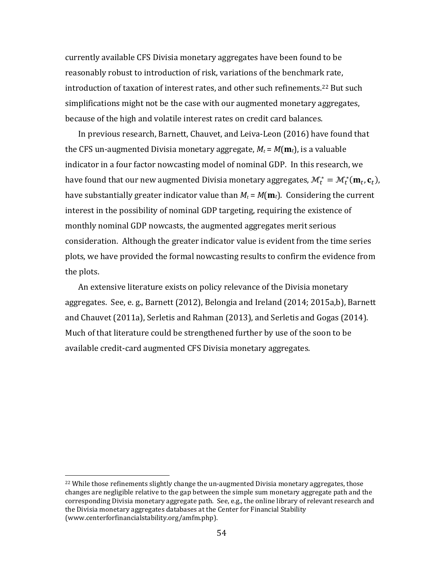currently available CFS Divisia monetary aggregates have been found to be reasonably robust to introduction of risk, variations of the benchmar[k r](#page-54-0)ate, introduction of taxation of interest rates, and other such refinements.<sup>22</sup> But such simplifications might not be the case with our augmented monetary aggregates, because of the high and volatile interest rates on credit card balances.

In previous research, Barnett, Chauvet, and Leiva-Leon (2016) have found that the CFS un-augmented Divisia monetary aggregate,  $M_t = M(\mathbf{m}_t)$ , is a valuable indicator in a four factor nowcasting model of nominal GDP. In this research, we have found that our new augmented Divisia monetary aggregates,  $\mathcal{M}_t^* = \mathcal{M}_t^*(\mathbf{m}_t, \mathbf{c}_t)$ , have substantially greater indicator value than  $M_t = M(\mathbf{m}_t)$ . Considering the current interest in the possibility of nominal GDP targeting, requiring the existence of monthly nominal GDP nowcasts, the augmented aggregates merit serious consideration. Although the greater indicator value is evident from the time series plots, we have provided the formal nowcasting results to confirm the evidence from the plots.

An extensive literature exists on policy relevance of the Divisia monetary aggregates. See, e. g., Barnett (2012), Belongia and Ireland (2014; 2015a,b), Barnett and Chauvet (2011a), Serletis and Rahman (2013), and Serletis and Gogas (2014). Much of that literature could be strengthened further by use of the soon to be available credit-card augmented CFS Divisia monetary aggregates.

-

<span id="page-54-0"></span> $22$  While those refinements slightly change the un-augmented Divisia monetary aggregates, those changes are negligible relative to the gap between the simple sum monetary aggregate path and the corresponding Divisia monetary aggregate path. See, e.g., the online library of relevant research and the Divisia monetary aggregates databases at the Center for Financial Stability (www.centerforfinancialstability.org/amfm.php).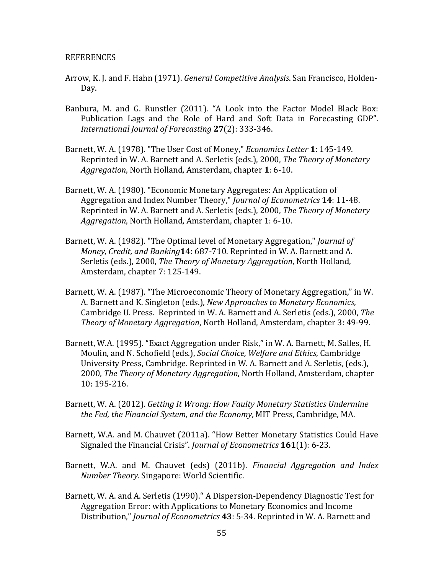- Arrow, K. J. and F. Hahn (1971). *General Competitive Analysis*. San Francisco, Holden-Day.
- Banbura, M. and G. Runstler (2011). "A Look into the Factor Model Black Box: Publication Lags and the Role of Hard and Soft Data in Forecasting GDP". *International Journal of Forecasting* **27**(2): 333-346.
- Barnett, W. A. (1978). "The User Cost of Money," *Economics Letter* **1**: 145-149. Reprinted in W. A. Barnett and A. Serletis (eds.), 2000, *The Theory of Monetary Aggregation*, North Holland, Amsterdam, chapter **1**: 6-10.
- Barnett, W. A. (1980). "Economic Monetary Aggregates: An Application of Aggregation and Index Number Theory," *Journal of Econometrics* **14**: 11-48. Reprinted in W. A. Barnett and A. Serletis (eds.), 2000, *The Theory of Monetary Aggregation*, North Holland, Amsterdam, chapter 1: 6-10.
- Barnett, W. A. (1982). "The Optimal level of Monetary Aggregation," *Journal of Money, Credit, and Banking***14**: 687-710. Reprinted in W. A. Barnett and A. Serletis (eds.), 2000, *The Theory of Monetary Aggregation*, North Holland, Amsterdam, chapter 7: 125-149.
- Barnett, W. A. (1987). "The Microeconomic Theory of Monetary Aggregation," in W. A. Barnett and K. Singleton (eds.), *New Approaches to Monetary Economics*, Cambridge U. Press. Reprinted in W. A. Barnett and A. Serletis (eds.), 2000, *The Theory of Monetary Aggregation*, North Holland, Amsterdam, chapter 3: 49-99.
- Barnett, W.A. (1995). "Exact Aggregation under Risk," in W. A. Barnett, M. Salles, H. Moulin, and N. Schofield (eds.), *Social Choice, Welfare and Ethics*, Cambridge University Press, Cambridge. Reprinted in W. A. Barnett and A. Serletis, (eds.), 2000, *The Theory of Monetary Aggregation*, North Holland, Amsterdam, chapter 10: 195-216.
- Barnett, W. A. (2012). *Getting It Wrong: How Faulty Monetary Statistics Undermine the Fed, the Financial System, and the Economy*, MIT Press, Cambridge, MA.
- Barnett, W.A. and M. Chauvet (2011a). "How Better Monetary Statistics Could Have Signaled the Financial Crisis". *Journal of Econometrics* **161**(1): 6-23.
- Barnett, W.A. and M. Chauvet (eds) (2011b). *Financial Aggregation and Index Number Theory*. Singapore: World Scientific.
- Barnett, W. A. and A. Serletis (1990)." A Dispersion-Dependency Diagnostic Test for Aggregation Error: with Applications to Monetary Economics and Income Distribution," *Journal of Econometrics* **43**: 5-34. Reprinted in W. A. Barnett and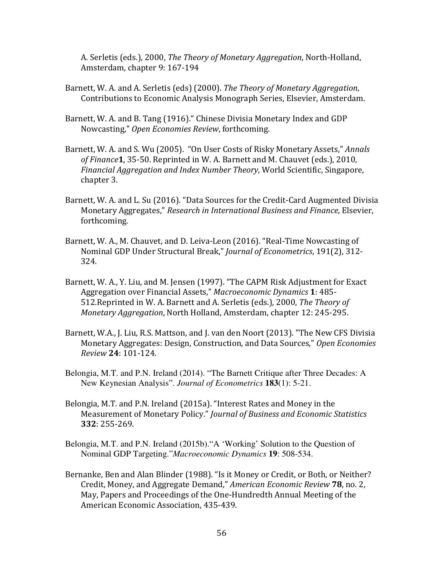A. Serletis (eds.), 2000, *The Theory of Monetary Aggregation*, North-Holland, Amsterdam, chapter 9: 167-194

- Barnett, W. A. and A. Serletis (eds) (2000). *The Theory of Monetary Aggregation*, Contributions to Economic Analysis Monograph Series, Elsevier, Amsterdam.
- Barnett, W. A. and B. Tang (1916)." Chinese Divisia Monetary Index and GDP Nowcasting," *Open Economies Review*, forthcoming.
- Barnett, W. A. and S. Wu (2005). "On User Costs of Risky Monetary Assets," *Annals of Finance***1**, 35-50. Reprinted in W. A. Barnett and M. Chauvet (eds.), 2010, *Financial Aggregation and Index Number Theory*, World Scientific, Singapore, chapter 3.
- Barnett, W. A. and L. Su (2016). "Data Sources for the Credit-Card Augmented Divisia Monetary Aggregates," *Research in International Business and Finance*, Elsevier, forthcoming.
- Barnett, W. A., M. Chauvet, and D. Leiva-Leon (2016). "Real-Time Nowcasting of Nominal GDP Under Structural Break," *Journal of Econometrics*, 191(2), 312- 324.
- Barnett, W. A., Y. Liu, and M. Jensen (1997). "The CAPM Risk Adjustment for Exact Aggregation over Financial Assets," *Macroeconomic Dynamics* **1**: 485- 512.Reprinted in W. A. Barnett and A. Serletis (eds.), 2000, *The Theory of Monetary Aggregation*, North Holland, Amsterdam, chapter 12: 245-295.
- Barnett, W.A., J. Liu, R.S. Mattson, and J. van den Noort (2013). "The New CFS Divisia Monetary Aggregates: Design, Construction, and Data Sources," *Open Economies Review* **24**: 101-124.
- Belongia, M.T. and P.N. Ireland (2014). "The Barnett Critique after Three Decades: A New Keynesian Analysis". *Journal of Econometrics* **183**(1): 5-21.
- Belongia, M.T. and P.N. Ireland (2015a). "Interest Rates and Money in the Measurement of Monetary Policy." *Journal of Business and Economic Statistics* **332**: 255-269.
- Belongia, M.T. and P.N. Ireland (2015b)."A 'Working' Solution to the Question of Nominal GDP Targeting."*Macroeconomic Dynamics* **19**: 508-534.
- Bernanke, Ben and Alan Blinder (1988). "Is it Money or Credit, or Both, or Neither? Credit, Money, and Aggregate Demand," *American Economic Review* **78**, no. 2, May, Papers and Proceedings of the One-Hundredth Annual Meeting of the American Economic Association, 435-439.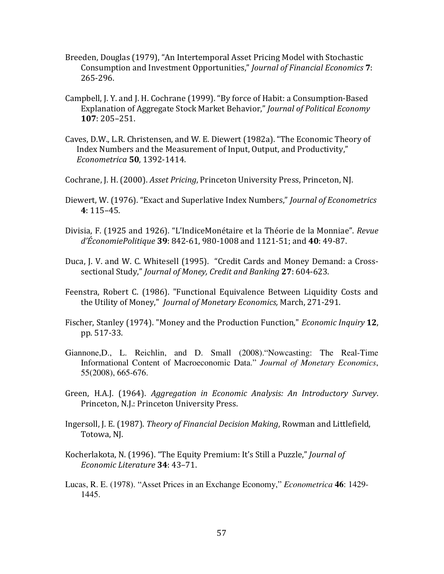- Breeden, Douglas (1979), "An Intertemporal Asset Pricing Model with Stochastic Consumption and Investment Opportunities," *Journal of Financial Economics* **7**: 265-296.
- Campbell, J. Y. and J. H. Cochrane (1999). "By force of Habit: a Consumption-Based Explanation of Aggregate Stock Market Behavior," *Journal of Political Economy* **107**: 205–251.
- Caves, D.W., L.R. Christensen, and W. E. Diewert (1982a). "The Economic Theory of Index Numbers and the Measurement of Input, Output, and Productivity," *Econometrica* **50**, 1392-1414.
- Cochrane, J. H. (2000). *Asset Pricing*, Princeton University Press, Princeton, NJ.
- Diewert, W. (1976). "Exact and Superlative Index Numbers," *Journal of Econometrics* **4**: 115–45.
- Divisia, F. (1925 and 1926). "L'IndiceMonétaire et la Théorie de la Monniae". *Revue d'ÉconomiePolitique* **39**: 842-61, 980-1008 and 1121-51; and **40**: 49-87.
- Duca, J. V. and W. C. Whitesell (1995). "Credit Cards and Money Demand: a Crosssectional Study," *Journal of Money, Credit and Banking* **27**: 604-623.
- Feenstra, Robert C. (1986). "Functional Equivalence Between Liquidity Costs and the Utility of Money," *Journal of Monetary Economics,* March, 271-291.
- Fischer, Stanley (1974). "Money and the Production Function," *Economic Inquiry* **12**, pp. 517-33.
- Giannone,D., L. Reichlin, and D. Small (2008)."Nowcasting: The Real-Time Informational Content of Macroeconomic Data." *Journal of Monetary Economics*, 55(2008), 665-676.
- Green, H.A.J. (1964). *Aggregation in Economic Analysis: An Introductory Survey*. Princeton, N.J.: Princeton University Press.
- Ingersoll, J. E. (1987). *Theory of Financial Decision Making*, Rowman and Littlefield, Totowa, NJ.
- Kocherlakota, N. (1996). "The Equity Premium: It's Still a Puzzle," *Journal of Economic Literature* **34**: 43–71.
- Lucas, R. E. (1978). "Asset Prices in an Exchange Economy," *Econometrica* **46**: 1429- 1445.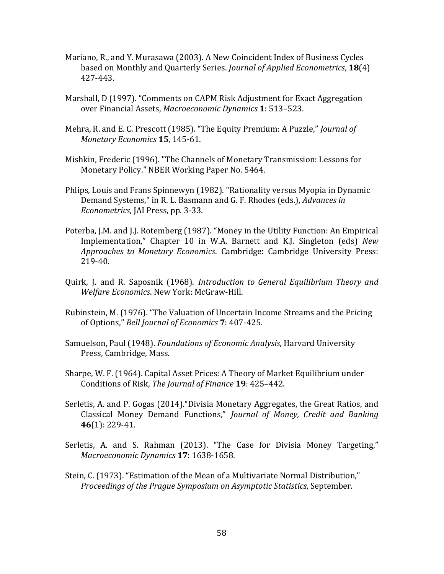- Mariano, R., and Y. Murasawa (2003). A New Coincident Index of Business Cycles based on Monthly and Quarterly Series. *Journal of Applied Econometrics*, **18**(4) 427-443.
- Marshall, D (1997). "Comments on CAPM Risk Adjustment for Exact Aggregation over Financial Assets, *Macroeconomic Dynamics* **1**: 513–523.
- Mehra, R. and E. C. Prescott (1985). "The Equity Premium: A Puzzle," *Journal of Monetary Economics* **15**, 145-61.
- Mishkin, Frederic (1996). "The Channels of Monetary Transmission: Lessons for Monetary Policy." NBER Working Paper No. 5464.
- Phlips, Louis and Frans Spinnewyn (1982). "Rationality versus Myopia in Dynamic Demand Systems," in R. L. Basmann and G. F. Rhodes (eds.), *Advances in Econometrics*, JAI Press, pp. 3-33.
- Poterba, J.M. and J.J. Rotemberg (1987). "Money in the Utility Function: An Empirical Implementation," Chapter 10 in W.A. Barnett and K.J. Singleton (eds) *New Approaches to Monetary Economics*. Cambridge: Cambridge University Press: 219-40.
- Quirk, J. and R. Saposnik (1968). *Introduction to General Equilibrium Theory and Welfare Economics*. New York: McGraw-Hill.
- Rubinstein, M. (1976). "The Valuation of Uncertain Income Streams and the Pricing of Options," *Bell Journal of Economics* **7**: 407-425.
- Samuelson, Paul (1948). *Foundations of Economic Analysis*, Harvard University Press, Cambridge, Mass.
- Sharpe, W. F. (1964). Capital Asset Prices: A Theory of Market Equilibrium under Conditions of Risk, *The Journal of Finance* **19**: 425–442.
- Serletis, A. and P. Gogas (2014)."Divisia Monetary Aggregates, the Great Ratios, and Classical Money Demand Functions," *Journal of Money, Credit and Banking* **46**(1): 229-41.
- Serletis, A. and S. Rahman (2013). "The Case for Divisia Money Targeting," *Macroeconomic Dynamics* **17**: 1638-1658.
- Stein, C. (1973). "Estimation of the Mean of a Multivariate Normal Distribution," *Proceedings of the Prague Symposium on Asymptotic Statistics*, September.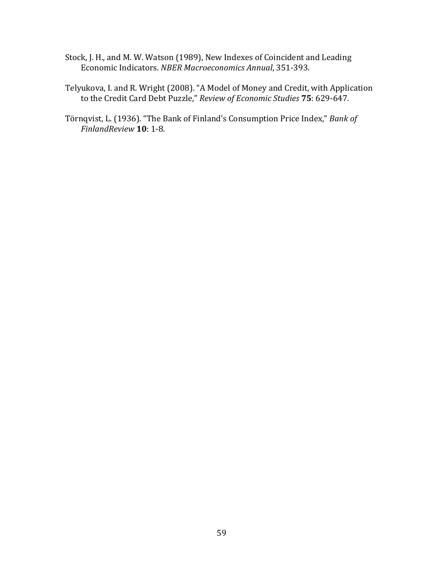- Stock, J. H., and M. W. Watson (1989), New Indexes of Coincident and Leading Economic Indicators. *NBER Macroeconomics Annual*, 351-393.
- Telyukova, I. and R. Wright (2008). "A Model of Money and Credit, with Application to the Credit Card Debt Puzzle," *Review of Economic Studies* **75**: 629-647.
- Törnqvist, L. (1936). "The Bank of Finland's Consumption Price Index," *Bank of FinlandReview* **10**: 1-8.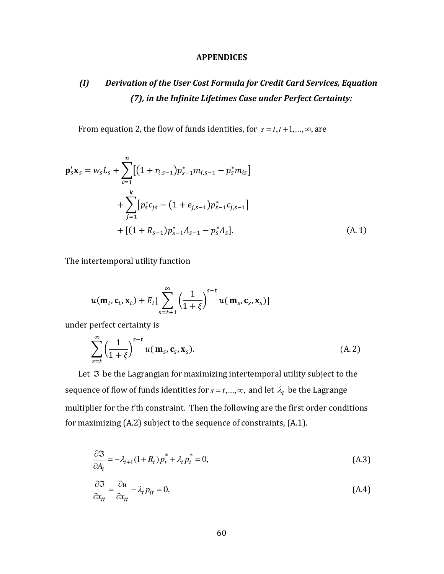## **APPENDICES**

# *(I) Derivation of the User Cost Formula for Credit Card Services, Equation (7), in the Infinite Lifetimes Case under Perfect Certainty:*

From equation 2, the flow of funds identities, for  $s = t, t + 1, \ldots, \infty$ , are

$$
\mathbf{p}'_{s}\mathbf{x}_{s} = w_{s}L_{s} + \sum_{i=1}^{n} [(1 + r_{i,s-1})p^{*}_{s-1}m_{i,s-1} - p^{*}_{s}m_{is}] + \sum_{j=1}^{k} [p^{*}_{s}c_{js} - (1 + e_{j,s-1})p^{*}_{s-1}c_{j,s-1}] + [(1 + R_{s-1})p^{*}_{s-1}A_{s-1} - p^{*}_{s}A_{s}].
$$
\n(A. 1)

The intertemporal utility function

$$
u(\mathbf{m}_t, \mathbf{c}_t, \mathbf{x}_t) + E_t \left[ \sum_{s=t+1}^{\infty} \left( \frac{1}{1+\xi} \right)^{s-t} u(\mathbf{m}_s, \mathbf{c}_s, \mathbf{x}_s) \right]
$$

under perfect certainty is

$$
\sum_{s=t}^{\infty} \left(\frac{1}{1+\xi}\right)^{s-t} u(\mathbf{m}_s, \mathbf{c}_s, \mathbf{x}_s).
$$
 (A. 2)

Let  $\mathfrak I$  be the Lagrangian for maximizing intertemporal utility subject to the sequence of flow of funds identities for  $s = t, ..., \infty$ , and let  $\lambda_t$  be the Lagrange multiplier for the *t*'th constraint. Then the following are the first order conditions for maximizing (A.2) subject to the sequence of constraints, (A.1).

$$
\frac{\partial \mathfrak{I}}{\partial A_t} = -\lambda_{t+1} (1 + R_t) p_t^* + \lambda_t p_t^* = 0,
$$
\n(A.3)

$$
\frac{\partial \mathfrak{I}}{\partial x_{it}} = \frac{\partial u}{\partial x_{it}} - \lambda_t p_{it} = 0,
$$
\n(A.4)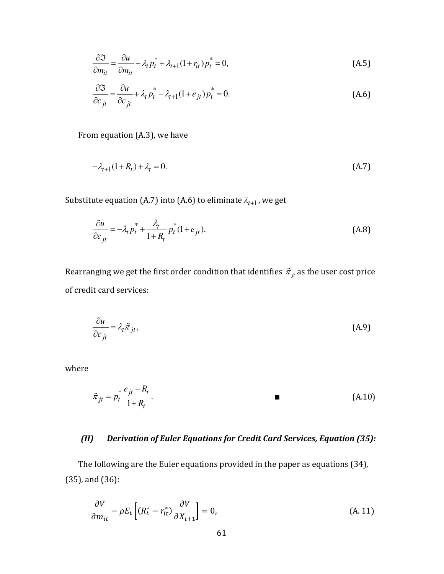$$
\frac{\partial \mathfrak{I}}{\partial m_{it}} = \frac{\partial u}{\partial m_{it}} - \lambda_t p_t^* + \lambda_{t+1} (1 + r_{it}) p_t^* = 0,
$$
\n(A.5)

$$
\frac{\partial \mathfrak{I}}{\partial c_{jt}} = \frac{\partial u}{\partial c_{jt}} + \lambda_t p_t^* - \lambda_{t+1} (1 + e_{jt}) p_t^* = 0.
$$
 (A.6)

From equation (A.3), we have

$$
-\lambda_{t+1}(1+R_t) + \lambda_t = 0. \tag{A.7}
$$

Substitute equation (A.7) into (A.6) to eliminate  $\lambda_{t+1}$  , we get

$$
\frac{\partial u}{\partial c_{jt}} = -\lambda_t p_t^* + \frac{\lambda_t}{1 + R_t} p_t^* (1 + e_{jt}).
$$
\n(A.8)

Rearranging we get the first order condition that identifies  $\tilde{\pi}_{j_t}$  as the user cost price of credit card services:

$$
\frac{\partial u}{\partial c_{jt}} = \lambda_t \tilde{\pi}_{jt},\tag{A.9}
$$

where

$$
\tilde{\pi}_{jt} = p_t^* \frac{e_{jt} - R_t}{1 + R_t}.
$$
\n(A.10)

# *(II) Derivation of Euler Equations for Credit Card Services, Equation (35):*

The following are the Euler equations provided in the paper as equations (34), (35), and (36):

$$
\frac{\partial V}{\partial m_{it}} - \rho E_t \left[ (R_t^* - r_{it}^*) \frac{\partial V}{\partial X_{t+1}} \right] = 0, \tag{A.11}
$$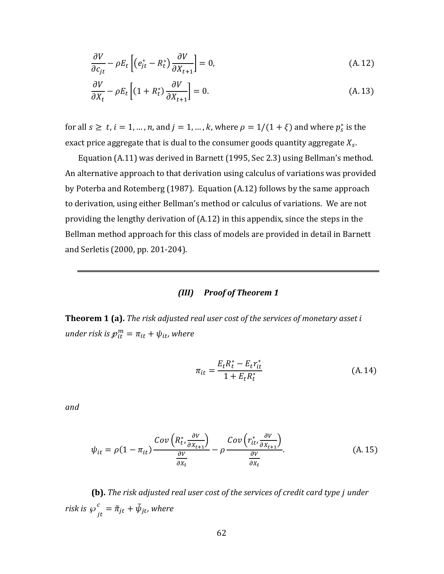$$
\frac{\partial V}{\partial c_{jt}} - \rho E_t \left[ \left( e_{jt}^* - R_t^* \right) \frac{\partial V}{\partial X_{t+1}} \right] = 0, \tag{A.12}
$$

$$
\frac{\partial V}{\partial X_t} - \rho E_t \left[ (1 + R_t^*) \frac{\partial V}{\partial X_{t+1}} \right] = 0.
$$
 (A. 13)

for all  $s \ge t$ ,  $i = 1, ..., n$ , and  $j = 1, ..., k$ , where  $\rho = 1/(1 + \xi)$  and where  $p_s^*$  is the exact price aggregate that is dual to the consumer goods quantity aggregate  $X_{\boldsymbol{s}}.$ 

Equation (A.11) was derived in Barnett (1995, Sec 2.3) using Bellman's method. An alternative approach to that derivation using calculus of variations was provided by Poterba and Rotemberg (1987). Equation (A.12) follows by the same approach to derivation, using either Bellman's method or calculus of variations. We are not providing the lengthy derivation of (A.12) in this appendix, since the steps in the Bellman method approach for this class of models are provided in detail in Barnett and Serletis (2000, pp. 201-204).

## *(III) Proof of Theorem 1*

**Theorem 1 (a).** *The risk adjusted real user cost of the services of monetary asset under risk is*  $p_{it}^m = \pi_{it} + \psi_{it}$ *, where* 

$$
\pi_{it} = \frac{E_t R_t^* - E_t r_{it}^*}{1 + E_t R_t^*}
$$
\n(A. 14)

*and*

$$
\psi_{it} = \rho (1 - \pi_{it}) \frac{Cov \left( R_t^*, \frac{\partial V}{\partial X_{t+1}} \right)}{\frac{\partial V}{\partial X_t}} - \rho \frac{Cov \left( r_{it}^*, \frac{\partial V}{\partial X_{t+1}} \right)}{\frac{\partial V}{\partial X_t}}.
$$
\n(A. 15)

**(b).** *The risk adjusted real user cost of the services of credit card type under risk is*  $\wp_{jt}^c = \tilde{\pi}_{jt} + \tilde{\psi}_{jt}$ , where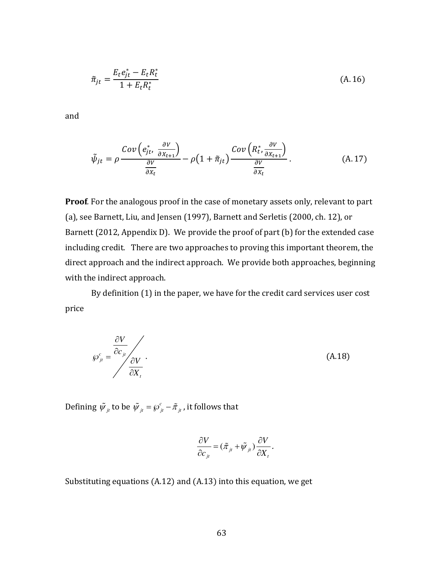$$
\tilde{\pi}_{jt} = \frac{E_t e_{jt}^* - E_t R_t^*}{1 + E_t R_t^*}
$$
\n(A. 16)

and

$$
\tilde{\psi}_{jt} = \rho \frac{Cov \left(e_{jt}^*, \frac{\partial V}{\partial X_{t+1}}\right)}{\frac{\partial V}{\partial X_t}} - \rho \left(1 + \tilde{\pi}_{jt}\right) \frac{Cov \left(R_t^*, \frac{\partial V}{\partial X_{t+1}}\right)}{\frac{\partial V}{\partial X_t}}.
$$
\n(A. 17)

**Proof***.* For the analogous proof in the case of monetary assets only, relevant to part (a), see Barnett, Liu, and Jensen (1997), Barnett and Serletis (2000, ch. 12), or Barnett (2012, Appendix D). We provide the proof of part (b) for the extended case including credit. There are two approaches to proving this important theorem, the direct approach and the indirect approach. We provide both approaches, beginning with the indirect approach.

By definition (1) in the paper, we have for the credit card services user cost price

$$
\wp_{j_t}^c = \frac{\frac{\partial V}{\partial c_{j_t}}}{\frac{\partial V}{\partial X_t}}.
$$
\n(A.18)

Defining  $\tilde{\psi}_{jt}$  to be  $\tilde{\psi}_{jt} = \wp_{jt}^c - \tilde{\pi}_{jt}$ , it follows that

$$
\frac{\partial V}{\partial c_{ji}} = (\tilde{\pi}_{jt} + \tilde{\psi}_{jt}) \frac{\partial V}{\partial X_t}.
$$

Substituting equations (A.12) and (A.13) into this equation, we get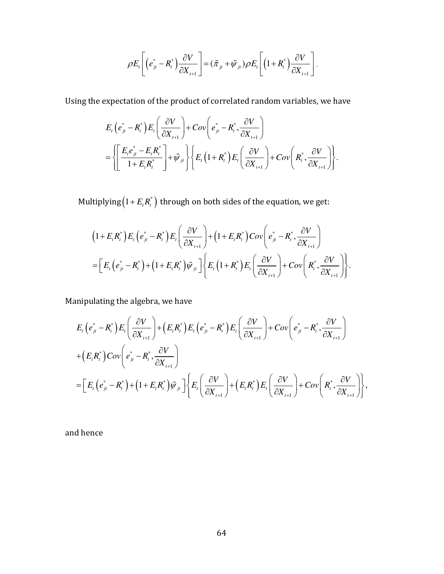$$
\rho E_t \left[ \left( e_{jt}^* - R_t^* \right) \frac{\partial V}{\partial X_{t+1}} \right] = (\tilde{\pi}_{jt} + \tilde{\psi}_{jt}) \rho E_t \left[ \left( 1 + R_t^* \right) \frac{\partial V}{\partial X_{t+1}} \right].
$$

Using the expectation of the product of correlated random variables, we have

$$
E_{t}\left(e_{jt}^{*}-R_{t}^{*}\right)E_{t}\left(\frac{\partial V}{\partial X_{t+1}}\right)+Cov\left(e_{jt}^{*}-R_{t}^{*},\frac{\partial V}{\partial X_{t+1}}\right)
$$
  
=
$$
\left\{\left[\frac{E_{t}e_{jt}^{*}-E_{t}R_{t}^{*}}{1+E_{t}R_{t}^{*}}\right]+\tilde{\psi}_{jt}\right\}\left\{E_{t}\left(1+R_{t}^{*}\right)E_{t}\left(\frac{\partial V}{\partial X_{t+1}}\right)+Cov\left(R_{t}^{*},\frac{\partial V}{\partial X_{t+1}}\right)\right\}.
$$

Multiplying $\left( 1+E_{_{t}}R_{_{t}}^{\ast}\right)$  through on both sides of the equation, we get:

$$
(1 + E_{t}R_{t}^{*})E_{t}(e_{jt}^{*} - R_{t}^{*})E_{t}(\frac{\partial V}{\partial X_{t+1}}) + (1 + E_{t}R_{t}^{*})Cov(e_{jt}^{*} - R_{t}^{*}, \frac{\partial V}{\partial X_{t+1}})
$$
  
= 
$$
\left[E_{t}(e_{jt}^{*} - R_{t}^{*}) + (1 + E_{t}R_{t}^{*})\tilde{\psi}_{jt}\right]\left[E_{t}(1 + R_{t}^{*})E_{t}(\frac{\partial V}{\partial X_{t+1}}) + Cov(R_{t}^{*}, \frac{\partial V}{\partial X_{t+1}})\right].
$$

Manipulating the algebra, we have

$$
E_{t}\left(e_{jt}^{*}-R_{t}^{*}\right)E_{t}\left(\frac{\partial V}{\partial X_{t+1}}\right)+\left(E_{t}R_{t}^{*}\right)E_{t}\left(e_{jt}^{*}-R_{t}^{*}\right)E_{t}\left(\frac{\partial V}{\partial X_{t+1}}\right)+Cov\left(e_{jt}^{*}-R_{t}^{*},\frac{\partial V}{\partial X_{t+1}}\right)\\+\left(E_{t}R_{t}^{*}\right)Cov\left(e_{jt}^{*}-R_{t}^{*},\frac{\partial V}{\partial X_{t+1}}\right)\\=\left[E_{t}\left(e_{jt}^{*}-R_{t}^{*}\right)+\left(1+E_{t}R_{t}^{*}\right)\tilde{\psi}_{jt}\right]\left\{E_{t}\left(\frac{\partial V}{\partial X_{t+1}}\right)+\left(E_{t}R_{t}^{*}\right)E_{t}\left(\frac{\partial V}{\partial X_{t+1}}\right)+Cov\left(R_{t}^{*},\frac{\partial V}{\partial X_{t+1}}\right)\right\},\right.
$$

and hence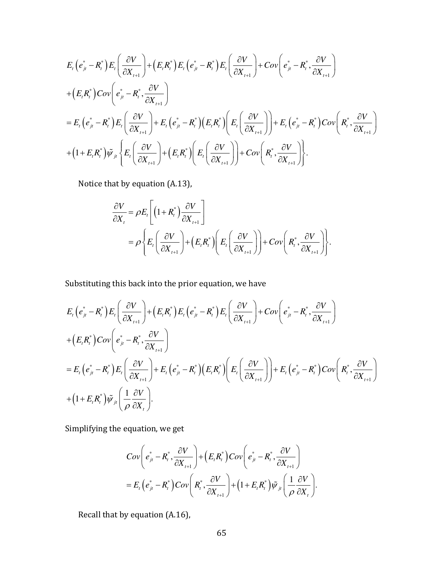$$
E_{t}\left(e_{jt}^{*}-R_{t}^{*}\right)E_{t}\left(\frac{\partial V}{\partial X_{t+1}}\right)+\left(E_{t}R_{t}^{*}\right)E_{t}\left(e_{jt}^{*}-R_{t}^{*}\right)E_{t}\left(\frac{\partial V}{\partial X_{t+1}}\right)+Cov\left(e_{jt}^{*}-R_{t}^{*},\frac{\partial V}{\partial X_{t+1}}\right) + \left(E_{t}R_{t}^{*}\right)Cov\left(e_{jt}^{*}-R_{t}^{*},\frac{\partial V}{\partial X_{t+1}}\right) = E_{t}\left(e_{jt}^{*}-R_{t}^{*}\right)E_{t}\left(\frac{\partial V}{\partial X_{t+1}}\right)+E_{t}\left(e_{jt}^{*}-R_{t}^{*}\right)\left(E_{t}R_{t}^{*}\right)\left(E_{t}\left(\frac{\partial V}{\partial X_{t+1}}\right)\right)+E_{t}\left(e_{jt}^{*}-R_{t}^{*}\right)Cov\left(R_{t}^{*},\frac{\partial V}{\partial X_{t+1}}\right) + \left(1+E_{t}R_{t}^{*}\right)\tilde{\psi}_{jt}\left\{E_{t}\left(\frac{\partial V}{\partial X_{t+1}}\right)+\left(E_{t}R_{t}^{*}\right)\left(E_{t}\left(\frac{\partial V}{\partial X_{t+1}}\right)\right)+Cov\left(R_{t}^{*},\frac{\partial V}{\partial X_{t+1}}\right)\right\}.
$$

Notice that by equation (A.13),

$$
\frac{\partial V}{\partial X_t} = \rho E_t \left[ \left( 1 + R_t^* \right) \frac{\partial V}{\partial X_{t+1}} \right]
$$
  
=  $\rho \left\{ E_t \left( \frac{\partial V}{\partial X_{t+1}} \right) + \left( E_t R_t^* \right) \left( E_t \left( \frac{\partial V}{\partial X_{t+1}} \right) \right) + Cov \left( R_t^*, \frac{\partial V}{\partial X_{t+1}} \right) \right\}.$ 

Substituting this back into the prior equation, we have

$$
E_{t}\left(e_{jt}^{*}-R_{t}^{*}\right)E_{t}\left(\frac{\partial V}{\partial X_{t+1}}\right)+\left(E_{t}R_{t}^{*}\right)E_{t}\left(e_{jt}^{*}-R_{t}^{*}\right)E_{t}\left(\frac{\partial V}{\partial X_{t+1}}\right)+Cov\left(e_{jt}^{*}-R_{t}^{*},\frac{\partial V}{\partial X_{t+1}}\right) + \left(E_{t}R_{t}^{*}\right)Cov\left(e_{jt}^{*}-R_{t}^{*},\frac{\partial V}{\partial X_{t+1}}\right) = E_{t}\left(e_{jt}^{*}-R_{t}^{*}\right)E_{t}\left(\frac{\partial V}{\partial X_{t+1}}\right)+E_{t}\left(e_{jt}^{*}-R_{t}^{*}\right)\left(E_{t}R_{t}^{*}\right)\left(E_{t}\left(\frac{\partial V}{\partial X_{t+1}}\right)\right)+E_{t}\left(e_{jt}^{*}-R_{t}^{*}\right)Cov\left(R_{t}^{*},\frac{\partial V}{\partial X_{t+1}}\right) + \left(1+E_{t}R_{t}^{*}\right)\tilde{\psi}_{jt}\left(\frac{1}{\rho}\frac{\partial V}{\partial X_{t}}\right).
$$

Simplifying the equation, we get

$$
Cov\bigg(e_{jt}^* - R_t^*, \frac{\partial V}{\partial X_{t+1}}\bigg) + \Big(E_t R_t^*\Big) Cov\bigg(e_{jt}^* - R_t^*, \frac{\partial V}{\partial X_{t+1}}\bigg) = E_t\Big(e_{jt}^* - R_t^*\Big) Cov\bigg(R_t^*, \frac{\partial V}{\partial X_{t+1}}\bigg) + \Big(1 + E_t R_t^*\Big) \tilde{\psi}_{jt}\bigg(\frac{1}{\rho}\frac{\partial V}{\partial X_{t}}\bigg).
$$

Recall that by equation (A.16),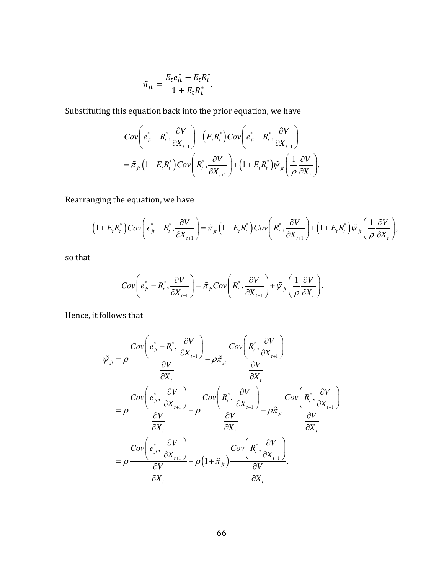$$
\widetilde{\pi}_{jt} = \frac{E_t e_{jt}^* - E_t R_t^*}{1 + E_t R_t^*}.
$$

Substituting this equation back into the prior equation, we have

$$
Cov\bigg(e_{jt}^* - R_t^*, \frac{\partial V}{\partial X_{t+1}}\bigg) + \Big(E_t R_t^*\Big) Cov\bigg(e_{jt}^* - R_t^*, \frac{\partial V}{\partial X_{t+1}}\bigg) = \tilde{\pi}_{jt} \Big(1 + E_t R_t^*\Big) Cov\bigg(R_t^*, \frac{\partial V}{\partial X_{t+1}}\bigg) + \Big(1 + E_t R_t^*\Big) \tilde{\psi}_{jt} \bigg(\frac{1}{\rho} \frac{\partial V}{\partial X_{t}}\bigg).
$$

Rearranging the equation, we have

$$
(1 + E_{t}R_{t}^{*})Cov\bigg(e_{jt}^{*} - R_{t}^{*}, \frac{\partial V}{\partial X_{t+1}}\bigg) = \tilde{\pi}_{jt}(1 + E_{t}R_{t}^{*})Cov\bigg(R_{t}^{*}, \frac{\partial V}{\partial X_{t+1}}\bigg) + (1 + E_{t}R_{t}^{*})\tilde{\psi}_{jt}\bigg(\frac{1}{\rho}\frac{\partial V}{\partial X_{t}}\bigg),
$$

so that

$$
Cov\bigg(e_{ji}^* - R_i^*, \frac{\partial V}{\partial X_{i+1}}\bigg) = \tilde{\pi}_{ji} Cov\bigg(R_i^*, \frac{\partial V}{\partial X_{i+1}}\bigg) + \tilde{\psi}_{ji}\bigg(\frac{1}{\rho}\frac{\partial V}{\partial X_{i}}\bigg).
$$

Hence, it follows that

$$
\tilde{\psi}_{ji} = \rho \frac{Cov\left(e_{ji}^* - R_i^*, \frac{\partial V}{\partial X_{i+1}}\right)}{\frac{\partial V}{\partial X_i}} - \rho \tilde{\pi}_{ji} \frac{Cov\left(R_i^*, \frac{\partial V}{\partial X_{i+1}}\right)}{\frac{\partial V}{\partial X_i}} \\
= \rho \frac{Cov\left(e_{ji}^*, \frac{\partial V}{\partial X_{i+1}}\right)}{\frac{\partial V}{\partial X_i}} - \rho \frac{Cov\left(R_i^*, \frac{\partial V}{\partial X_{i+1}}\right)}{\frac{\partial V}{\partial X_i}} - \rho \tilde{\pi}_{ji} \frac{Cov\left(R_i^*, \frac{\partial V}{\partial X_{i+1}}\right)}{\frac{\partial V}{\partial X_i}} \\
= \rho \frac{Cov\left(e_{ji}^*, \frac{\partial V}{\partial X_{i+1}}\right)}{\frac{\partial V}{\partial X_i}} - \rho \left(1 + \tilde{\pi}_{ji}\right) \frac{Cov\left(R_i^*, \frac{\partial V}{\partial X_{i+1}}\right)}{\frac{\partial V}{\partial X_i}} \\
= \rho \frac{\frac{\partial V}{\partial Y}}{\frac{\partial V}{\partial X_i}} - \rho \left(1 + \tilde{\pi}_{ji}\right) \frac{\frac{\partial V}{\partial Y}}{\frac{\partial V}{\partial X_i}}.
$$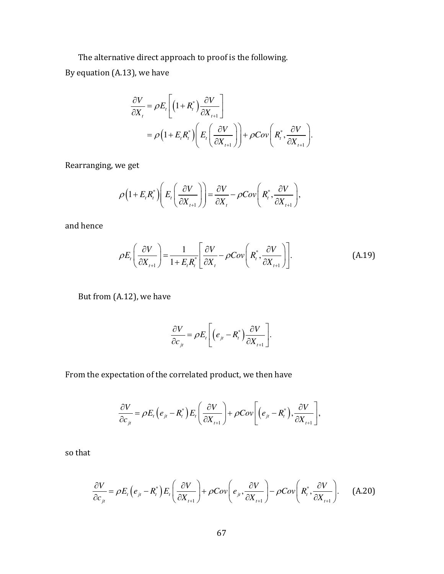The alternative direct approach to proof is the following.

By equation (A.13), we have

$$
\frac{\partial V}{\partial X_t} = \rho E_t \left[ \left( 1 + R_t^* \right) \frac{\partial V}{\partial X_{t+1}} \right]
$$
  
=  $\rho \left( 1 + E_t R_t^* \right) \left( E_t \left( \frac{\partial V}{\partial X_{t+1}} \right) \right) + \rho Cov \left( R_t^* , \frac{\partial V}{\partial X_{t+1}} \right).$ 

Rearranging, we get

$$
\rho\big(1+E_{t}R_{t}^{*}\big)\bigg(E_{t}\bigg(\frac{\partial V}{\partial X_{t+1}}\bigg)\bigg)=\frac{\partial V}{\partial X_{t}}-\rho Cov\bigg(R_{t}^{*},\frac{\partial V}{\partial X_{t+1}}\bigg),
$$

and hence

$$
\rho E_t \left( \frac{\partial V}{\partial X_{t+1}} \right) = \frac{1}{1 + E_t R_t^*} \left[ \frac{\partial V}{\partial X_t} - \rho Cov \left( R_t^*, \frac{\partial V}{\partial X_{t+1}} \right) \right].
$$
 (A.19)

But from (A.12), we have

$$
\frac{\partial V}{\partial c_{j_t}} = \rho E_t \left[ \left( e_{j_t} - R_t^* \right) \frac{\partial V}{\partial X_{t+1}} \right].
$$

From the expectation of the correlated product, we then have

$$
\frac{\partial V}{\partial c_{j_t}} = \rho E_t \left( e_{j_t} - R_t^* \right) E_t \left( \frac{\partial V}{\partial X_{t+1}} \right) + \rho Cov \left[ \left( e_{j_t} - R_t^* \right), \frac{\partial V}{\partial X_{t+1}} \right],
$$

so that

$$
\frac{\partial V}{\partial c_{j_t}} = \rho E_t \left( e_{j_t} - R_t^* \right) E_t \left( \frac{\partial V}{\partial X_{t+1}} \right) + \rho Cov \left( e_{j_t}, \frac{\partial V}{\partial X_{t+1}} \right) - \rho Cov \left( R_t^*, \frac{\partial V}{\partial X_{t+1}} \right). \tag{A.20}
$$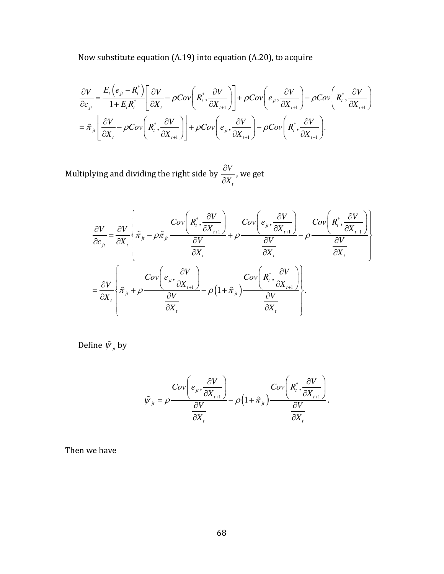Now substitute equation (A.19) into equation (A.20), to acquire

$$
\frac{\partial V}{\partial c_{ji}} = \frac{E_t \left( e_{jt} - R_i^* \right)}{1 + E_t R_i^*} \left[ \frac{\partial V}{\partial X_t} - \rho Cov \left( R_i^*, \frac{\partial V}{\partial X_{t+1}} \right) \right] + \rho Cov \left( e_{jt}, \frac{\partial V}{\partial X_{t+1}} \right) - \rho Cov \left( R_i^*, \frac{\partial V}{\partial X_{t+1}} \right)
$$
\n
$$
= \tilde{\pi}_{ji} \left[ \frac{\partial V}{\partial X_t} - \rho Cov \left( R_i^*, \frac{\partial V}{\partial X_{t+1}} \right) \right] + \rho Cov \left( e_{jt}, \frac{\partial V}{\partial X_{t+1}} \right) - \rho Cov \left( R_i^*, \frac{\partial V}{\partial X_{t+1}} \right).
$$

Multiplying and dividing the right side by *t V X* ∂ ∂ , we get

$$
\frac{\partial V}{\partial c_{ji}} = \frac{\partial V}{\partial X_{i}} \left\{ \tilde{\pi}_{ji} - \rho \tilde{\pi}_{ji} \frac{Cov\left(R_{i}^{*}, \frac{\partial V}{\partial X_{i+1}}\right)}{\frac{\partial V}{\partial X_{i}}} + \rho \frac{Cov\left(e_{ji}, \frac{\partial V}{\partial X_{i+1}}\right)}{\frac{\partial V}{\partial X_{i}}} - \rho \frac{Cov\left(R_{i}^{*}, \frac{\partial V}{\partial X_{i+1}}\right)}{\frac{\partial V}{\partial X_{i}}} \right\}
$$
\n
$$
= \frac{\partial V}{\partial X_{i}} \left\{ \tilde{\pi}_{ji} + \rho \frac{Cov\left(e_{ji}, \frac{\partial V}{\partial X_{i+1}}\right)}{\frac{\partial V}{\partial X_{i}}} - \rho \left(1 + \tilde{\pi}_{ji}\right) \frac{Cov\left(R_{i}^{*}, \frac{\partial V}{\partial X_{i+1}}\right)}{\frac{\partial V}{\partial X_{i}}} \right\}.
$$

Define  $\tilde{\psi}_{jt}$  by

$$
\tilde{\psi}_{ji} = \rho \frac{Cov\left(e_{ji}, \frac{\partial V}{\partial X_{i+1}}\right)}{\frac{\partial V}{\partial X_i}} - \rho \left(1 + \tilde{\pi}_{ji}\right) \frac{Cov\left(R_i^*, \frac{\partial V}{\partial X_{i+1}}\right)}{\frac{\partial V}{\partial X_i}}.
$$

Then we have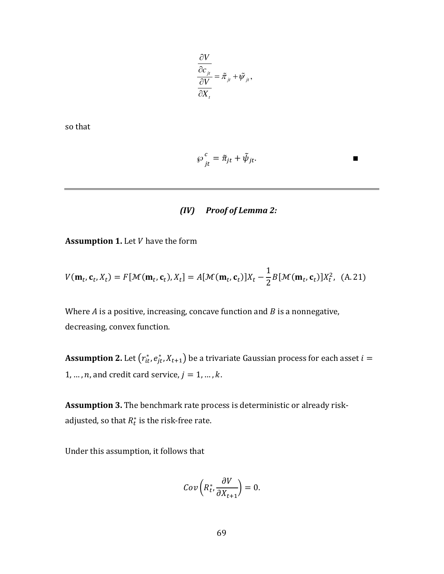$$
\frac{\partial V}{\partial c_{ji}} = \tilde{\pi}_{ji} + \tilde{\psi}_{ji},
$$
  

$$
\frac{\partial V}{\partial X_i}
$$

so that

$$
\wp_{jt}^c = \tilde{\pi}_{jt} + \tilde{\psi}_{jt}.
$$

## *(IV) Proof of Lemma 2:*

**Assumption 1.** Let *V* have the form

$$
V(\mathbf{m}_t, \mathbf{c}_t, X_t) = F[\mathcal{M}(\mathbf{m}_t, \mathbf{c}_t), X_t] = A[\mathcal{M}(\mathbf{m}_t, \mathbf{c}_t)]X_t - \frac{1}{2}B[\mathcal{M}(\mathbf{m}_t, \mathbf{c}_t)]X_t^2, \quad (A. 21)
$$

Where  $A$  is a positive, increasing, concave function and  $B$  is a nonnegative, decreasing, convex function.

 ${\bf Assumption~2.}$  Let  $\left( {r_{it}^*,\mathit{e_{jt}^*,X_{t+1}}} \right)$  be a trivariate Gaussian process for each asset  $i=$ 1, ...,  $n$ , and credit card service,  $j = 1, ..., k$ .

**Assumption 3.** The benchmark rate process is deterministic or already riskadjusted, so that  $R_t^*$  is the risk-free rate.

Under this assumption, it follows that

$$
Cov\left(R_t^*,\frac{\partial V}{\partial X_{t+1}}\right)=0.
$$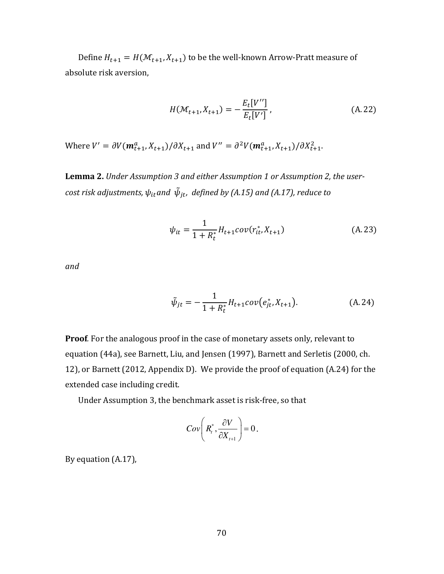Define  $H_{t+1} = H(\mathcal{M}_{t+1}, X_{t+1})$  to be the well-known Arrow-Pratt measure of absolute risk aversion,

$$
H(\mathcal{M}_{t+1}, X_{t+1}) = -\frac{E_t[V'']}{E_t[V']},
$$
\n(A. 22)

Where  $V' = \partial V(m_{t+1}^a, X_{t+1})/\partial X_{t+1}$  and  $V'' = \partial^2 V(m_{t+1}^a, X_{t+1})/\partial X_{t+1}^2$ .

**Lemma 2.** *Under Assumption 3 and either Assumption 1 or Assumption 2, the user-* $\epsilon$ ost risk adjustments,  $\psi_{it}$ and  $\,{\tilde{\psi}}_{jt}$ , defined by (A.15) and (A.17), reduce to

$$
\psi_{it} = \frac{1}{1 + R_t^*} H_{t+1} cov(r_{it}^*, X_{t+1})
$$
\n(A. 23)

*and*

$$
\tilde{\psi}_{jt} = -\frac{1}{1 + R_t^*} H_{t+1} cov(e_{jt}^*, X_{t+1}).
$$
\n(A. 24)

**Proof***.* For the analogous proof in the case of monetary assets only, relevant to equation (44a), see Barnett, Liu, and Jensen (1997), Barnett and Serletis (2000, ch. 12), or Barnett (2012, Appendix D). We provide the proof of equation (A.24) for the extended case including credit.

Under Assumption 3, the benchmark asset is risk-free, so that

$$
Cov\bigg(R_t^*,\frac{\partial V}{\partial X_{t+1}}\bigg)=0\,.
$$

By equation (A.17),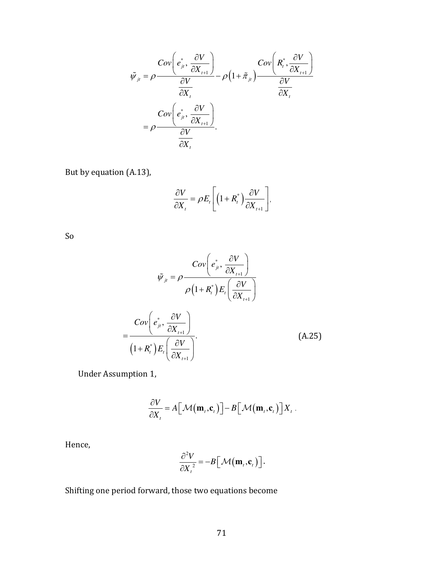$$
\tilde{\psi}_{ji} = \rho \frac{Cov\left(e_{ji}^*, \frac{\partial V}{\partial X_{i+1}}\right)}{\frac{\partial V}{\partial X_{i}}} - \rho \left(1 + \tilde{\pi}_{ji}\right) \frac{Cov\left(R_i^*, \frac{\partial V}{\partial X_{i+1}}\right)}{\frac{\partial V}{\partial X_{i}}}
$$
\n
$$
= \rho \frac{Cov\left(e_{ji}^*, \frac{\partial V}{\partial X_{i+1}}\right)}{\frac{\partial V}{\partial X_{i}}}.
$$

But by equation (A.13),

$$
\frac{\partial V}{\partial X_t} = \rho E_t \left[ \left( 1 + R_t^* \right) \frac{\partial V}{\partial X_{t+1}} \right],
$$

So

$$
\tilde{\psi}_{jt} = \rho \frac{Cov\left(e_{jt}^*, \frac{\partial V}{\partial X_{t+1}}\right)}{\rho \left(1 + R_t^* \right) E_t \left(\frac{\partial V}{\partial X_{t+1}}\right)}
$$
\n
$$
= \frac{Cov\left(e_{jt}^*, \frac{\partial V}{\partial X_{t+1}}\right)}{\left(1 + R_t^* \right) E_t \left(\frac{\partial V}{\partial X_{t+1}}\right)}.
$$
\n(A.25)

Under Assumption 1,

$$
\frac{\partial V}{\partial X_t} = A \big[\mathcal{M}\big(\mathbf{m}_t, \mathbf{c}_t\big)\big] - B \big[\mathcal{M}\big(\mathbf{m}_t, \mathbf{c}_t\big)\big] X_t.
$$

Hence,

$$
\frac{\partial^2 V}{\partial X_t^2} = -B \Big[ \mathcal{M}(\mathbf{m}_t, \mathbf{c}_t) \Big].
$$

Shifting one period forward, those two equations become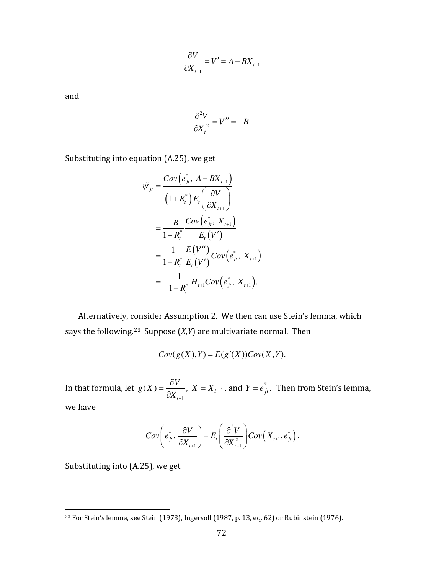$$
\frac{\partial V}{\partial X}_{t+1} = V' = A - BX_{t+1}
$$

and

$$
\frac{\partial^2 V}{\partial X_t^2} = V'' = -B.
$$

Substituting into equation (A.25), we get

$$
\tilde{\psi}_{ji} = \frac{Cov(e_{ji}^*, A - BX_{t+1})}{(1 + R_i^*)E_t \left(\frac{\partial V}{\partial X_{t+1}}\right)} \n= \frac{-B}{1 + R_i^*} \frac{Cov(e_{ji}^*, X_{t+1})}{E_t(V')} \n= \frac{1}{1 + R_i^*} \frac{E(V'')}{E_t(V')} Cov(e_{ji}^*, X_{t+1}) \n= -\frac{1}{1 + R_i^*} H_{t+1} Cov(e_{ji}^*, X_{t+1}).
$$

Alternatively, [con](#page-72-0)sider Assumption 2. We then can use Stein's lemma, which says the following.23 Suppose (*X*,*Y*) are multivariate normal. Then

$$
Cov(g(X),Y) = E(g'(X))Cov(X,Y).
$$

In that formula, let 1  $(X)$ *t*  $g(X) = \frac{\partial V}{\partial Y}$  $X_{_{t+}}$  $=\frac{\partial}{\partial x}$  $\frac{\partial V}{\partial X_{t+1}}$ ,  $X = X_{t+1}$ , and  $Y = e_{jt}^*$ . Then from Stein's lemma, we have

$$
Cov\bigg(e_{ji}^*, \frac{\partial V}{\partial X_{i+1}}\bigg) = E_i\bigg(\frac{\partial^2 V}{\partial X_{i+1}^2}\bigg) Cov(X_{i+1}, e_{ji}^*) .
$$

Substituting into (A.25), we get

 $\overline{a}$ 

<span id="page-72-0"></span><sup>&</sup>lt;sup>23</sup> For Stein's lemma, see Stein (1973), Ingersoll (1987, p. 13, eq. 62) or Rubinstein (1976).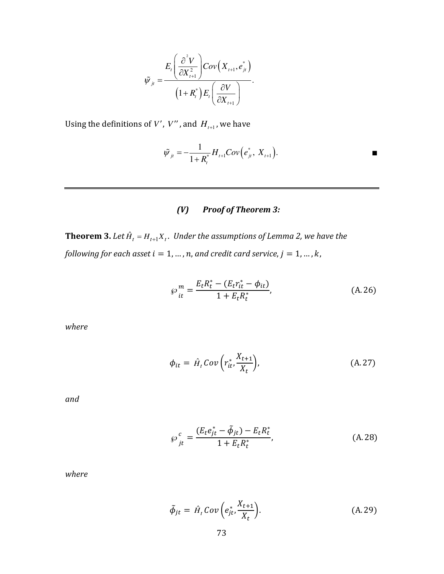$$
\tilde{\psi}_{ji} = \frac{E_{t}\left(\frac{\partial^{2} V}{\partial X_{t+1}^{2}}\right) Cov\left(X_{t+1}, e_{jt}^{*}\right)}{\left(1+R_{t}^{*}\right) E_{t}\left(\frac{\partial V}{\partial X_{t+1}}\right)}.
$$

Using the definitions of  $V'$ ,  $V''$ , and  $H_{t+1}$ , we have

$$
\tilde{\psi}_{ji} = -\frac{1}{1+R_i^*} H_{i+1} Cov(e_{ji}^*, X_{i+1}).
$$

## *(V) Proof of Theorem 3:*

**Theorem 3.** Let  $\hat{H}_t = H_{t+1}X_t$ . Under the assumptions of Lemma 2, we have the *following for each asset*  $i = 1, ..., n$ , and credit card service,  $j = 1, ..., k$ ,

$$
\wp_{it}^{m} = \frac{E_t R_t^* - (E_t r_{it}^* - \phi_{it})}{1 + E_t R_t^*},
$$
\n(A. 26)

*where*

$$
\phi_{it} = \hat{H}_t \, Cov\left(r_{it}^*, \frac{X_{t+1}}{X_t}\right),\tag{A.27}
$$

*and*

$$
\wp_{jt}^c = \frac{(E_t e_{jt}^* - \tilde{\phi}_{jt}) - E_t R_t^*}{1 + E_t R_t^*},
$$
\n(A. 28)

*where*

$$
\tilde{\phi}_{jt} = \hat{H}_t \, Cov\left(e_{jt}^* \cdot \frac{X_{t+1}}{X_t}\right). \tag{A.29}
$$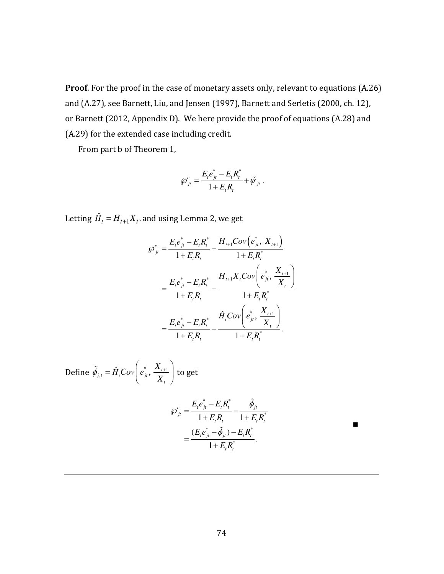**Proof**. For the proof in the case of monetary assets only, relevant to equations (A.26) and (A.27), see Barnett, Liu, and Jensen (1997), Barnett and Serletis (2000, ch. 12), or Barnett (2012, Appendix D). We here provide the proof of equations (A.28) and (A.29) for the extended case including credit.

From part b of Theorem 1,

$$
\wp_{j_t}^c = \frac{E_t e_{j_t}^* - E_t R_t^*}{1 + E_t R_t} + \tilde{\psi}_{j_t}.
$$

Letting  $\hat{H}_{t} = H_{t+1}X_{t}.$  and using Lemma 2, we get

$$
\wp_{j_t}^c = \frac{E_t e_{j_t}^* - E_t R_t^*}{1 + E_t R_t} - \frac{H_{t+1}Cov(e_{j_t}^*, X_{t+1})}{1 + E_t R_t^*}
$$
  

$$
= \frac{E_t e_{j_t}^* - E_t R_t^*}{1 + E_t R_t} - \frac{H_{t+1} X_t Cov(e_{j_t}^*, \frac{X_{t+1}}{X_t})}{1 + E_t R_t^*}
$$
  

$$
= \frac{E_t e_{j_t}^* - E_t R_t^*}{1 + E_t R_t} - \frac{\hat{H}_t Cov(e_{j_t}^*, \frac{X_{t+1}}{X_t})}{1 + E_t R_t^*}.
$$

Define 
$$
\tilde{\phi}_{j,t} = \hat{H}_i Cov \left( e_{jt}^*, \frac{X_{t+1}}{X_t} \right)
$$
 to get  
\n
$$
\wp_{jt}^c = \frac{E_t e_{jt}^* - E_t R_t^*}{1 + E_t R_t} - \frac{\tilde{\phi}_{jt}}{1 + E_t R_t^*}
$$
\n
$$
= \frac{(E_t e_{jt}^* - \tilde{\phi}_{jt}) - E_t R_t^*}{1 + E_t R_t^*}.
$$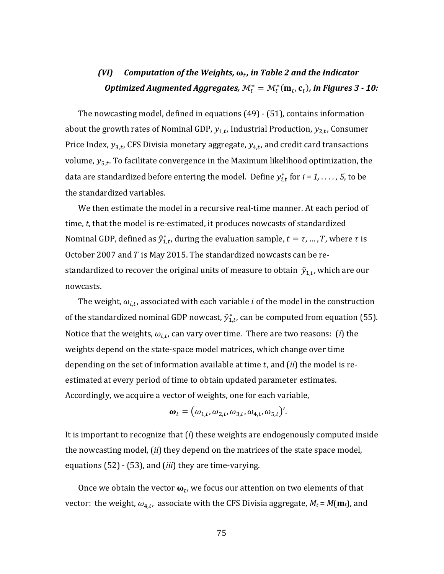## (VI) Computation of the Weights,  $\boldsymbol{\omega}_t$ , in Table 2 and the Indicator Optimized Augmented Aggregates,  $\mathcal{M}_t^* = \mathcal{M}_t^*(\mathbf{m}_t, \mathbf{c}_t)$ , in Figures 3 - 10:

The nowcasting model, defined in equations (49) - (51), contains information about the growth rates of Nominal GDP,  $y_{1,t}$ , Industrial Production,  $y_{2,t}$ , Consumer Price Index,  $y_{3,t}$ , CFS Divisia monetary aggregate,  $y_{4,t}$ , and credit card transactions volume,  $y_{5,t}$ . To facilitate convergence in the Maximum likelihood optimization, the data are standardized before entering the model. Define  $y_{i,t}^*$  for  $i$  = 1,  $\dots$  , 5, to be the standardized variables.

We then estimate the model in a recursive real-time manner. At each period of time, *t*, that the model is re-estimated, it produces nowcasts of standardized Nominal GDP, defined as  $\hat{y}^*_{1,t}$ , during the evaluation sample,  $t=\tau,...,T$ , where  $\tau$  is October 2007 and  $T$  is May 2015. The standardized nowcasts can be restandardized to recover the original units of measure to obtain  $\,\hat{y}_{1,t}$ , which are our nowcasts.

The weight,  $\omega_{i,t}$ , associated with each variable  $i$  of the model in the construction of the standardized nominal GDP nowcast,  $\hat{y}^*_{1,t}$ , can be computed from equation (55). Notice that the weights,  $\omega_{i,t}$ , can vary over time. There are two reasons: (*i*) the weights depend on the state-space model matrices, which change over time depending on the set of information available at time  $t$ , and  $(ii)$  the model is reestimated at every period of time to obtain updated parameter estimates. Accordingly, we acquire a vector of weights, one for each variable,

$$
\boldsymbol{\omega}_t = (\omega_{1,t}, \omega_{2,t}, \omega_{3,t}, \omega_{4,t}, \omega_{5,t})'.
$$

It is important to recognize that (*i*) these weights are endogenously computed inside the nowcasting model, (*ii*) they depend on the matrices of the state space model, equations (52) - (53), and (*iii*) they are time-varying.

Once we obtain the vector  $\boldsymbol{\omega}_t$ , we focus our attention on two elements of that vector: the weight,  $\omega_{4,t}$ , associate with the CFS Divisia aggregate,  $M_t$  =  $M(\mathbf{m}_t)$ , and